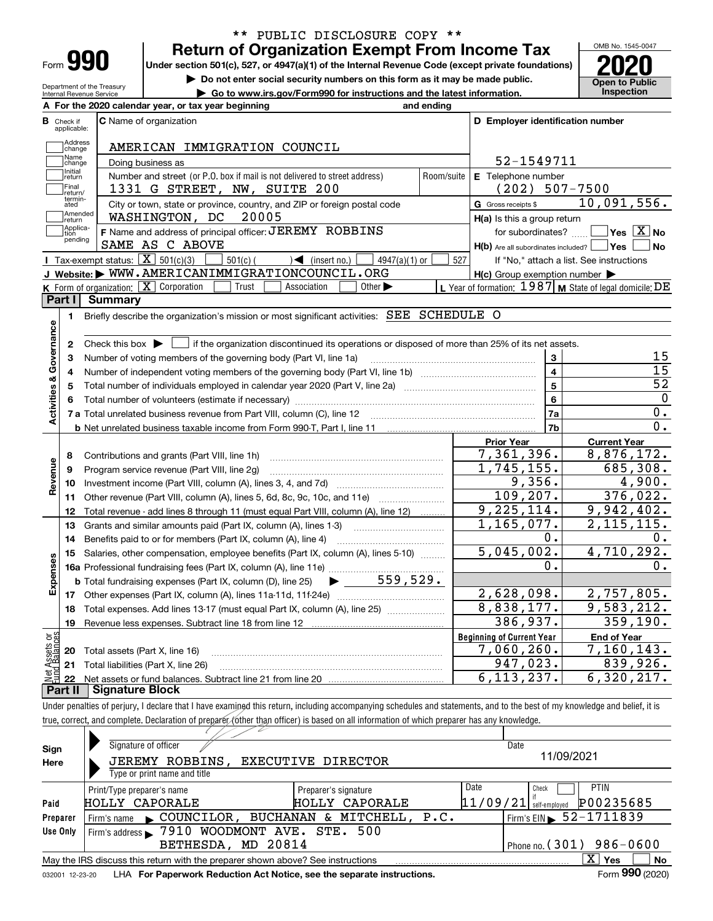| Form |  |
|------|--|

Department of the Treasury Internal Revenue Service

## **Return of Organization Exempt From Income Tax** \*\* PUBLIC DISCLOSURE COPY \*\*

**Under section 501(c), 527, or 4947(a)(1) of the Internal Revenue Code (except private foundations) 2020**

**| Do not enter social security numbers on this form as it may be made public.**

**| Go to www.irs.gov/Form990 for instructions and the latest information. Inspection**



|                         |                             | A For the 2020 calendar year, or tax year beginning                                                                                                 | and ending |                                                     |                                                           |
|-------------------------|-----------------------------|-----------------------------------------------------------------------------------------------------------------------------------------------------|------------|-----------------------------------------------------|-----------------------------------------------------------|
| в                       | Check if<br>applicable:     | <b>C</b> Name of organization                                                                                                                       |            | D Employer identification number                    |                                                           |
|                         | Address<br>change           | AMERICAN IMMIGRATION COUNCIL                                                                                                                        |            |                                                     |                                                           |
|                         | Name<br>change              | Doing business as                                                                                                                                   |            | 52-1549711                                          |                                                           |
|                         | Initial<br>return           | Number and street (or P.O. box if mail is not delivered to street address)                                                                          | Room/suite | E Telephone number                                  |                                                           |
|                         | Final<br>return/            | 1331 G STREET, NW, SUITE 200                                                                                                                        |            | $(202) 507 - 7500$                                  |                                                           |
|                         | termin-<br>ated             | City or town, state or province, country, and ZIP or foreign postal code                                                                            |            | G Gross receipts \$                                 | 10,091,556.                                               |
|                         | Amended<br> return          | WASHINGTON, DC<br>20005                                                                                                                             |            | $H(a)$ is this a group return                       |                                                           |
|                         | Applica-<br>tion<br>pending | F Name and address of principal officer: JEREMY ROBBINS                                                                                             |            | for subordinates?                                   | $Yes \ \boxed{X}$ No                                      |
|                         |                             | SAME AS C ABOVE                                                                                                                                     |            | H(b) Are all subordinates included?   Yes           | ∣No                                                       |
|                         |                             | Tax-exempt status: $\boxed{\mathbf{X}}$ 501(c)(3)<br>$501(c)$ (<br>$\sqrt{\frac{1}{1}}$ (insert no.)<br>$4947(a)(1)$ or                             | 527        |                                                     | If "No," attach a list. See instructions                  |
|                         |                             | J Website: WWW.AMERICANIMMIGRATIONCOUNCIL.ORG                                                                                                       |            | $H(c)$ Group exemption number $\blacktriangleright$ |                                                           |
|                         | Part I I                    | K Form of organization: X Corporation<br>Trust<br>Association<br>Other $\blacktriangleright$<br>Summary                                             |            |                                                     | L Year of formation: 1987   M State of legal domicile: DE |
|                         |                             | Briefly describe the organization's mission or most significant activities: SEE SCHEDULE O                                                          |            |                                                     |                                                           |
|                         | 1.                          |                                                                                                                                                     |            |                                                     |                                                           |
| Activities & Governance | 2                           | Check this box $\blacktriangleright$ $\blacksquare$ if the organization discontinued its operations or disposed of more than 25% of its net assets. |            |                                                     |                                                           |
|                         | з                           | Number of voting members of the governing body (Part VI, line 1a)                                                                                   |            | 3                                                   | 15                                                        |
|                         | 4                           |                                                                                                                                                     |            | $\overline{\mathbf{4}}$                             | $\overline{15}$                                           |
|                         | 5                           |                                                                                                                                                     |            | 5                                                   | $\overline{52}$                                           |
|                         | 6.                          |                                                                                                                                                     |            | 6                                                   | $\mathbf 0$                                               |
|                         |                             |                                                                                                                                                     |            | 7a                                                  | 0.                                                        |
|                         |                             |                                                                                                                                                     |            | 7b                                                  | $\overline{0}$ .                                          |
|                         |                             |                                                                                                                                                     |            | <b>Prior Year</b>                                   | <b>Current Year</b>                                       |
|                         | 8                           | Contributions and grants (Part VIII, line 1h)                                                                                                       |            | 7,361,396.                                          | 8,876,172.                                                |
| Revenue                 | 9                           | Program service revenue (Part VIII, line 2g)                                                                                                        |            | $\overline{1,745,155}$ .                            | 685,308.                                                  |
|                         | 10                          |                                                                                                                                                     |            | 9,356.                                              | 4,900.                                                    |
|                         |                             | 11 Other revenue (Part VIII, column (A), lines 5, 6d, 8c, 9c, 10c, and 11e)                                                                         |            | 109, 207.                                           | 376,022.                                                  |
|                         | 12                          | Total revenue - add lines 8 through 11 (must equal Part VIII, column (A), line 12)                                                                  |            | 9,225,114.                                          | 9,942,402.                                                |
|                         | 13                          | Grants and similar amounts paid (Part IX, column (A), lines 1-3)                                                                                    |            | $\overline{1,165,077}$ .                            | 2, 115, 115.                                              |
|                         | 14                          |                                                                                                                                                     |            | Ο.                                                  | 0.                                                        |
|                         | 15                          | Salaries, other compensation, employee benefits (Part IX, column (A), lines 5-10)                                                                   |            | 5,045,002.                                          | 4,710,292.                                                |
| Expenses                |                             |                                                                                                                                                     |            | 0.                                                  | 0.                                                        |
|                         |                             | $\blacktriangleright$ 559,529.<br><b>b</b> Total fundraising expenses (Part IX, column (D), line 25)                                                |            |                                                     |                                                           |
|                         |                             |                                                                                                                                                     |            | 2,628,098.                                          | 2,757,805.                                                |
|                         | 18                          | Total expenses. Add lines 13-17 (must equal Part IX, column (A), line 25) [                                                                         |            | 8,838,177.<br>386,937.                              | 9,583,212.<br>359, 190.                                   |
|                         | 19                          |                                                                                                                                                     |            |                                                     |                                                           |
| ăğ                      |                             |                                                                                                                                                     |            | <b>Beginning of Current Year</b><br>7,060,260.      | <b>End of Year</b><br>7,160,143.                          |
| sets                    |                             | 20 Total assets (Part X, line 16)                                                                                                                   |            | 947,023.                                            | 839,926.                                                  |
|                         |                             | 21 Total liabilities (Part X, line 26)                                                                                                              |            | 6, 113, 237.                                        | 6,320,217.                                                |
|                         | 22<br>Part II               | <b>Signature Block</b>                                                                                                                              |            |                                                     |                                                           |
|                         |                             |                                                                                                                                                     |            |                                                     |                                                           |

Under penalties of perjury, I declare that I have examined this return, including accompanying schedules and statements, and to the best of my knowledge and belief, it is true, correct, and complete. Declaration of preparer (other than officer) is based on all information of which preparer has any knowledge.

| Sign            | Signature of officer                                                                                         | Date                                   |  |  |  |  |  |  |  |
|-----------------|--------------------------------------------------------------------------------------------------------------|----------------------------------------|--|--|--|--|--|--|--|
| Here            | ROBBINS,<br>EXECUTIVE DIRECTOR<br>JEREMY                                                                     | 11/09/2021                             |  |  |  |  |  |  |  |
|                 | Type or print name and title                                                                                 |                                        |  |  |  |  |  |  |  |
|                 | Print/Type preparer's name<br>Preparer's signature                                                           | Date<br><b>PTIN</b><br>Check           |  |  |  |  |  |  |  |
| Paid            | HOLLY CAPORALE<br>HOLLY CAPORALE                                                                             | P00235685<br>11/09/21<br>self-emploved |  |  |  |  |  |  |  |
| Preparer        | $\triangleright$ COUNCILOR, BUCHANAN<br>MITCHELL, P.C.<br>. &<br>Firm's name                                 | Firm's EIN $\triangleright$ 52-1711839 |  |  |  |  |  |  |  |
| Use Only        | Firm's address > 7910 WOODMONT AVE. STE. 500                                                                 |                                        |  |  |  |  |  |  |  |
|                 | BETHESDA, MD 20814                                                                                           | $986 - 0600$<br>Phone no. ( $301$ )    |  |  |  |  |  |  |  |
|                 | $\mathbf{X}$<br>No<br>Yes<br>May the IRS discuss this return with the preparer shown above? See instructions |                                        |  |  |  |  |  |  |  |
| 032001 12-23-20 | LHA For Paperwork Reduction Act Notice, see the separate instructions.                                       | Form 990 (2020)                        |  |  |  |  |  |  |  |
|                 |                                                                                                              |                                        |  |  |  |  |  |  |  |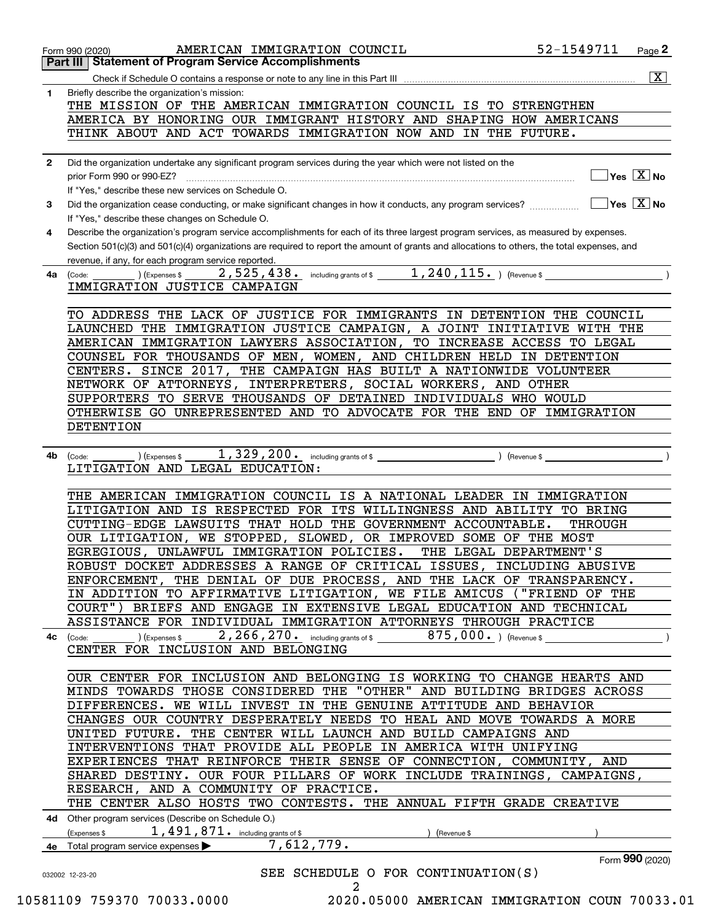|              | 52-1549711<br>AMERICAN IMMIGRATION COUNCIL<br>$Page$ <sup>2</sup><br>Form 990 (2020)<br><b>Part III   Statement of Program Service Accomplishments</b> |
|--------------|--------------------------------------------------------------------------------------------------------------------------------------------------------|
|              | $\overline{\mathbf{x}}$                                                                                                                                |
| 1.           | Briefly describe the organization's mission:                                                                                                           |
|              | THE MISSION OF THE AMERICAN IMMIGRATION COUNCIL IS TO STRENGTHEN                                                                                       |
|              | AMERICA BY HONORING OUR IMMIGRANT HISTORY AND SHAPING HOW AMERICANS                                                                                    |
|              | THINK ABOUT AND ACT TOWARDS IMMIGRATION NOW AND IN THE FUTURE.                                                                                         |
|              |                                                                                                                                                        |
| $\mathbf{2}$ | Did the organization undertake any significant program services during the year which were not listed on the                                           |
|              | $\sqrt{}$ Yes $\sqrt{X}$ No<br>prior Form 990 or 990-EZ?                                                                                               |
|              | If "Yes," describe these new services on Schedule O.                                                                                                   |
| 3            | $\exists$ Yes $\boxed{\text{X}}$ No<br>Did the organization cease conducting, or make significant changes in how it conducts, any program services?    |
|              | If "Yes," describe these changes on Schedule O.                                                                                                        |
| 4            | Describe the organization's program service accomplishments for each of its three largest program services, as measured by expenses.                   |
|              | Section 501(c)(3) and 501(c)(4) organizations are required to report the amount of grants and allocations to others, the total expenses, and           |
|              | revenue, if any, for each program service reported.                                                                                                    |
| 4a           | 2,525,438. including grants of \$1,240,115. ) (Revenue \$<br>) (Expenses \$<br>(Code:                                                                  |
|              | IMMIGRATION JUSTICE CAMPAIGN                                                                                                                           |
|              |                                                                                                                                                        |
|              | TO ADDRESS THE LACK OF JUSTICE FOR IMMIGRANTS IN DETENTION THE COUNCIL                                                                                 |
|              | LAUNCHED THE IMMIGRATION JUSTICE CAMPAIGN, A JOINT INITIATIVE WITH THE                                                                                 |
|              | AMERICAN IMMIGRATION LAWYERS ASSOCIATION, TO INCREASE ACCESS TO LEGAL                                                                                  |
|              | COUNSEL FOR THOUSANDS OF MEN, WOMEN, AND CHILDREN HELD IN DETENTION                                                                                    |
|              |                                                                                                                                                        |
|              | CENTERS. SINCE 2017, THE CAMPAIGN HAS BUILT A NATIONWIDE VOLUNTEER                                                                                     |
|              | NETWORK OF ATTORNEYS, INTERPRETERS, SOCIAL WORKERS, AND OTHER                                                                                          |
|              | SUPPORTERS TO SERVE THOUSANDS OF DETAINED INDIVIDUALS WHO WOULD                                                                                        |
|              | OTHERWISE GO UNREPRESENTED AND TO ADVOCATE FOR THE END OF IMMIGRATION                                                                                  |
|              | <b>DETENTION</b>                                                                                                                                       |
|              |                                                                                                                                                        |
| 4b           | (Expenses \$<br>(Code:                                                                                                                                 |
|              | LITIGATION AND LEGAL EDUCATION:                                                                                                                        |
|              |                                                                                                                                                        |
|              | THE AMERICAN IMMIGRATION COUNCIL IS A NATIONAL LEADER IN IMMIGRATION                                                                                   |
|              | LITIGATION AND IS RESPECTED FOR ITS WILLINGNESS AND ABILITY TO BRING                                                                                   |
|              | CUTTING-EDGE LAWSUITS THAT HOLD THE GOVERNMENT ACCOUNTABLE.<br>THROUGH                                                                                 |
|              | OUR LITIGATION, WE STOPPED, SLOWED, OR IMPROVED SOME OF THE MOST                                                                                       |
|              | EGREGIOUS, UNLAWFUL IMMIGRATION POLICIES.<br>THE LEGAL DEPARTMENT'S                                                                                    |
|              | ROBUST DOCKET ADDRESSES A RANGE OF CRITICAL ISSUES, INCLUDING ABUSIVE                                                                                  |
|              | ENFORCEMENT, THE DENIAL OF DUE PROCESS, AND THE LACK OF TRANSPARENCY.                                                                                  |
|              | IN ADDITION TO AFFIRMATIVE LITIGATION, WE FILE AMICUS ("FRIEND OF THE                                                                                  |
|              | COURT") BRIEFS AND ENGAGE IN EXTENSIVE LEGAL EDUCATION AND TECHNICAL                                                                                   |
|              | ASSISTANCE FOR INDIVIDUAL IMMIGRATION ATTORNEYS THROUGH PRACTICE                                                                                       |
|              | 2, 266, 270. including grants of \$875, 000. ) (Revenue \$<br>$\frac{1}{2}$ (Expenses \$<br>4c (Code:                                                  |
|              | CENTER FOR INCLUSION AND BELONGING                                                                                                                     |
|              |                                                                                                                                                        |
|              | OUR CENTER FOR INCLUSION AND BELONGING IS WORKING TO CHANGE HEARTS AND                                                                                 |
|              | MINDS TOWARDS THOSE CONSIDERED THE "OTHER" AND BUILDING BRIDGES ACROSS                                                                                 |
|              | DIFFERENCES. WE WILL INVEST IN THE GENUINE ATTITUDE AND BEHAVIOR                                                                                       |
|              | CHANGES OUR COUNTRY DESPERATELY NEEDS TO HEAL AND MOVE TOWARDS A MORE                                                                                  |
|              | UNITED FUTURE. THE CENTER WILL LAUNCH AND BUILD CAMPAIGNS AND                                                                                          |
|              | INTERVENTIONS THAT PROVIDE ALL PEOPLE IN AMERICA WITH UNIFYING                                                                                         |
|              | EXPERIENCES THAT REINFORCE THEIR SENSE OF CONNECTION, COMMUNITY, AND                                                                                   |
|              | SHARED DESTINY. OUR FOUR PILLARS OF WORK INCLUDE TRAININGS, CAMPAIGNS,                                                                                 |
|              |                                                                                                                                                        |
|              |                                                                                                                                                        |
|              | RESEARCH, AND A COMMUNITY OF PRACTICE.                                                                                                                 |
|              | THE CENTER ALSO HOSTS TWO CONTESTS. THE ANNUAL FIFTH GRADE CREATIVE                                                                                    |
|              | 4d Other program services (Describe on Schedule O.)                                                                                                    |
|              | 1,491,871. including grants of \$<br>(Expenses \$<br>Revenue \$                                                                                        |
|              | 7,612,779.<br>4e Total program service expenses >                                                                                                      |
|              | Form 990 (2020)<br>SEE SCHEDULE O FOR CONTINUATION(S)<br>032002 12-23-20                                                                               |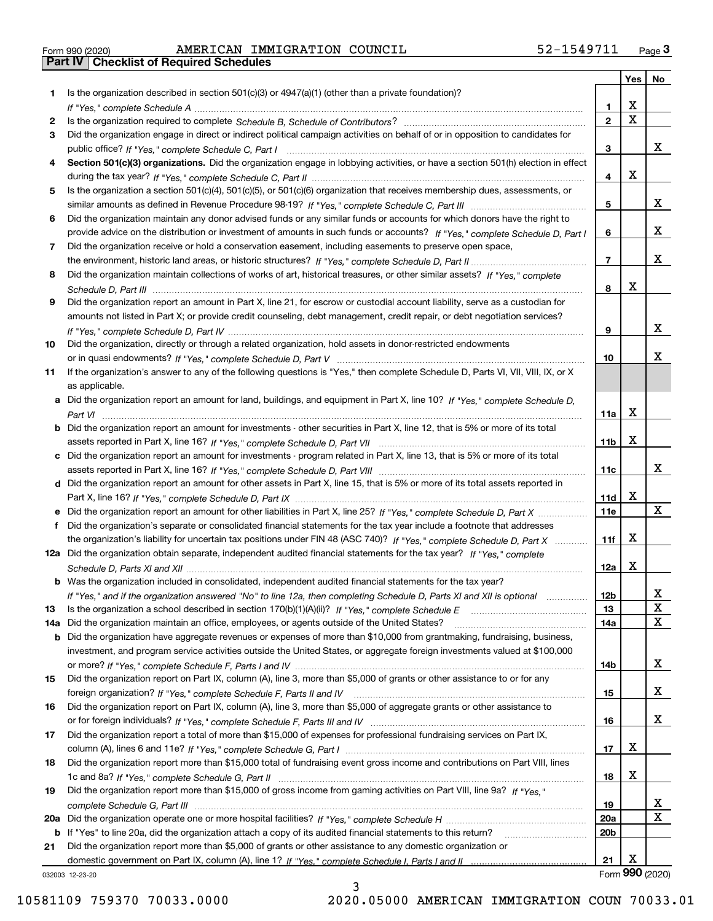| Form 990 (2020) |  |  |
|-----------------|--|--|

Form 990 (2020) Page **3Part IV Checklist of Required Schedules** AMERICAN IMMIGRATION COUNCIL 52-1549711

|     |                                                                                                                                                 |                 | <b>Yes</b>              | No              |
|-----|-------------------------------------------------------------------------------------------------------------------------------------------------|-----------------|-------------------------|-----------------|
| 1.  | Is the organization described in section $501(c)(3)$ or $4947(a)(1)$ (other than a private foundation)?                                         |                 |                         |                 |
|     |                                                                                                                                                 | 1               | X                       |                 |
| 2   |                                                                                                                                                 | $\overline{2}$  | $\overline{\mathbf{x}}$ |                 |
| 3   | Did the organization engage in direct or indirect political campaign activities on behalf of or in opposition to candidates for                 |                 |                         |                 |
|     |                                                                                                                                                 | 3               |                         | x               |
| 4   | Section 501(c)(3) organizations. Did the organization engage in lobbying activities, or have a section 501(h) election in effect                |                 |                         |                 |
|     |                                                                                                                                                 | 4               | X                       |                 |
| 5   | Is the organization a section 501(c)(4), 501(c)(5), or 501(c)(6) organization that receives membership dues, assessments, or                    |                 |                         |                 |
|     |                                                                                                                                                 | 5               |                         | X.              |
| 6   | Did the organization maintain any donor advised funds or any similar funds or accounts for which donors have the right to                       |                 |                         |                 |
|     | provide advice on the distribution or investment of amounts in such funds or accounts? If "Yes," complete Schedule D, Part I                    | 6               |                         | x               |
| 7   | Did the organization receive or hold a conservation easement, including easements to preserve open space,                                       |                 |                         |                 |
|     |                                                                                                                                                 | $\overline{7}$  |                         | x               |
| 8   | Did the organization maintain collections of works of art, historical treasures, or other similar assets? If "Yes," complete                    |                 |                         |                 |
|     |                                                                                                                                                 | 8               | Х                       |                 |
| 9   | Did the organization report an amount in Part X, line 21, for escrow or custodial account liability, serve as a custodian for                   |                 |                         |                 |
|     | amounts not listed in Part X; or provide credit counseling, debt management, credit repair, or debt negotiation services?                       |                 |                         |                 |
|     |                                                                                                                                                 | 9               |                         | X.              |
| 10  | Did the organization, directly or through a related organization, hold assets in donor-restricted endowments                                    |                 |                         | x               |
|     |                                                                                                                                                 | 10              |                         |                 |
| 11  | If the organization's answer to any of the following questions is "Yes," then complete Schedule D, Parts VI, VII, VIII, IX, or X                |                 |                         |                 |
|     | as applicable.<br>a Did the organization report an amount for land, buildings, and equipment in Part X, line 10? If "Yes," complete Schedule D, |                 |                         |                 |
|     |                                                                                                                                                 | 11a             | X                       |                 |
|     | <b>b</b> Did the organization report an amount for investments - other securities in Part X, line 12, that is 5% or more of its total           |                 |                         |                 |
|     |                                                                                                                                                 | 11 <sub>b</sub> | X                       |                 |
|     | c Did the organization report an amount for investments - program related in Part X, line 13, that is 5% or more of its total                   |                 |                         |                 |
|     |                                                                                                                                                 | 11c             |                         | x               |
|     | d Did the organization report an amount for other assets in Part X, line 15, that is 5% or more of its total assets reported in                 |                 |                         |                 |
|     |                                                                                                                                                 | 11d             | X                       |                 |
|     | e Did the organization report an amount for other liabilities in Part X, line 25? If "Yes," complete Schedule D, Part X                         | 11e             |                         | x               |
| f   | Did the organization's separate or consolidated financial statements for the tax year include a footnote that addresses                         |                 |                         |                 |
|     | the organization's liability for uncertain tax positions under FIN 48 (ASC 740)? If "Yes," complete Schedule D, Part X                          | 11f             | Х                       |                 |
|     | 12a Did the organization obtain separate, independent audited financial statements for the tax year? If "Yes," complete                         |                 |                         |                 |
|     |                                                                                                                                                 | 12a             | Х                       |                 |
|     | <b>b</b> Was the organization included in consolidated, independent audited financial statements for the tax year?                              |                 |                         |                 |
|     | If "Yes," and if the organization answered "No" to line 12a, then completing Schedule D, Parts XI and XII is optional                           | 12b             |                         | A               |
| 13  |                                                                                                                                                 | 13              |                         | X               |
| 14a | Did the organization maintain an office, employees, or agents outside of the United States?                                                     | 14a             |                         | х               |
|     | <b>b</b> Did the organization have aggregate revenues or expenses of more than \$10,000 from grantmaking, fundraising, business,                |                 |                         |                 |
|     | investment, and program service activities outside the United States, or aggregate foreign investments valued at \$100,000                      |                 |                         |                 |
|     |                                                                                                                                                 | 14b             |                         | X.              |
| 15  | Did the organization report on Part IX, column (A), line 3, more than \$5,000 of grants or other assistance to or for any                       |                 |                         |                 |
|     |                                                                                                                                                 | 15              |                         | X.              |
| 16  | Did the organization report on Part IX, column (A), line 3, more than \$5,000 of aggregate grants or other assistance to                        |                 |                         |                 |
|     |                                                                                                                                                 | 16              |                         | X.              |
| 17  | Did the organization report a total of more than \$15,000 of expenses for professional fundraising services on Part IX,                         |                 |                         |                 |
|     |                                                                                                                                                 | 17              | х                       |                 |
| 18  | Did the organization report more than \$15,000 total of fundraising event gross income and contributions on Part VIII, lines                    |                 |                         |                 |
|     |                                                                                                                                                 | 18              | х                       |                 |
| 19  | Did the organization report more than \$15,000 of gross income from gaming activities on Part VIII, line 9a? If "Yes."                          |                 |                         |                 |
|     |                                                                                                                                                 | 19              |                         | X.              |
|     |                                                                                                                                                 | 20a             |                         | х               |
|     | b If "Yes" to line 20a, did the organization attach a copy of its audited financial statements to this return?                                  | 20 <sub>b</sub> |                         |                 |
| 21  | Did the organization report more than \$5,000 of grants or other assistance to any domestic organization or                                     |                 |                         |                 |
|     |                                                                                                                                                 | 21              | Х                       | Form 990 (2020) |
|     | 032003 12-23-20                                                                                                                                 |                 |                         |                 |

032003 12-23-20

3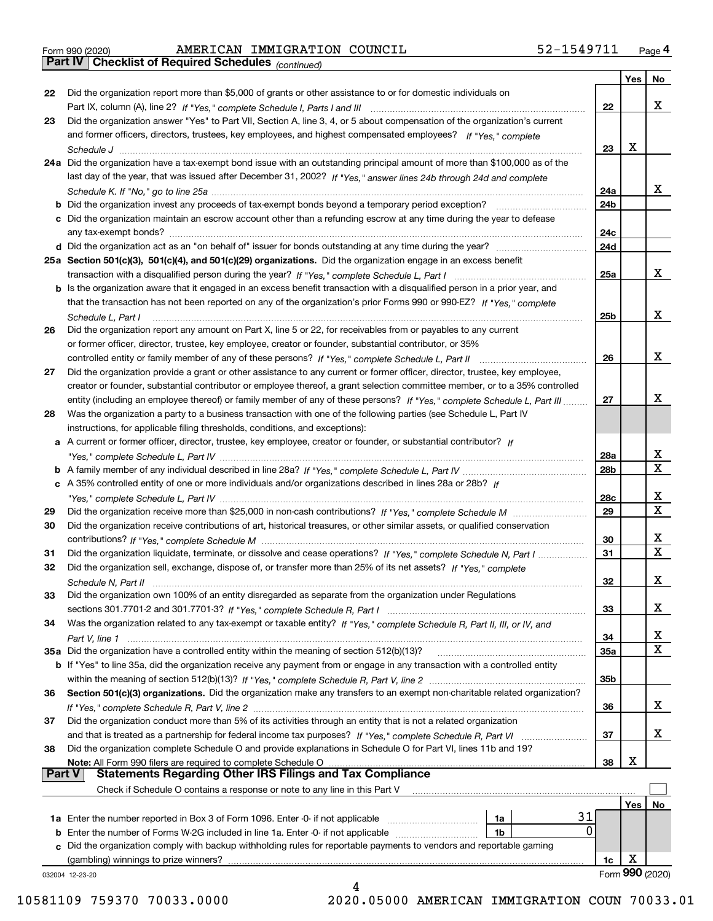|  | Form 990 (2020) |  |
|--|-----------------|--|

Form 990 (2020) AMERICAN IMMIGRATION COUNCIL 52-1549711 <sub>Page</sub> 4<br>**Part IV | Checklist of Required Schedules** <sub>(continued)</sub>

*(continued)*

|          |                                                                                                                                    |                 | Yes        | No              |
|----------|------------------------------------------------------------------------------------------------------------------------------------|-----------------|------------|-----------------|
| 22       | Did the organization report more than \$5,000 of grants or other assistance to or for domestic individuals on                      |                 |            |                 |
|          |                                                                                                                                    | 22              |            | х               |
| 23       | Did the organization answer "Yes" to Part VII, Section A, line 3, 4, or 5 about compensation of the organization's current         |                 |            |                 |
|          | and former officers, directors, trustees, key employees, and highest compensated employees? If "Yes," complete                     |                 |            |                 |
|          |                                                                                                                                    | 23              | x          |                 |
|          | 24a Did the organization have a tax-exempt bond issue with an outstanding principal amount of more than \$100,000 as of the        |                 |            |                 |
|          | last day of the year, that was issued after December 31, 2002? If "Yes," answer lines 24b through 24d and complete                 |                 |            |                 |
|          |                                                                                                                                    | 24a             |            | x               |
|          | <b>b</b> Did the organization invest any proceeds of tax-exempt bonds beyond a temporary period exception?                         | 24 <sub>b</sub> |            |                 |
|          | c Did the organization maintain an escrow account other than a refunding escrow at any time during the year to defease             |                 |            |                 |
|          |                                                                                                                                    | 24c             |            |                 |
|          |                                                                                                                                    | 24d             |            |                 |
|          | 25a Section 501(c)(3), 501(c)(4), and 501(c)(29) organizations. Did the organization engage in an excess benefit                   |                 |            |                 |
|          |                                                                                                                                    | 25a             |            | x               |
|          | b Is the organization aware that it engaged in an excess benefit transaction with a disqualified person in a prior year, and       |                 |            |                 |
|          | that the transaction has not been reported on any of the organization's prior Forms 990 or 990-EZ? If "Yes," complete              |                 |            |                 |
|          |                                                                                                                                    |                 |            | х               |
|          | Schedule L. Part I                                                                                                                 | 25b             |            |                 |
| 26       | Did the organization report any amount on Part X, line 5 or 22, for receivables from or payables to any current                    |                 |            |                 |
|          | or former officer, director, trustee, key employee, creator or founder, substantial contributor, or 35%                            |                 |            | x               |
|          |                                                                                                                                    | 26              |            |                 |
| 27       | Did the organization provide a grant or other assistance to any current or former officer, director, trustee, key employee,        |                 |            |                 |
|          | creator or founder, substantial contributor or employee thereof, a grant selection committee member, or to a 35% controlled        |                 |            | x               |
|          | entity (including an employee thereof) or family member of any of these persons? If "Yes," complete Schedule L, Part III           | 27              |            |                 |
| 28       | Was the organization a party to a business transaction with one of the following parties (see Schedule L, Part IV                  |                 |            |                 |
|          | instructions, for applicable filing thresholds, conditions, and exceptions):                                                       |                 |            |                 |
|          | a A current or former officer, director, trustee, key employee, creator or founder, or substantial contributor? If                 |                 |            |                 |
|          |                                                                                                                                    | 28a             |            | x               |
|          |                                                                                                                                    | 28 <sub>b</sub> |            | Х               |
|          | c A 35% controlled entity of one or more individuals and/or organizations described in lines 28a or 28b? If                        |                 |            |                 |
|          |                                                                                                                                    | 28c             |            | х               |
| 29       |                                                                                                                                    | 29              |            | X               |
| 30       | Did the organization receive contributions of art, historical treasures, or other similar assets, or qualified conservation        |                 |            |                 |
|          |                                                                                                                                    | 30              |            | х               |
| 31       | Did the organization liquidate, terminate, or dissolve and cease operations? If "Yes," complete Schedule N, Part I                 | 31              |            | $\mathbf X$     |
| 32       | Did the organization sell, exchange, dispose of, or transfer more than 25% of its net assets? If "Yes," complete                   |                 |            |                 |
|          |                                                                                                                                    | 32              |            | x               |
| 33       | Did the organization own 100% of an entity disregarded as separate from the organization under Regulations                         |                 |            |                 |
|          |                                                                                                                                    | 33              |            | х               |
| 34       | Was the organization related to any tax-exempt or taxable entity? If "Yes," complete Schedule R, Part II, III, or IV, and          |                 |            |                 |
|          |                                                                                                                                    | 34              |            | х               |
|          | 35a Did the organization have a controlled entity within the meaning of section 512(b)(13)?                                        | 35a             |            | X               |
|          | <b>b</b> If "Yes" to line 35a, did the organization receive any payment from or engage in any transaction with a controlled entity |                 |            |                 |
|          |                                                                                                                                    | 35 <sub>b</sub> |            |                 |
| 36       | Section 501(c)(3) organizations. Did the organization make any transfers to an exempt non-charitable related organization?         |                 |            |                 |
|          |                                                                                                                                    | 36              |            | X               |
| 37       | Did the organization conduct more than 5% of its activities through an entity that is not a related organization                   |                 |            |                 |
|          | and that is treated as a partnership for federal income tax purposes? If "Yes," complete Schedule R, Part VI                       | 37              |            | х               |
| 38       | Did the organization complete Schedule O and provide explanations in Schedule O for Part VI, lines 11b and 19?                     |                 |            |                 |
|          | Note: All Form 990 filers are required to complete Schedule O                                                                      | 38              | х          |                 |
| ∣ Part V | <b>Statements Regarding Other IRS Filings and Tax Compliance</b>                                                                   |                 |            |                 |
|          | Check if Schedule O contains a response or note to any line in this Part V                                                         |                 |            |                 |
|          |                                                                                                                                    |                 | <b>Yes</b> | No              |
|          | 31<br>1a                                                                                                                           |                 |            |                 |
|          | 0<br><b>b</b> Enter the number of Forms W-2G included in line 1a. Enter -0- if not applicable<br>1b                                |                 |            |                 |
|          | c Did the organization comply with backup withholding rules for reportable payments to vendors and reportable gaming               |                 |            |                 |
|          | (gambling) winnings to prize winners?                                                                                              | 1c              | X          |                 |
|          | 032004 12-23-20                                                                                                                    |                 |            | Form 990 (2020) |
|          | 4                                                                                                                                  |                 |            |                 |

10581109 759370 70033.0000 2020.05000 AMERICAN IMMIGRATION COUN 70033.01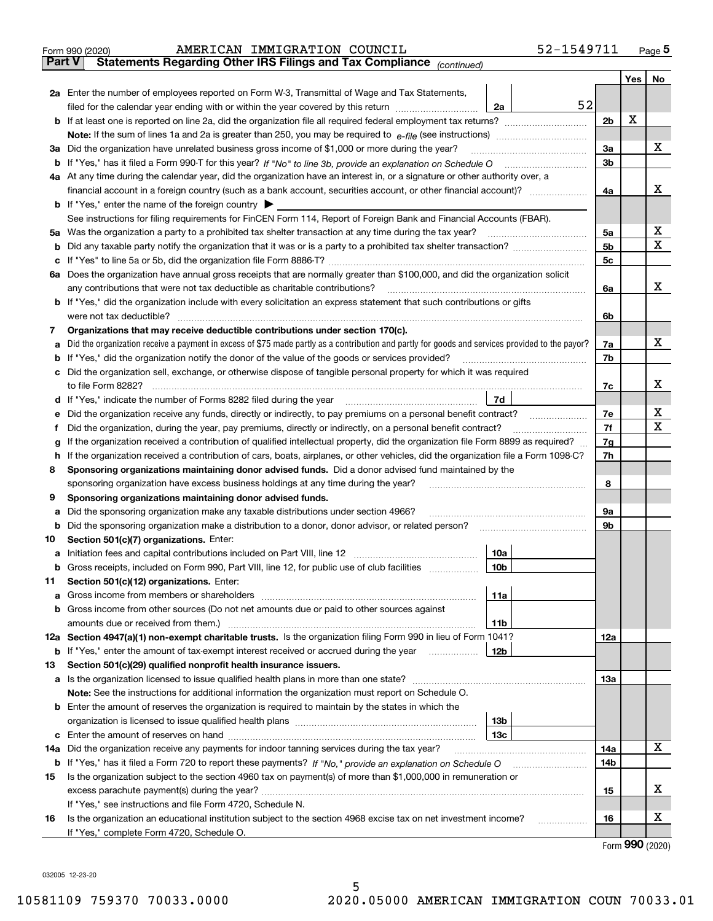|               | 52-1549711<br>AMERICAN IMMIGRATION COUNCIL<br>Form 990 (2020)                                                                                   |                |   | $Page$ 5    |
|---------------|-------------------------------------------------------------------------------------------------------------------------------------------------|----------------|---|-------------|
| <b>Part V</b> | Statements Regarding Other IRS Filings and Tax Compliance (continued)                                                                           |                |   |             |
|               |                                                                                                                                                 |                |   | Yes   No    |
|               | 2a Enter the number of employees reported on Form W-3, Transmittal of Wage and Tax Statements,                                                  |                |   |             |
|               | filed for the calendar year ending with or within the year covered by this return<br>2a                                                         | 52             |   |             |
|               |                                                                                                                                                 | 2b             | X |             |
|               |                                                                                                                                                 |                |   |             |
|               | 3a Did the organization have unrelated business gross income of \$1,000 or more during the year?                                                | За             |   | х           |
|               |                                                                                                                                                 | 3b             |   |             |
|               | 4a At any time during the calendar year, did the organization have an interest in, or a signature or other authority over, a                    |                |   |             |
|               |                                                                                                                                                 | 4a             |   | х           |
|               | <b>b</b> If "Yes," enter the name of the foreign country                                                                                        |                |   |             |
|               | See instructions for filing requirements for FinCEN Form 114, Report of Foreign Bank and Financial Accounts (FBAR).                             |                |   |             |
| 5a            |                                                                                                                                                 | 5а             |   | х           |
| b             |                                                                                                                                                 | 5b             |   | $\mathbf X$ |
| с             |                                                                                                                                                 | 5 <sub>c</sub> |   |             |
|               | 6a Does the organization have annual gross receipts that are normally greater than \$100,000, and did the organization solicit                  |                |   |             |
|               | any contributions that were not tax deductible as charitable contributions?                                                                     | 6a             |   | х           |
|               | b If "Yes," did the organization include with every solicitation an express statement that such contributions or gifts                          |                |   |             |
|               | were not tax deductible?                                                                                                                        | 6b             |   |             |
| 7             | Organizations that may receive deductible contributions under section 170(c).                                                                   |                |   |             |
| a             | Did the organization receive a payment in excess of \$75 made partly as a contribution and partly for goods and services provided to the payor? | 7a             |   | х           |
| b             | If "Yes," did the organization notify the donor of the value of the goods or services provided?                                                 | 7b             |   |             |
|               | Did the organization sell, exchange, or otherwise dispose of tangible personal property for which it was required                               |                |   |             |
|               |                                                                                                                                                 | 7c             |   | х           |
| d             | 7d                                                                                                                                              |                |   |             |
|               | Did the organization receive any funds, directly or indirectly, to pay premiums on a personal benefit contract?                                 | 7e             |   | х           |
| f             | Did the organization, during the year, pay premiums, directly or indirectly, on a personal benefit contract?                                    | 7f             |   | X           |
| g             | If the organization received a contribution of qualified intellectual property, did the organization file Form 8899 as required?                | 7g             |   |             |
| h             | If the organization received a contribution of cars, boats, airplanes, or other vehicles, did the organization file a Form 1098-C?              | 7h             |   |             |
| 8             | Sponsoring organizations maintaining donor advised funds. Did a donor advised fund maintained by the                                            |                |   |             |
|               | sponsoring organization have excess business holdings at any time during the year?                                                              | 8              |   |             |
| 9             | Sponsoring organizations maintaining donor advised funds.                                                                                       |                |   |             |
| а             | Did the sponsoring organization make any taxable distributions under section 4966?                                                              | 9а             |   |             |
| b             | Did the sponsoring organization make a distribution to a donor, donor advisor, or related person?                                               | 9b             |   |             |
| 10            | Section 501(c)(7) organizations. Enter:                                                                                                         |                |   |             |
|               | <u>10a</u>                                                                                                                                      |                |   |             |
|               | b Gross receipts, included on Form 990, Part VIII, line 12, for public use of club facilities<br>10 <sub>b</sub>                                |                |   |             |
| 11            | Section 501(c)(12) organizations. Enter:                                                                                                        |                |   |             |
| а             | Gross income from members or shareholders<br>11a                                                                                                |                |   |             |
| b             | Gross income from other sources (Do not net amounts due or paid to other sources against<br>amounts due or received from them.)<br>11b          |                |   |             |
|               | 12a Section 4947(a)(1) non-exempt charitable trusts. Is the organization filing Form 990 in lieu of Form 1041?                                  | 12a            |   |             |
|               | <b>b</b> If "Yes," enter the amount of tax-exempt interest received or accrued during the year <i>manument</i><br>12b                           |                |   |             |
| 13            | Section 501(c)(29) qualified nonprofit health insurance issuers.                                                                                |                |   |             |
|               | a Is the organization licensed to issue qualified health plans in more than one state?                                                          | 13а            |   |             |
|               | Note: See the instructions for additional information the organization must report on Schedule O.                                               |                |   |             |
|               | <b>b</b> Enter the amount of reserves the organization is required to maintain by the states in which the                                       |                |   |             |
|               | 13b                                                                                                                                             |                |   |             |
|               | 13c                                                                                                                                             |                |   |             |
|               | 14a Did the organization receive any payments for indoor tanning services during the tax year?                                                  | 14a            |   | х           |
|               | <b>b</b> If "Yes," has it filed a Form 720 to report these payments? If "No," provide an explanation on Schedule O                              | 14b            |   |             |
| 15            | Is the organization subject to the section 4960 tax on payment(s) of more than \$1,000,000 in remuneration or                                   |                |   |             |
|               |                                                                                                                                                 | 15             |   | х           |
|               | If "Yes," see instructions and file Form 4720, Schedule N.                                                                                      |                |   |             |
| 16            | Is the organization an educational institution subject to the section 4968 excise tax on net investment income?                                 | 16             |   | x           |
|               | If "Yes," complete Form 4720, Schedule O.                                                                                                       |                |   |             |

Form (2020) **990**

032005 12-23-20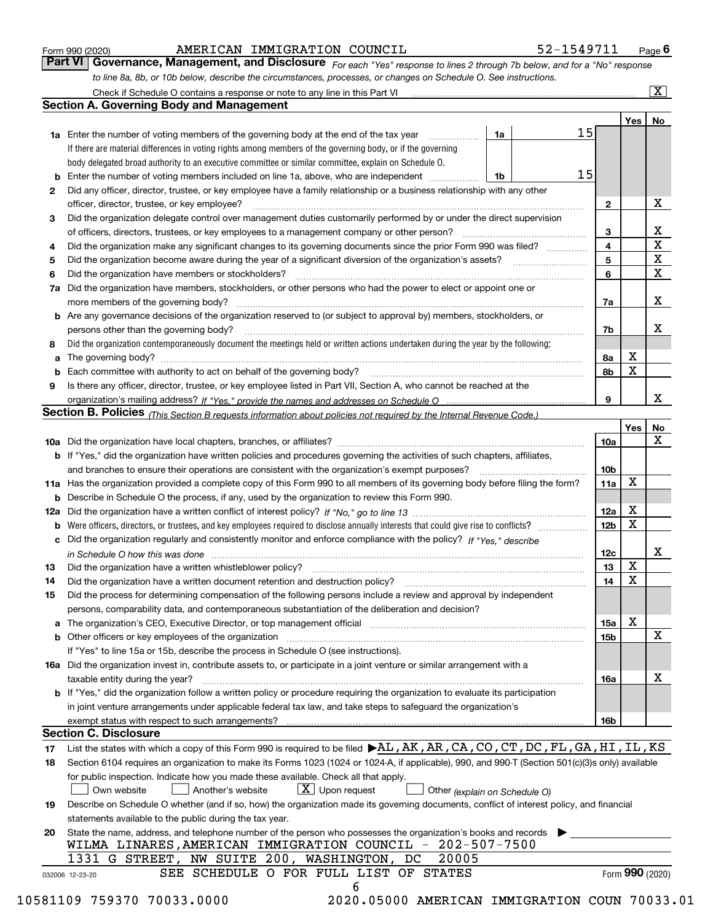|  | Form 990 (2020) |
|--|-----------------|
|  |                 |

AMERICAN IMMIGRATION COUNCIL 52-1549711

*For each "Yes" response to lines 2 through 7b below, and for a "No" response to line 8a, 8b, or 10b below, describe the circumstances, processes, or changes on Schedule O. See instructions.* Form 990 (2020) **AMERICAN IMMIGRATION COUNCIL** 52-1549711 <sub>Page</sub> 6<br>**Part VI Governance, Management, and Disclosure** *For each "Yes" response to lines 2 through 7b below, and for a "No" response* 

|     | Check if Schedule O contains a response or note to any line in this Part VI                                                                                           |    |    |                 |     | x               |  |
|-----|-----------------------------------------------------------------------------------------------------------------------------------------------------------------------|----|----|-----------------|-----|-----------------|--|
|     | <b>Section A. Governing Body and Management</b>                                                                                                                       |    |    |                 |     |                 |  |
|     |                                                                                                                                                                       |    |    |                 | Yes | No              |  |
|     | 1a Enter the number of voting members of the governing body at the end of the tax year                                                                                | 1a | 15 |                 |     |                 |  |
|     | If there are material differences in voting rights among members of the governing body, or if the governing                                                           |    |    |                 |     |                 |  |
|     | body delegated broad authority to an executive committee or similar committee, explain on Schedule O.                                                                 |    |    |                 |     |                 |  |
| b   | Enter the number of voting members included on line 1a, above, who are independent                                                                                    | 1b | 15 |                 |     |                 |  |
| 2   | Did any officer, director, trustee, or key employee have a family relationship or a business relationship with any other                                              |    |    |                 |     |                 |  |
|     | officer, director, trustee, or key employee?                                                                                                                          |    |    | $\mathbf{2}$    |     | X               |  |
| 3   | Did the organization delegate control over management duties customarily performed by or under the direct supervision                                                 |    |    |                 |     |                 |  |
|     | of officers, directors, trustees, or key employees to a management company or other person?                                                                           |    |    | 3               |     | x               |  |
| 4   | Did the organization make any significant changes to its governing documents since the prior Form 990 was filed?                                                      |    |    | $\overline{4}$  |     | $\mathbf X$     |  |
| 5   |                                                                                                                                                                       |    |    | 5               |     | $\mathbf X$     |  |
| 6   | Did the organization have members or stockholders?                                                                                                                    |    |    | 6               |     | $\mathbf X$     |  |
| 7a  | Did the organization have members, stockholders, or other persons who had the power to elect or appoint one or                                                        |    |    |                 |     |                 |  |
|     | more members of the governing body?                                                                                                                                   |    |    | 7a              |     | х               |  |
|     | <b>b</b> Are any governance decisions of the organization reserved to (or subject to approval by) members, stockholders, or                                           |    |    |                 |     |                 |  |
|     | persons other than the governing body?                                                                                                                                |    |    |                 |     | x               |  |
|     |                                                                                                                                                                       |    |    | 7b              |     |                 |  |
| 8   | Did the organization contemporaneously document the meetings held or written actions undertaken during the year by the following:<br>The governing body?              |    |    |                 | х   |                 |  |
| a   |                                                                                                                                                                       |    |    | 8a              | X   |                 |  |
| b   |                                                                                                                                                                       |    |    | 8b              |     |                 |  |
| 9   | Is there any officer, director, trustee, or key employee listed in Part VII, Section A, who cannot be reached at the                                                  |    |    |                 |     | x               |  |
|     |                                                                                                                                                                       |    |    | 9               |     |                 |  |
|     | <b>Section B. Policies</b> (This Section B requests information about policies not required by the Internal Revenue Code.)                                            |    |    |                 |     |                 |  |
|     |                                                                                                                                                                       |    |    |                 | Yes | No<br>х         |  |
|     |                                                                                                                                                                       |    |    | 10a             |     |                 |  |
|     | <b>b</b> If "Yes," did the organization have written policies and procedures governing the activities of such chapters, affiliates,                                   |    |    |                 |     |                 |  |
|     | and branches to ensure their operations are consistent with the organization's exempt purposes?                                                                       |    |    | 10 <sub>b</sub> |     |                 |  |
|     | 11a Has the organization provided a complete copy of this Form 990 to all members of its governing body before filing the form?                                       |    |    | 11a             | X   |                 |  |
| b   | Describe in Schedule O the process, if any, used by the organization to review this Form 990.                                                                         |    |    |                 |     |                 |  |
| 12a |                                                                                                                                                                       |    |    | 12a             | X   |                 |  |
| b   |                                                                                                                                                                       |    |    | 12 <sub>b</sub> | X   |                 |  |
| с   | Did the organization regularly and consistently monitor and enforce compliance with the policy? If "Yes." describe                                                    |    |    |                 |     |                 |  |
|     | in Schedule O how this was done measured and contained a state of the state of the state of the state of the s                                                        |    |    | 12c             |     | х               |  |
| 13  | Did the organization have a written whistleblower policy?                                                                                                             |    |    | 13              | X   |                 |  |
| 14  | Did the organization have a written document retention and destruction policy?                                                                                        |    |    | 14              | X   |                 |  |
| 15  | Did the process for determining compensation of the following persons include a review and approval by independent                                                    |    |    |                 |     |                 |  |
|     | persons, comparability data, and contemporaneous substantiation of the deliberation and decision?                                                                     |    |    |                 |     |                 |  |
| a   | The organization's CEO, Executive Director, or top management official manufactured content of the organization's CEO, Executive Director, or top management official |    |    | 15a             | X   |                 |  |
|     | <b>b</b> Other officers or key employees of the organization                                                                                                          |    |    | 15b             |     | х               |  |
|     | If "Yes" to line 15a or 15b, describe the process in Schedule O (see instructions).                                                                                   |    |    |                 |     |                 |  |
|     | 16a Did the organization invest in, contribute assets to, or participate in a joint venture or similar arrangement with a                                             |    |    |                 |     |                 |  |
|     | taxable entity during the year?                                                                                                                                       |    |    | 16a             |     | х               |  |
|     | b If "Yes," did the organization follow a written policy or procedure requiring the organization to evaluate its participation                                        |    |    |                 |     |                 |  |
|     | in joint venture arrangements under applicable federal tax law, and take steps to safeguard the organization's                                                        |    |    |                 |     |                 |  |
|     | exempt status with respect to such arrangements?                                                                                                                      |    |    | 16b             |     |                 |  |
|     | <b>Section C. Disclosure</b>                                                                                                                                          |    |    |                 |     |                 |  |
| 17  | List the states with which a copy of this Form 990 is required to be filed ▶AL, AK, AR, CA, CO, CT, DC, FL, GA, HI, IL, KS                                            |    |    |                 |     |                 |  |
| 18  | Section 6104 requires an organization to make its Forms 1023 (1024 or 1024-A, if applicable), 990, and 990-T (Section 501(c)(3)s only) available                      |    |    |                 |     |                 |  |
|     | for public inspection. Indicate how you made these available. Check all that apply.                                                                                   |    |    |                 |     |                 |  |
|     | $X$ Upon request<br>Another's website<br>Own website<br>Other (explain on Schedule O)                                                                                 |    |    |                 |     |                 |  |
| 19  | Describe on Schedule O whether (and if so, how) the organization made its governing documents, conflict of interest policy, and financial                             |    |    |                 |     |                 |  |
|     | statements available to the public during the tax year.                                                                                                               |    |    |                 |     |                 |  |
| 20  | State the name, address, and telephone number of the person who possesses the organization's books and records                                                        |    |    |                 |     |                 |  |
|     | $202 - 507 - 7500$<br>WILMA LINARES, AMERICAN IMMIGRATION COUNCIL -                                                                                                   |    |    |                 |     |                 |  |
|     | 20005<br>1331 G STREET, NW SUITE 200, WASHINGTON, DC                                                                                                                  |    |    |                 |     |                 |  |
|     | SEE SCHEDULE O FOR FULL LIST OF STATES<br>032006 12-23-20                                                                                                             |    |    |                 |     | Form 990 (2020) |  |
|     | 6                                                                                                                                                                     |    |    |                 |     |                 |  |

10581109 759370 70033.0000 2020.05000 AMERICAN IMMIGRATION COUN 70033.01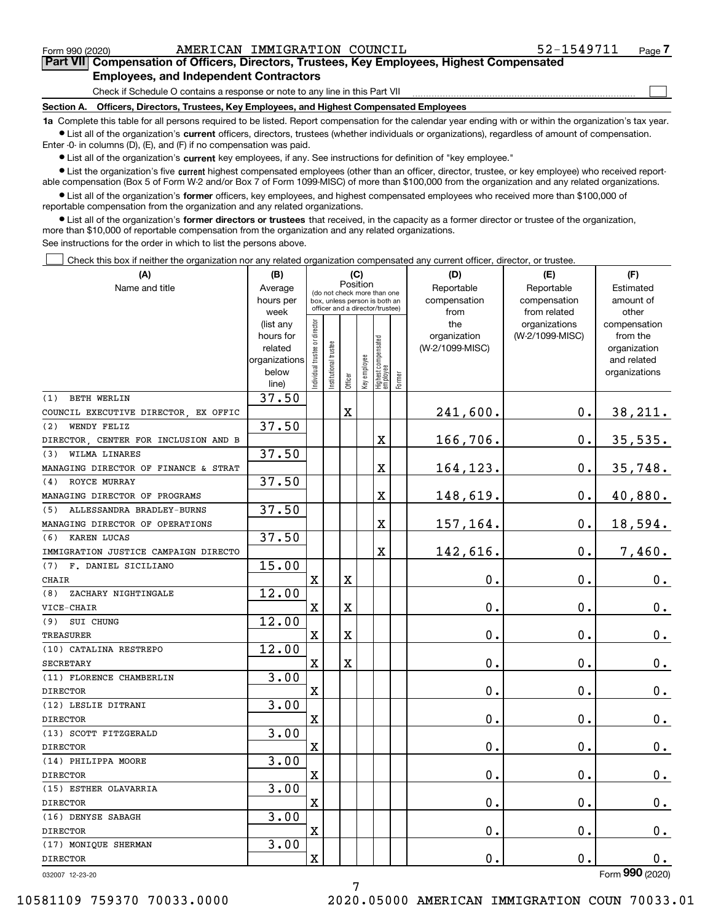$\mathcal{L}^{\text{max}}$ 

# **7Part VII Compensation of Officers, Directors, Trustees, Key Employees, Highest Compensated Employees, and Independent Contractors**

Check if Schedule O contains a response or note to any line in this Part VII

**Section A. Officers, Directors, Trustees, Key Employees, and Highest Compensated Employees**

**1a**  Complete this table for all persons required to be listed. Report compensation for the calendar year ending with or within the organization's tax year. **•** List all of the organization's current officers, directors, trustees (whether individuals or organizations), regardless of amount of compensation.

Enter -0- in columns (D), (E), and (F) if no compensation was paid.

 $\bullet$  List all of the organization's  $\,$ current key employees, if any. See instructions for definition of "key employee."

**•** List the organization's five current highest compensated employees (other than an officer, director, trustee, or key employee) who received reportable compensation (Box 5 of Form W-2 and/or Box 7 of Form 1099-MISC) of more than \$100,000 from the organization and any related organizations.

**•** List all of the organization's former officers, key employees, and highest compensated employees who received more than \$100,000 of reportable compensation from the organization and any related organizations.

**former directors or trustees**  ¥ List all of the organization's that received, in the capacity as a former director or trustee of the organization, more than \$10,000 of reportable compensation from the organization and any related organizations.

See instructions for the order in which to list the persons above.

Check this box if neither the organization nor any related organization compensated any current officer, director, or trustee.  $\mathcal{L}^{\text{max}}$ 

| (A)                                  | (B)                    | (C)                           |                                                                  | (D)         | (E)          | (F)                              |           |                     |                                  |                          |
|--------------------------------------|------------------------|-------------------------------|------------------------------------------------------------------|-------------|--------------|----------------------------------|-----------|---------------------|----------------------------------|--------------------------|
| Name and title                       | Average                |                               | Position<br>(do not check more than one                          |             | Reportable   | Reportable                       | Estimated |                     |                                  |                          |
|                                      | hours per              |                               | box, unless person is both an<br>officer and a director/trustee) |             |              |                                  |           | compensation        | compensation                     | amount of                |
|                                      | week                   |                               |                                                                  |             |              |                                  |           | from                | from related                     | other                    |
|                                      | (list any<br>hours for |                               |                                                                  |             |              |                                  |           | the<br>organization | organizations<br>(W-2/1099-MISC) | compensation<br>from the |
|                                      | related                |                               |                                                                  |             |              |                                  |           | (W-2/1099-MISC)     |                                  | organization             |
|                                      | organizations          |                               |                                                                  |             |              |                                  |           |                     |                                  | and related              |
|                                      | below                  | ndividual trustee or director | Institutional trustee                                            |             | Key employee |                                  |           |                     |                                  | organizations            |
|                                      | line)                  |                               |                                                                  | Officer     |              | Highest compensated<br> employee | Former    |                     |                                  |                          |
| <b>BETH WERLIN</b><br>(1)            | 37.50                  |                               |                                                                  |             |              |                                  |           |                     |                                  |                          |
| COUNCIL EXECUTIVE DIRECTOR, EX OFFIC |                        |                               |                                                                  | $\mathbf X$ |              |                                  |           | 241,600.            | 0.                               | 38,211.                  |
| (2)<br>WENDY FELIZ                   | 37.50                  |                               |                                                                  |             |              |                                  |           |                     |                                  |                          |
| DIRECTOR, CENTER FOR INCLUSION AND B |                        |                               |                                                                  |             |              | X                                |           | 166,706.            | 0.                               | 35,535.                  |
| WILMA LINARES<br>(3)                 | 37.50                  |                               |                                                                  |             |              |                                  |           |                     |                                  |                          |
| MANAGING DIRECTOR OF FINANCE & STRAT |                        |                               |                                                                  |             |              | X                                |           | 164, 123.           | 0.                               | 35,748.                  |
| ROYCE MURRAY<br>(4)                  | 37.50                  |                               |                                                                  |             |              |                                  |           |                     |                                  |                          |
| MANAGING DIRECTOR OF PROGRAMS        |                        |                               |                                                                  |             |              | X                                |           | 148,619.            | $0$ .                            | 40,880.                  |
| ALLESSANDRA BRADLEY-BURNS<br>(5)     | 37.50                  |                               |                                                                  |             |              |                                  |           |                     |                                  |                          |
| MANAGING DIRECTOR OF OPERATIONS      |                        |                               |                                                                  |             |              | X                                |           | 157,164.            | $\mathbf 0$ .                    | 18,594.                  |
| (6)<br><b>KAREN LUCAS</b>            | 37.50                  |                               |                                                                  |             |              |                                  |           |                     |                                  |                          |
| IMMIGRATION JUSTICE CAMPAIGN DIRECTO |                        |                               |                                                                  |             |              | X                                |           | 142,616.            | 0.                               | 7,460.                   |
| F. DANIEL SICILIANO<br>(7)           | 15.00                  |                               |                                                                  |             |              |                                  |           |                     |                                  |                          |
| <b>CHAIR</b>                         |                        | X                             |                                                                  | X           |              |                                  |           | $\mathbf 0$ .       | 0.                               | 0.                       |
| (8)<br>ZACHARY NIGHTINGALE           | 12.00                  |                               |                                                                  |             |              |                                  |           |                     |                                  |                          |
| VICE-CHAIR                           |                        | $\mathbf x$                   |                                                                  | X           |              |                                  |           | $\mathbf 0$ .       | 0.                               | 0.                       |
| SUI CHUNG<br>(9)                     | 12.00                  |                               |                                                                  |             |              |                                  |           |                     |                                  |                          |
| <b>TREASURER</b>                     |                        | $\mathbf X$                   |                                                                  | X           |              |                                  |           | $\mathbf 0$ .       | 0.                               | 0.                       |
| (10) CATALINA RESTREPO               | 12.00                  |                               |                                                                  |             |              |                                  |           |                     |                                  |                          |
| <b>SECRETARY</b>                     |                        | x                             |                                                                  | $\mathbf X$ |              |                                  |           | $\mathbf 0$ .       | $\mathbf 0$ .                    | 0.                       |
| (11) FLORENCE CHAMBERLIN             | 3.00                   |                               |                                                                  |             |              |                                  |           |                     |                                  |                          |
| <b>DIRECTOR</b>                      |                        | $\mathbf x$                   |                                                                  |             |              |                                  |           | $\mathbf 0$ .       | Ο.                               | 0.                       |
| (12) LESLIE DITRANI                  | 3.00                   |                               |                                                                  |             |              |                                  |           |                     |                                  |                          |
| <b>DIRECTOR</b>                      |                        | X                             |                                                                  |             |              |                                  |           | $\mathbf 0$ .       | 0.                               | $0_{.}$                  |
| (13) SCOTT FITZGERALD                | 3.00                   |                               |                                                                  |             |              |                                  |           |                     |                                  |                          |
| <b>DIRECTOR</b>                      |                        | X                             |                                                                  |             |              |                                  |           | $\mathbf 0$ .       | $\mathbf 0$ .                    | $\mathbf 0$ .            |
| (14) PHILIPPA MOORE                  | 3.00                   |                               |                                                                  |             |              |                                  |           |                     |                                  |                          |
| <b>DIRECTOR</b>                      |                        | $\mathbf x$                   |                                                                  |             |              |                                  |           | $\mathbf 0$ .       | $\mathbf 0$ .                    | $\mathbf 0$ .            |
| (15) ESTHER OLAVARRIA                | 3.00                   |                               |                                                                  |             |              |                                  |           |                     |                                  |                          |
| <b>DIRECTOR</b>                      |                        | X                             |                                                                  |             |              |                                  |           | $\mathbf 0$ .       | 0.                               | 0.                       |
| (16) DENYSE SABAGH                   | 3.00                   |                               |                                                                  |             |              |                                  |           |                     |                                  |                          |
| <b>DIRECTOR</b>                      |                        | $\overline{\text{X}}$         |                                                                  |             |              |                                  |           | $\mathbf 0$ .       | 0.                               | $\mathbf 0$ .            |
| (17) MONIQUE SHERMAN                 | 3.00                   |                               |                                                                  |             |              |                                  |           |                     |                                  |                          |
| <b>DIRECTOR</b>                      |                        | X                             |                                                                  |             |              |                                  |           | $\mathbf 0$ .       | 0.                               | 0.                       |
|                                      |                        |                               |                                                                  |             |              |                                  |           |                     |                                  | $\overline{2}$           |

7

032007 12-23-20

Form (2020) **990**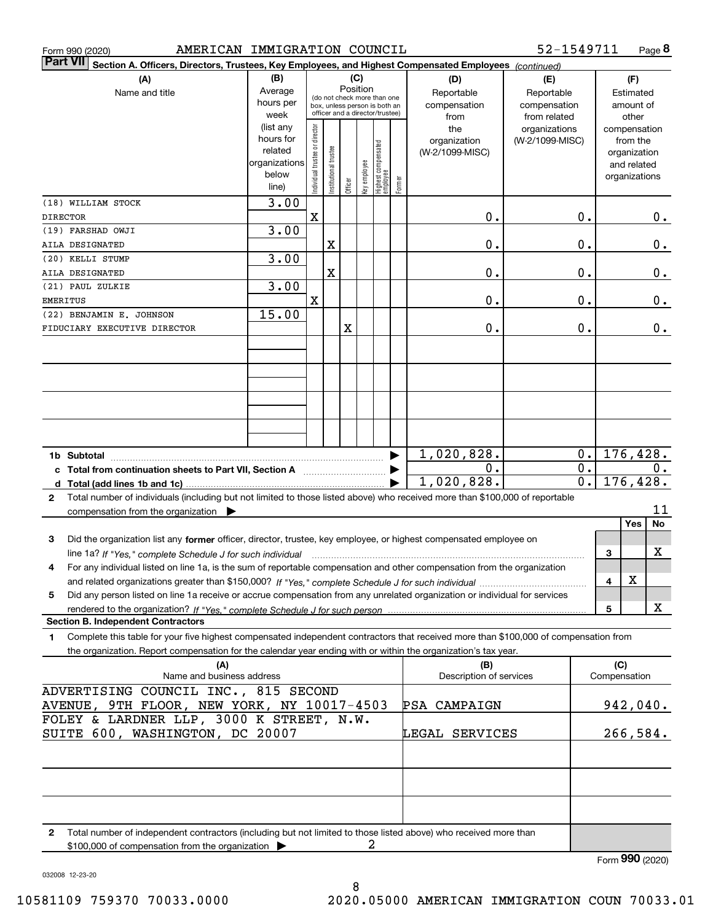| AMERICAN IMMIGRATION COUNCIL<br>Form 990 (2020)                                                                                                                          |                                                                              |                                |                                                                                 |         |              |                                                                    |        |                                                | 52-1549711                                       |                  |              | Page 8                                                                            |
|--------------------------------------------------------------------------------------------------------------------------------------------------------------------------|------------------------------------------------------------------------------|--------------------------------|---------------------------------------------------------------------------------|---------|--------------|--------------------------------------------------------------------|--------|------------------------------------------------|--------------------------------------------------|------------------|--------------|-----------------------------------------------------------------------------------|
| <b>Part VII</b><br>Section A. Officers, Directors, Trustees, Key Employees, and Highest Compensated Employees (continued)                                                |                                                                              |                                |                                                                                 |         |              |                                                                    |        |                                                |                                                  |                  |              |                                                                                   |
| (A)<br>(B)<br>Average<br>Name and title<br>hours per                                                                                                                     |                                                                              |                                | (C)<br>Position<br>(do not check more than one<br>box, unless person is both an |         |              |                                                                    |        | (D)<br>Reportable<br>compensation              | (E)<br>Reportable<br>compensation                |                  |              | (F)<br>Estimated<br>amount of                                                     |
|                                                                                                                                                                          | week<br>(list any<br>hours for<br>related<br>organizations<br>below<br>line) | Individual trustee or director | Institutional trustee                                                           | Officer | key employee | officer and a director/trustee)<br>Highest compensated<br>employee | Former | from<br>the<br>organization<br>(W-2/1099-MISC) | from related<br>organizations<br>(W-2/1099-MISC) |                  |              | other<br>compensation<br>from the<br>organization<br>and related<br>organizations |
| (18) WILLIAM STOCK                                                                                                                                                       | 3.00                                                                         |                                |                                                                                 |         |              |                                                                    |        |                                                |                                                  |                  |              |                                                                                   |
| <b>DIRECTOR</b>                                                                                                                                                          |                                                                              | $\mathbf X$                    |                                                                                 |         |              |                                                                    |        | 0.                                             |                                                  | 0.               |              | 0.                                                                                |
| (19) FARSHAD OWJI                                                                                                                                                        | 3.00                                                                         |                                | X                                                                               |         |              |                                                                    |        | 0.                                             |                                                  | 0.               |              | $\mathbf 0$ .                                                                     |
| AILA DESIGNATED<br>(20) KELLI STUMP                                                                                                                                      | 3.00                                                                         |                                |                                                                                 |         |              |                                                                    |        |                                                |                                                  |                  |              |                                                                                   |
| AILA DESIGNATED                                                                                                                                                          |                                                                              |                                | $\mathbf X$                                                                     |         |              |                                                                    |        | 0.                                             |                                                  | Ο.               |              | 0.                                                                                |
| (21) PAUL ZULKIE                                                                                                                                                         | 3.00                                                                         |                                |                                                                                 |         |              |                                                                    |        |                                                |                                                  |                  |              |                                                                                   |
| EMERITUS                                                                                                                                                                 |                                                                              | X                              |                                                                                 |         |              |                                                                    |        | 0.                                             |                                                  | Ο.               |              | 0.                                                                                |
| (22) BENJAMIN E. JOHNSON                                                                                                                                                 | 15.00                                                                        |                                |                                                                                 |         |              |                                                                    |        |                                                |                                                  |                  |              |                                                                                   |
| FIDUCIARY EXECUTIVE DIRECTOR                                                                                                                                             |                                                                              |                                |                                                                                 | X       |              |                                                                    |        | 0.                                             |                                                  | 0.               |              | 0.                                                                                |
|                                                                                                                                                                          |                                                                              |                                |                                                                                 |         |              |                                                                    |        |                                                |                                                  |                  |              |                                                                                   |
|                                                                                                                                                                          |                                                                              |                                |                                                                                 |         |              |                                                                    |        |                                                |                                                  |                  |              |                                                                                   |
|                                                                                                                                                                          |                                                                              |                                |                                                                                 |         |              |                                                                    |        |                                                |                                                  |                  |              |                                                                                   |
|                                                                                                                                                                          |                                                                              |                                |                                                                                 |         |              |                                                                    |        |                                                |                                                  |                  |              |                                                                                   |
|                                                                                                                                                                          |                                                                              |                                |                                                                                 |         |              |                                                                    |        |                                                |                                                  |                  |              |                                                                                   |
| 1b Subtotal                                                                                                                                                              |                                                                              |                                |                                                                                 |         |              |                                                                    |        | 1,020,828.                                     |                                                  | 0.               |              | 176, 428.                                                                         |
| c Total from continuation sheets to Part VII, Section A <b>Constitution</b> of the Total from continuum                                                                  |                                                                              |                                |                                                                                 |         |              |                                                                    |        | 0.                                             |                                                  | 0.               |              | 0.                                                                                |
|                                                                                                                                                                          |                                                                              |                                |                                                                                 |         |              |                                                                    |        | 1,020,828.                                     |                                                  | $\overline{0}$ . |              | 176,428.                                                                          |
| Total number of individuals (including but not limited to those listed above) who received more than \$100,000 of reportable<br>2                                        |                                                                              |                                |                                                                                 |         |              |                                                                    |        |                                                |                                                  |                  |              | 11                                                                                |
| compensation from the organization $\blacktriangleright$                                                                                                                 |                                                                              |                                |                                                                                 |         |              |                                                                    |        |                                                |                                                  |                  |              | Yes<br>No                                                                         |
| Did the organization list any former officer, director, trustee, key employee, or highest compensated employee on<br>3                                                   |                                                                              |                                |                                                                                 |         |              |                                                                    |        |                                                |                                                  |                  |              |                                                                                   |
| line 1a? If "Yes," complete Schedule J for such individual manufactured contained and the Ves," complete Schedule J for such individual                                  |                                                                              |                                |                                                                                 |         |              |                                                                    |        |                                                |                                                  |                  | 3            | х                                                                                 |
| For any individual listed on line 1a, is the sum of reportable compensation and other compensation from the organization<br>4                                            |                                                                              |                                |                                                                                 |         |              |                                                                    |        |                                                |                                                  |                  |              |                                                                                   |
|                                                                                                                                                                          |                                                                              |                                |                                                                                 |         |              |                                                                    |        |                                                |                                                  |                  | 4            | X                                                                                 |
| Did any person listed on line 1a receive or accrue compensation from any unrelated organization or individual for services<br>5                                          |                                                                              |                                |                                                                                 |         |              |                                                                    |        |                                                |                                                  |                  | 5            | X                                                                                 |
| <b>Section B. Independent Contractors</b>                                                                                                                                |                                                                              |                                |                                                                                 |         |              |                                                                    |        |                                                |                                                  |                  |              |                                                                                   |
| Complete this table for your five highest compensated independent contractors that received more than \$100,000 of compensation from<br>1                                |                                                                              |                                |                                                                                 |         |              |                                                                    |        |                                                |                                                  |                  |              |                                                                                   |
| the organization. Report compensation for the calendar year ending with or within the organization's tax year.<br>(A)                                                    |                                                                              |                                |                                                                                 |         |              |                                                                    |        | (B)                                            |                                                  |                  | (C)          |                                                                                   |
| Name and business address                                                                                                                                                |                                                                              |                                |                                                                                 |         |              |                                                                    |        | Description of services                        |                                                  |                  | Compensation |                                                                                   |
| ADVERTISING COUNCIL INC., 815 SECOND                                                                                                                                     |                                                                              |                                |                                                                                 |         |              |                                                                    |        |                                                |                                                  |                  |              |                                                                                   |
| AVENUE, 9TH FLOOR, NEW YORK, NY 10017-4503                                                                                                                               |                                                                              |                                |                                                                                 |         |              |                                                                    |        | PSA CAMPAIGN                                   |                                                  |                  |              | 942,040.                                                                          |
| FOLEY & LARDNER LLP, 3000 K STREET, N.W.                                                                                                                                 |                                                                              |                                |                                                                                 |         |              |                                                                    |        |                                                |                                                  |                  |              |                                                                                   |
| SUITE 600, WASHINGTON, DC 20007                                                                                                                                          |                                                                              |                                |                                                                                 |         |              |                                                                    |        | LEGAL SERVICES                                 |                                                  |                  |              | 266,584.                                                                          |
|                                                                                                                                                                          |                                                                              |                                |                                                                                 |         |              |                                                                    |        |                                                |                                                  |                  |              |                                                                                   |
|                                                                                                                                                                          |                                                                              |                                |                                                                                 |         |              |                                                                    |        |                                                |                                                  |                  |              |                                                                                   |
|                                                                                                                                                                          |                                                                              |                                |                                                                                 |         |              |                                                                    |        |                                                |                                                  |                  |              |                                                                                   |
| Total number of independent contractors (including but not limited to those listed above) who received more than<br>2<br>\$100,000 of compensation from the organization |                                                                              |                                |                                                                                 |         | 2            |                                                                    |        |                                                |                                                  |                  |              |                                                                                   |
|                                                                                                                                                                          |                                                                              |                                |                                                                                 |         |              |                                                                    |        |                                                |                                                  |                  |              | Form 990 (2020)                                                                   |

032008 12-23-20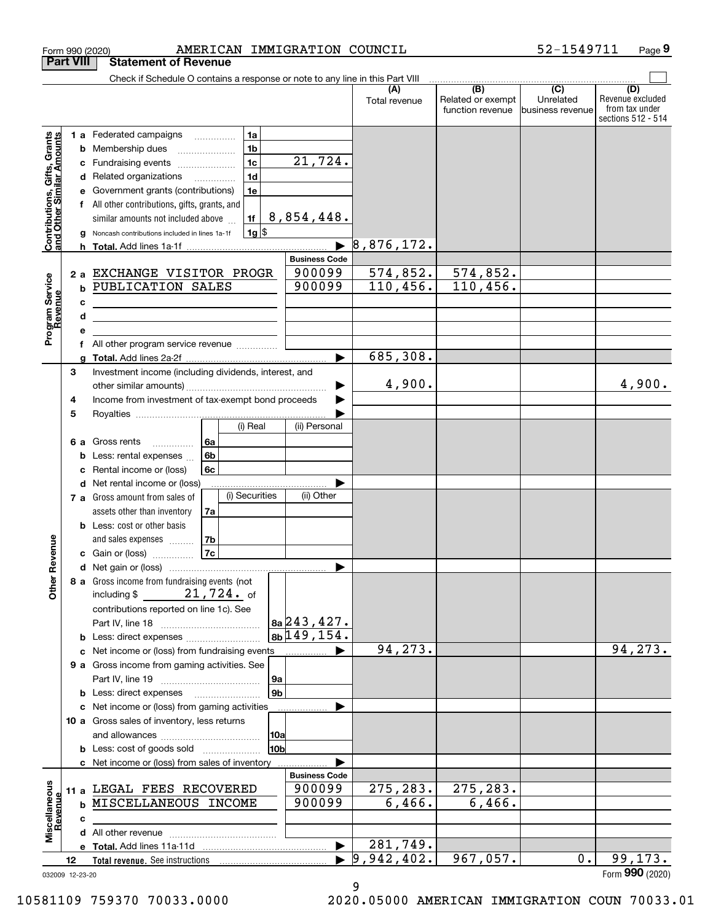|                                                           |                  | AMERICAN IMMIGRATION COUNCIL<br>Form 990 (2020)                                                      |                       |                        |                                       | 52-1549711                    | Page 9                                                   |
|-----------------------------------------------------------|------------------|------------------------------------------------------------------------------------------------------|-----------------------|------------------------|---------------------------------------|-------------------------------|----------------------------------------------------------|
|                                                           | <b>Part VIII</b> | <b>Statement of Revenue</b>                                                                          |                       |                        |                                       |                               |                                                          |
|                                                           |                  | Check if Schedule O contains a response or note to any line in this Part VIII                        |                       | (A)                    | $\overline{(B)}$                      | $\overline{C}$                | (D)                                                      |
|                                                           |                  |                                                                                                      |                       | Total revenue          | Related or exempt<br>function revenue | Unrelated<br>business revenue | Revenue excluded<br>from tax under<br>sections 512 - 514 |
|                                                           |                  | 1a<br>1 a Federated campaigns                                                                        |                       |                        |                                       |                               |                                                          |
|                                                           |                  | 1 <sub>b</sub><br>Membership dues<br>b                                                               |                       |                        |                                       |                               |                                                          |
|                                                           |                  | 1 <sub>c</sub><br>Fundraising events<br>с                                                            | 21,724.               |                        |                                       |                               |                                                          |
|                                                           |                  | 1 <sub>d</sub><br>Related organizations<br>d                                                         |                       |                        |                                       |                               |                                                          |
|                                                           |                  | Government grants (contributions)<br>1e                                                              |                       |                        |                                       |                               |                                                          |
|                                                           |                  | f All other contributions, gifts, grants, and                                                        | 8,854,448.            |                        |                                       |                               |                                                          |
| Contributions, Gifts, Grants<br>and Other Similar Amounts |                  | similar amounts not included above<br>1f<br>$1g$ \$<br>Noncash contributions included in lines 1a-1f |                       |                        |                                       |                               |                                                          |
|                                                           |                  | a                                                                                                    |                       | 8,876,172.             |                                       |                               |                                                          |
|                                                           |                  |                                                                                                      | <b>Business Code</b>  |                        |                                       |                               |                                                          |
|                                                           |                  | EXCHANGE VISITOR PROGR<br>2 a                                                                        | 900099                | 574, 852.              | 574,852.                              |                               |                                                          |
|                                                           |                  | PUBLICATION SALES<br>b                                                                               | 900099                | 110,456.               | 110,456.                              |                               |                                                          |
|                                                           |                  | c<br>the contract of the contract of the contract of the contract of the contract of                 |                       |                        |                                       |                               |                                                          |
|                                                           |                  | d                                                                                                    |                       |                        |                                       |                               |                                                          |
| Program Service<br>Revenue                                |                  | е                                                                                                    |                       |                        |                                       |                               |                                                          |
|                                                           |                  | f                                                                                                    |                       |                        |                                       |                               |                                                          |
|                                                           |                  |                                                                                                      | ь                     | 685,308.               |                                       |                               |                                                          |
|                                                           | З                | Investment income (including dividends, interest, and                                                |                       | 4,900.                 |                                       |                               | 4,900.                                                   |
|                                                           | 4                | Income from investment of tax-exempt bond proceeds                                                   |                       |                        |                                       |                               |                                                          |
|                                                           | 5                |                                                                                                      |                       |                        |                                       |                               |                                                          |
|                                                           |                  | (i) Real                                                                                             | (ii) Personal         |                        |                                       |                               |                                                          |
|                                                           |                  | Gross rents<br>6a<br>6а                                                                              |                       |                        |                                       |                               |                                                          |
|                                                           |                  | 6b<br>Less: rental expenses<br>b                                                                     |                       |                        |                                       |                               |                                                          |
|                                                           |                  | Rental income or (loss)<br>6c<br>с                                                                   |                       |                        |                                       |                               |                                                          |
|                                                           |                  | Net rental income or (loss)<br>d                                                                     |                       |                        |                                       |                               |                                                          |
|                                                           |                  | (i) Securities<br>7 a Gross amount from sales of                                                     | (ii) Other            |                        |                                       |                               |                                                          |
|                                                           |                  | assets other than inventory<br>7a<br><b>b</b> Less: cost or other basis                              |                       |                        |                                       |                               |                                                          |
|                                                           |                  | 7b<br>and sales expenses                                                                             |                       |                        |                                       |                               |                                                          |
| evenue                                                    |                  | 7c<br>c Gain or (loss)                                                                               |                       |                        |                                       |                               |                                                          |
|                                                           |                  |                                                                                                      |                       |                        |                                       |                               |                                                          |
| Other R                                                   |                  | 8 a Gross income from fundraising events (not<br>including \$ $21,724$ of                            |                       |                        |                                       |                               |                                                          |
|                                                           |                  | contributions reported on line 1c). See                                                              |                       |                        |                                       |                               |                                                          |
|                                                           |                  |                                                                                                      | 8a 243, 427.          |                        |                                       |                               |                                                          |
|                                                           |                  | Less: direct expenses                                                                                | $8b$ 149, 154.        |                        |                                       |                               |                                                          |
|                                                           |                  | Net income or (loss) from fundraising events<br>c                                                    |                       | 94,273.                |                                       |                               | 94,273.                                                  |
|                                                           |                  | 9 a Gross income from gaming activities. See                                                         |                       |                        |                                       |                               |                                                          |
|                                                           |                  | 9a                                                                                                   |                       |                        |                                       |                               |                                                          |
|                                                           |                  | 9 <sub>b</sub><br><b>b</b> Less: direct expenses <b>contained b</b> Less: direct expenses            |                       |                        |                                       |                               |                                                          |
|                                                           |                  | c Net income or (loss) from gaming activities<br>10 a Gross sales of inventory, less returns         |                       |                        |                                       |                               |                                                          |
|                                                           |                  | 10a                                                                                                  |                       |                        |                                       |                               |                                                          |
|                                                           |                  | 10b<br><b>b</b> Less: cost of goods sold                                                             |                       |                        |                                       |                               |                                                          |
|                                                           |                  | c Net income or (loss) from sales of inventory                                                       |                       |                        |                                       |                               |                                                          |
|                                                           |                  |                                                                                                      | <b>Business Code</b>  |                        |                                       |                               |                                                          |
|                                                           |                  | 11 a LEGAL FEES RECOVERED                                                                            | 900099                | 275,283.               | $\overline{275, 283}$ .               |                               |                                                          |
| Miscellaneous<br>Revenue                                  |                  | MISCELLANEOUS INCOME<br>b                                                                            | 900099                | 6,466.                 | 6,466.                                |                               |                                                          |
|                                                           |                  | c                                                                                                    |                       |                        |                                       |                               |                                                          |
|                                                           |                  | <b>d</b> All other revenue $\ldots$ $\ldots$ $\ldots$ $\ldots$ $\ldots$ $\ldots$ $\ldots$ $\ldots$   |                       |                        |                                       |                               |                                                          |
|                                                           |                  |                                                                                                      | $\blacktriangleright$ | 281,749.<br>9,942,402. | 967,057.                              | $0$ .                         | 99,173.                                                  |
|                                                           | 12               | 032009 12-23-20                                                                                      |                       |                        |                                       |                               | Form 990 (2020)                                          |
|                                                           |                  |                                                                                                      |                       |                        |                                       |                               |                                                          |

032009 12-23-20

9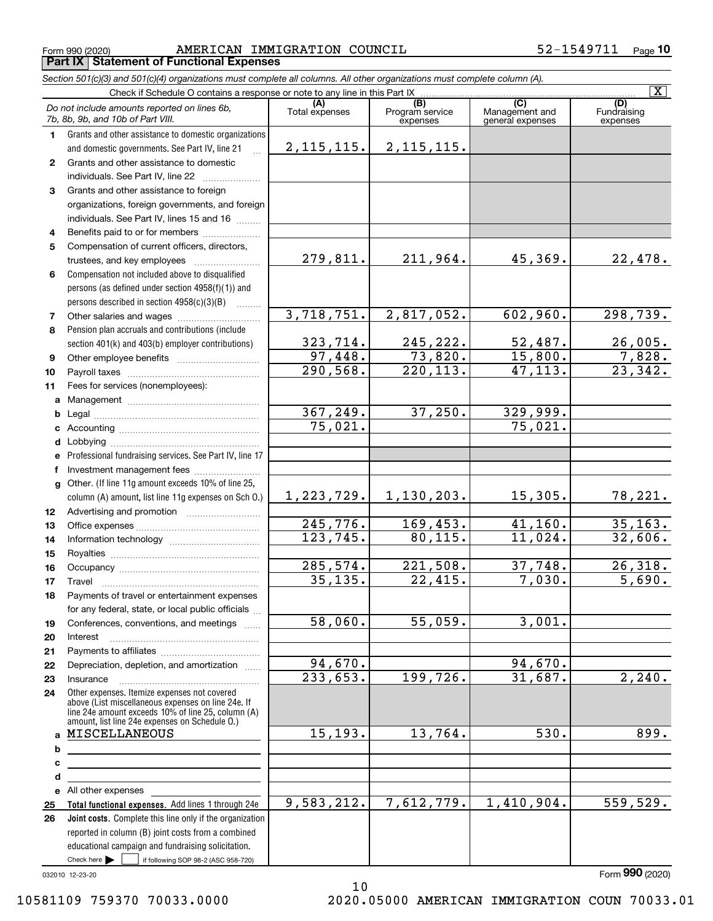Form 990 (2020) AMERICAN IMMIGRATION COUNCIL 5 $\mathrm{2\text{--}1549711}$  <sub>Page</sub> **Part IX Statement of Functional Expenses**

*Section 501(c)(3) and 501(c)(4) organizations must complete all columns. All other organizations must complete column (A).*

|              |                                                                                                                      |                       |                                    |                                                      | $\overline{\mathbf{x}}$        |
|--------------|----------------------------------------------------------------------------------------------------------------------|-----------------------|------------------------------------|------------------------------------------------------|--------------------------------|
|              | Do not include amounts reported on lines 6b,<br>7b, 8b, 9b, and 10b of Part VIII.                                    | (A)<br>Total expenses | (B)<br>Program service<br>expenses | $\overline{C}$<br>Management and<br>general expenses | (D)<br>Fundraising<br>expenses |
| 1.           | Grants and other assistance to domestic organizations                                                                |                       |                                    |                                                      |                                |
|              | and domestic governments. See Part IV, line 21                                                                       | 2, 115, 115.          | 2, 115, 115.                       |                                                      |                                |
| $\mathbf{2}$ | Grants and other assistance to domestic                                                                              |                       |                                    |                                                      |                                |
|              | individuals. See Part IV, line 22                                                                                    |                       |                                    |                                                      |                                |
| 3            | Grants and other assistance to foreign                                                                               |                       |                                    |                                                      |                                |
|              | organizations, foreign governments, and foreign                                                                      |                       |                                    |                                                      |                                |
|              | individuals. See Part IV, lines 15 and 16                                                                            |                       |                                    |                                                      |                                |
| 4            | Benefits paid to or for members                                                                                      |                       |                                    |                                                      |                                |
| 5            | Compensation of current officers, directors,                                                                         |                       |                                    |                                                      |                                |
|              | trustees, and key employees                                                                                          | 279,811.              | 211,964.                           | 45,369.                                              | 22,478.                        |
| 6            | Compensation not included above to disqualified                                                                      |                       |                                    |                                                      |                                |
|              | persons (as defined under section 4958(f)(1)) and                                                                    |                       |                                    |                                                      |                                |
|              | persons described in section 4958(c)(3)(B)                                                                           |                       |                                    |                                                      |                                |
| 7            | Other salaries and wages                                                                                             | 3,718,751.            | 2,817,052.                         | 602,960.                                             | 298,739.                       |
| 8            | Pension plan accruals and contributions (include                                                                     |                       |                                    |                                                      |                                |
|              | section 401(k) and 403(b) employer contributions)                                                                    | 323,714.              | 245,222.                           | <u>52,487.</u>                                       | 26,005.                        |
| 9            |                                                                                                                      | 97,448.               | 73,820.                            | 15,800.                                              | 7,828.                         |
| 10           |                                                                                                                      | 290,568.              | 220, 113.                          | 47, 113.                                             | $\overline{23,342}$ .          |
| 11           | Fees for services (nonemployees):                                                                                    |                       |                                    |                                                      |                                |
| a            |                                                                                                                      |                       |                                    |                                                      |                                |
|              |                                                                                                                      | 367, 249.             | 37,250.                            | 329,999.                                             |                                |
|              |                                                                                                                      | 75,021.               |                                    | 75,021.                                              |                                |
|              |                                                                                                                      |                       |                                    |                                                      |                                |
|              | e Professional fundraising services. See Part IV, line 17                                                            |                       |                                    |                                                      |                                |
|              | f Investment management fees                                                                                         |                       |                                    |                                                      |                                |
|              | g Other. (If line 11g amount exceeds 10% of line 25,                                                                 |                       |                                    |                                                      |                                |
|              | column (A) amount, list line 11g expenses on Sch 0.)                                                                 | 1,223,729.            | 1,130,203.                         | 15,305.                                              | 78,221.                        |
| 12           |                                                                                                                      |                       |                                    |                                                      |                                |
| 13           |                                                                                                                      | 245,776.              | 169,453.                           | 41, 160.                                             | 35, 163.                       |
| 14           |                                                                                                                      | 123, 745.             | 80, 115.                           | 11,024.                                              | 32,606.                        |
| 15           |                                                                                                                      |                       |                                    |                                                      |                                |
| 16           |                                                                                                                      | 285,574.              | 221,508.                           | 37,748.                                              | 26,318.                        |
| 17           | Travel                                                                                                               | 35, 135.              | 22,415.                            | 7,030.                                               | 5,690.                         |
| 18           | Payments of travel or entertainment expenses                                                                         |                       |                                    |                                                      |                                |
|              | for any federal, state, or local public officials                                                                    |                       |                                    |                                                      |                                |
|              | Conferences, conventions, and meetings                                                                               | 58,060.               | 55,059.                            | 3,001.                                               |                                |
| 19<br>20     | Interest                                                                                                             |                       |                                    |                                                      |                                |
| 21           |                                                                                                                      |                       |                                    |                                                      |                                |
| 22           | Depreciation, depletion, and amortization                                                                            | 94,670.               |                                    | 94,670.                                              |                                |
| 23           | Insurance                                                                                                            | 233,653.              | 199,726.                           | 31,687.                                              | 2,240.                         |
| 24           | Other expenses. Itemize expenses not covered                                                                         |                       |                                    |                                                      |                                |
|              | above (List miscellaneous expenses on line 24e. If<br>line 24e amount exceeds 10% of line 25, column (A)             |                       |                                    |                                                      |                                |
|              | amount, list line 24e expenses on Schedule O.)                                                                       |                       |                                    |                                                      |                                |
|              | a MISCELLANEOUS                                                                                                      | 15, 193.              | 13,764.                            | 530.                                                 | 899.                           |
| b            | <u> 1980 - Johann Barn, mars ann an t-Amhain Aonaich an t-Aonaich an t-Aonaich ann an t-Aonaich ann an t-Aonaich</u> |                       |                                    |                                                      |                                |
| с            | <u> 1989 - Johann Stein, mars an de Brazilian (b. 1989)</u>                                                          |                       |                                    |                                                      |                                |
| d            | <u> 1989 - Johann Barn, amerikansk politiker (</u>                                                                   |                       |                                    |                                                      |                                |
|              | e All other expenses                                                                                                 |                       |                                    |                                                      |                                |
| 25           | Total functional expenses. Add lines 1 through 24e                                                                   | 9,583,212.            | 7,612,779.                         | 1,410,904.                                           | 559,529.                       |
| 26           | Joint costs. Complete this line only if the organization                                                             |                       |                                    |                                                      |                                |
|              | reported in column (B) joint costs from a combined                                                                   |                       |                                    |                                                      |                                |
|              | educational campaign and fundraising solicitation.                                                                   |                       |                                    |                                                      |                                |
|              | Check here $\blacktriangleright$<br>if following SOP 98-2 (ASC 958-720)                                              |                       |                                    |                                                      |                                |

032010 12-23-20

Form (2020) **990**

10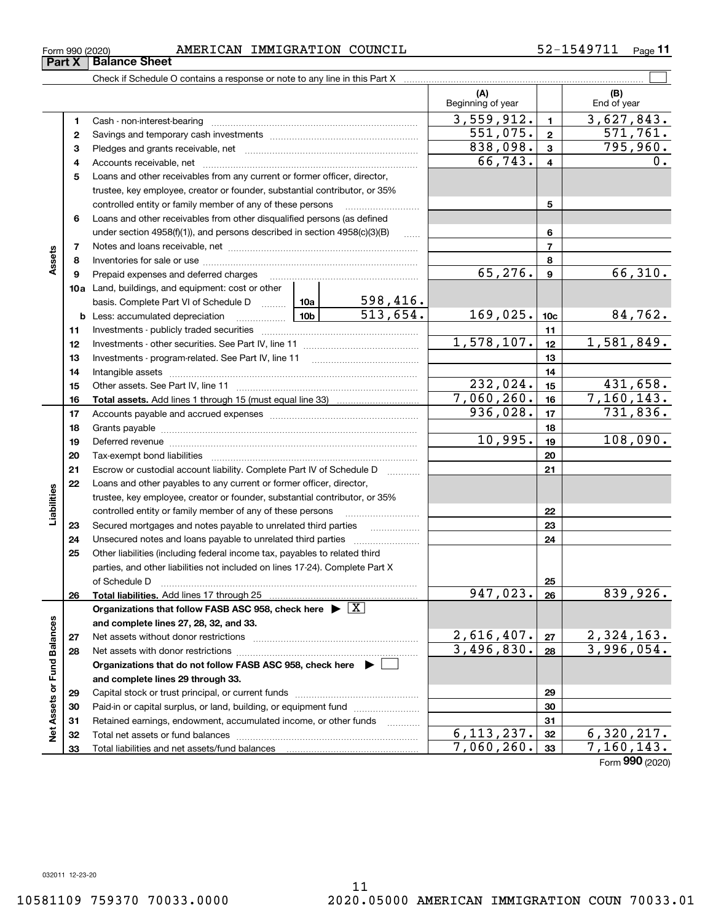| Form 990 (2020) | AMERICAN | IMMIGRATION COUNCIL | 1549711-<br>∸ ∠ ر_ | Page |
|-----------------|----------|---------------------|--------------------|------|
|                 |          |                     |                    |      |

|                             |    |                                                                                                                 |            |                 | (A)<br>Beginning of year |                          | (B)<br>End of year      |
|-----------------------------|----|-----------------------------------------------------------------------------------------------------------------|------------|-----------------|--------------------------|--------------------------|-------------------------|
|                             | 1  |                                                                                                                 |            |                 | 3,559,912.               | $\mathbf{1}$             | $\overline{3,627},843.$ |
|                             | 2  |                                                                                                                 | 551,075.   | $\mathbf{2}$    | 571,761.                 |                          |                         |
|                             | 3  |                                                                                                                 | 838,098.   | $\mathbf{3}$    | 795,960.                 |                          |                         |
|                             | 4  |                                                                                                                 |            |                 | 66, 743.                 | 4                        | 0.                      |
|                             | 5  | Loans and other receivables from any current or former officer, director,                                       |            |                 |                          |                          |                         |
|                             |    | trustee, key employee, creator or founder, substantial contributor, or 35%                                      |            |                 |                          |                          |                         |
|                             |    | controlled entity or family member of any of these persons                                                      |            | 5               |                          |                          |                         |
|                             | 6  | Loans and other receivables from other disqualified persons (as defined                                         |            |                 |                          |                          |                         |
|                             |    | under section 4958(f)(1)), and persons described in section 4958(c)(3)(B)                                       |            | 6               |                          |                          |                         |
|                             | 7  |                                                                                                                 |            |                 |                          | $\overline{\phantom{a}}$ |                         |
| Assets                      | 8  |                                                                                                                 |            |                 |                          | 8                        |                         |
|                             | 9  | Prepaid expenses and deferred charges                                                                           |            |                 | 65,276.                  | 9                        | 66,310.                 |
|                             |    | <b>10a</b> Land, buildings, and equipment: cost or other                                                        |            |                 |                          |                          |                         |
|                             |    | basis. Complete Part VI of Schedule D  10a                                                                      |            | <u>598,416.</u> |                          |                          |                         |
|                             |    | <b>b</b> Less: accumulated depreciation                                                                         |            | 513,654.        | 169,025.                 | 10 <sub>c</sub>          | 84,762.                 |
|                             | 11 |                                                                                                                 |            |                 |                          | 11                       |                         |
|                             | 12 |                                                                                                                 | 1,578,107. | 12              | 1,581,849.               |                          |                         |
|                             | 13 |                                                                                                                 |            |                 |                          | 13                       |                         |
|                             | 14 |                                                                                                                 |            |                 | 14                       |                          |                         |
|                             | 15 |                                                                                                                 | 232,024.   | 15              | 431,658.                 |                          |                         |
|                             | 16 |                                                                                                                 |            |                 | 7,060,260.               | 16                       | 7,160,143.              |
|                             | 17 |                                                                                                                 | 936,028.   | 17              | 731,836.                 |                          |                         |
|                             | 18 |                                                                                                                 |            |                 | 18                       |                          |                         |
|                             | 19 | Deferred revenue manual contracts and contracts and contracts are contracted and contracts are contracted and c |            |                 | 10,995.                  | 19                       | 108,090.                |
|                             | 20 |                                                                                                                 |            |                 |                          | 20                       |                         |
|                             | 21 | Escrow or custodial account liability. Complete Part IV of Schedule D                                           |            |                 |                          | 21                       |                         |
|                             | 22 | Loans and other payables to any current or former officer, director,                                            |            |                 |                          |                          |                         |
| Liabilities                 |    | trustee, key employee, creator or founder, substantial contributor, or 35%                                      |            |                 |                          |                          |                         |
|                             |    | controlled entity or family member of any of these persons                                                      |            |                 |                          | 22                       |                         |
|                             | 23 | Secured mortgages and notes payable to unrelated third parties                                                  |            |                 |                          | 23                       |                         |
|                             | 24 |                                                                                                                 |            |                 |                          | 24                       |                         |
|                             | 25 | Other liabilities (including federal income tax, payables to related third                                      |            |                 |                          |                          |                         |
|                             |    | parties, and other liabilities not included on lines 17-24). Complete Part X                                    |            |                 |                          |                          |                         |
|                             |    | of Schedule D                                                                                                   |            |                 |                          | 25                       |                         |
|                             | 26 |                                                                                                                 |            |                 | 947,023.                 | 26                       | 839,926.                |
|                             |    | Organizations that follow FASB ASC 958, check here $\blacktriangleright \lfloor X \rfloor$                      |            |                 |                          |                          |                         |
|                             |    | and complete lines 27, 28, 32, and 33.                                                                          |            |                 |                          |                          |                         |
|                             | 27 |                                                                                                                 |            |                 | 2,616,407.               | 27                       | 2,324,163.              |
|                             | 28 |                                                                                                                 |            |                 | 3,496,830.               | 28                       | 3,996,054.              |
|                             |    | Organizations that do not follow FASB ASC 958, check here $\blacktriangleright$                                 |            |                 |                          |                          |                         |
|                             |    | and complete lines 29 through 33.                                                                               |            |                 |                          |                          |                         |
|                             | 29 |                                                                                                                 |            |                 |                          | 29                       |                         |
| Net Assets or Fund Balances | 30 | Paid-in or capital surplus, or land, building, or equipment fund                                                |            |                 |                          | 30                       |                         |
|                             | 31 | Retained earnings, endowment, accumulated income, or other funds                                                |            |                 |                          | 31                       |                         |
|                             | 32 |                                                                                                                 |            |                 | $\overline{6,113,237}$ . | 32                       | 6, 320, 217.            |
|                             | 33 |                                                                                                                 |            |                 | 7,060,260.               | 33                       | 7, 160, 143.            |

Form (2020) **990**

**Part X Balance Sheet**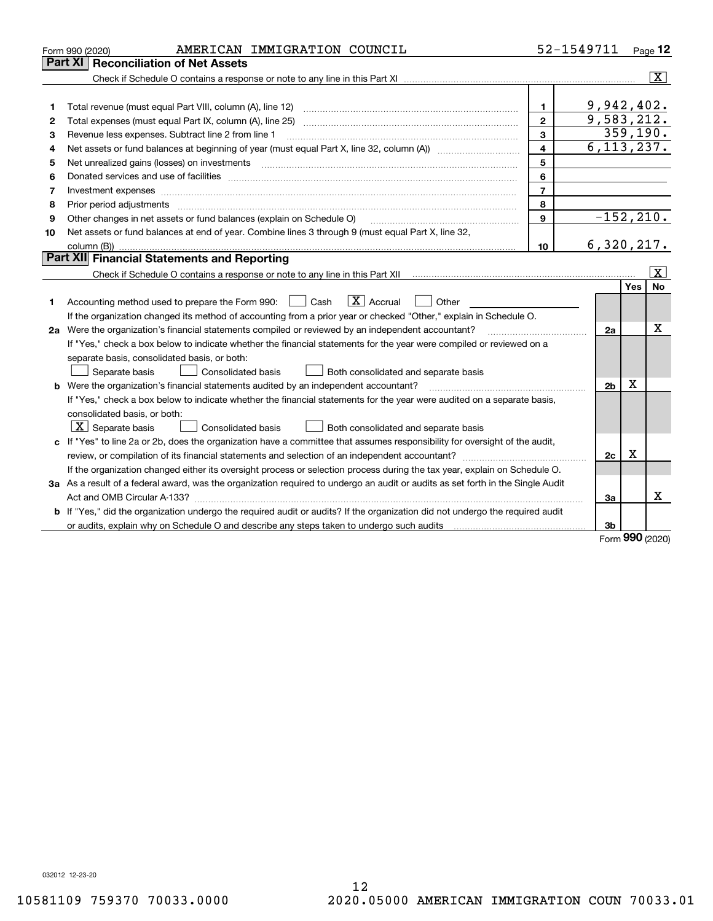|    | AMERICAN IMMIGRATION COUNCIL<br>Form 990 (2020)                                                                                 | 52-1549711       |                         |           | Page 12                 |
|----|---------------------------------------------------------------------------------------------------------------------------------|------------------|-------------------------|-----------|-------------------------|
|    | <b>Reconciliation of Net Assets</b><br>Part XI                                                                                  |                  |                         |           |                         |
|    |                                                                                                                                 |                  |                         |           | $\overline{\mathbf{x}}$ |
|    |                                                                                                                                 |                  |                         |           |                         |
| 1  | Total revenue (must equal Part VIII, column (A), line 12)                                                                       | $\mathbf 1$      | 9,942,402.              |           |                         |
| 2  | Total expenses (must equal Part IX, column (A), line 25)                                                                        | $\overline{2}$   | 9,583,212.              |           |                         |
| 3  | Revenue less expenses. Subtract line 2 from line 1                                                                              | $\mathbf{3}$     |                         | 359, 190. |                         |
| 4  |                                                                                                                                 | 4                | $\overline{6,113},237.$ |           |                         |
| 5  | Net unrealized gains (losses) on investments with an annumerous contract and a set of the set of the set of the                 | 5                |                         |           |                         |
| 6  |                                                                                                                                 | 6                |                         |           |                         |
| 7  | Investment expenses www.communication.com/www.communication.com/www.communication.com/www.com                                   | $\overline{7}$   |                         |           |                         |
| 8  | Prior period adjustments www.communication.communication.communication.com/                                                     | 8                |                         |           |                         |
| 9  | Other changes in net assets or fund balances (explain on Schedule O)                                                            | 9                | $-152, 210.$            |           |                         |
| 10 | Net assets or fund balances at end of year. Combine lines 3 through 9 (must equal Part X, line 32,                              |                  |                         |           |                         |
|    |                                                                                                                                 | 10 <sup>10</sup> | 6,320,217.              |           |                         |
|    | Part XII Financial Statements and Reporting                                                                                     |                  |                         |           |                         |
|    |                                                                                                                                 |                  |                         |           | $\overline{\mathbf{X}}$ |
|    |                                                                                                                                 |                  |                         | Yes       | <b>No</b>               |
| 1  | $\boxed{\text{X}}$ Accrual<br>Accounting method used to prepare the Form 990: <u>I</u> Cash<br>Other                            |                  |                         |           |                         |
|    | If the organization changed its method of accounting from a prior year or checked "Other," explain in Schedule O.               |                  |                         |           |                         |
|    | 2a Were the organization's financial statements compiled or reviewed by an independent accountant?                              |                  | 2a                      |           | x                       |
|    | If "Yes," check a box below to indicate whether the financial statements for the year were compiled or reviewed on a            |                  |                         |           |                         |
|    | separate basis, consolidated basis, or both:                                                                                    |                  |                         |           |                         |
|    | Separate basis<br><b>Consolidated basis</b><br>Both consolidated and separate basis                                             |                  |                         |           |                         |
|    | <b>b</b> Were the organization's financial statements audited by an independent accountant?                                     |                  | 2 <sub>b</sub>          | Х         |                         |
|    | If "Yes," check a box below to indicate whether the financial statements for the year were audited on a separate basis,         |                  |                         |           |                         |
|    | consolidated basis, or both:                                                                                                    |                  |                         |           |                         |
|    | $ \mathbf{X} $ Separate basis<br><b>Consolidated basis</b><br>Both consolidated and separate basis                              |                  |                         |           |                         |
|    | c If "Yes" to line 2a or 2b, does the organization have a committee that assumes responsibility for oversight of the audit,     |                  |                         |           |                         |
|    |                                                                                                                                 |                  | 2c                      | x         |                         |
|    | If the organization changed either its oversight process or selection process during the tax year, explain on Schedule O.       |                  |                         |           |                         |
|    | 3a As a result of a federal award, was the organization required to undergo an audit or audits as set forth in the Single Audit |                  |                         |           |                         |
|    |                                                                                                                                 |                  | 3a                      |           | Χ                       |
|    | b If "Yes," did the organization undergo the required audit or audits? If the organization did not undergo the required audit   |                  |                         |           |                         |
|    |                                                                                                                                 |                  | 3b                      | מהה       |                         |

Form (2020) **990**

032012 12-23-20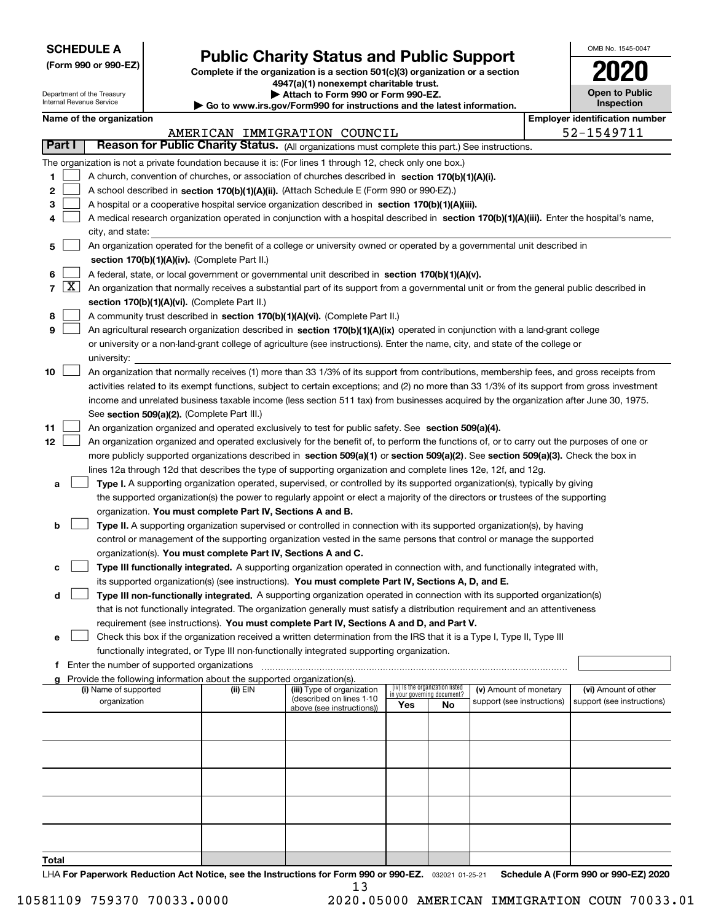| <b>SCHEDULE A</b> |
|-------------------|
|-------------------|

Department of the Treasury Internal Revenue Service

**(Form 990 or 990-EZ)**

## **Public Charity Status and Public Support**

**Complete if the organization is a section 501(c)(3) organization or a section 4947(a)(1) nonexempt charitable trust.**

| Attach to Form 990 or Form 990-EZ. |  |
|------------------------------------|--|
|------------------------------------|--|

**| Go to www.irs.gov/Form990 for instructions and the latest information.**

| OMB No. 1545-0047                   |
|-------------------------------------|
| 2020                                |
| <b>Open to Public</b><br>Inspection |

|  | Name of the organization |
|--|--------------------------|
|--|--------------------------|

|                |                                                                                                                                            | Name of the organization                                                                                                                                                                                                                                                         |          |                                                        |                                 |    |                                                      |  | <b>Employer identification number</b>              |  |  |  |
|----------------|--------------------------------------------------------------------------------------------------------------------------------------------|----------------------------------------------------------------------------------------------------------------------------------------------------------------------------------------------------------------------------------------------------------------------------------|----------|--------------------------------------------------------|---------------------------------|----|------------------------------------------------------|--|----------------------------------------------------|--|--|--|
|                |                                                                                                                                            |                                                                                                                                                                                                                                                                                  |          | AMERICAN IMMIGRATION COUNCIL                           |                                 |    |                                                      |  | 52-1549711                                         |  |  |  |
| Part I         |                                                                                                                                            | Reason for Public Charity Status. (All organizations must complete this part.) See instructions.                                                                                                                                                                                 |          |                                                        |                                 |    |                                                      |  |                                                    |  |  |  |
|                |                                                                                                                                            | The organization is not a private foundation because it is: (For lines 1 through 12, check only one box.)                                                                                                                                                                        |          |                                                        |                                 |    |                                                      |  |                                                    |  |  |  |
| 1              |                                                                                                                                            | A church, convention of churches, or association of churches described in section 170(b)(1)(A)(i).                                                                                                                                                                               |          |                                                        |                                 |    |                                                      |  |                                                    |  |  |  |
| 2              |                                                                                                                                            | A school described in section 170(b)(1)(A)(ii). (Attach Schedule E (Form 990 or 990-EZ).)                                                                                                                                                                                        |          |                                                        |                                 |    |                                                      |  |                                                    |  |  |  |
| 3              | A hospital or a cooperative hospital service organization described in section 170(b)(1)(A)(iii).                                          |                                                                                                                                                                                                                                                                                  |          |                                                        |                                 |    |                                                      |  |                                                    |  |  |  |
|                | A medical research organization operated in conjunction with a hospital described in section 170(b)(1)(A)(iii). Enter the hospital's name, |                                                                                                                                                                                                                                                                                  |          |                                                        |                                 |    |                                                      |  |                                                    |  |  |  |
|                | city, and state:                                                                                                                           |                                                                                                                                                                                                                                                                                  |          |                                                        |                                 |    |                                                      |  |                                                    |  |  |  |
| 5              | An organization operated for the benefit of a college or university owned or operated by a governmental unit described in                  |                                                                                                                                                                                                                                                                                  |          |                                                        |                                 |    |                                                      |  |                                                    |  |  |  |
|                | section 170(b)(1)(A)(iv). (Complete Part II.)                                                                                              |                                                                                                                                                                                                                                                                                  |          |                                                        |                                 |    |                                                      |  |                                                    |  |  |  |
|                | A federal, state, or local government or governmental unit described in section 170(b)(1)(A)(v).                                           |                                                                                                                                                                                                                                                                                  |          |                                                        |                                 |    |                                                      |  |                                                    |  |  |  |
| $\overline{7}$ | $\lfloor x \rfloor$                                                                                                                        | An organization that normally receives a substantial part of its support from a governmental unit or from the general public described in                                                                                                                                        |          |                                                        |                                 |    |                                                      |  |                                                    |  |  |  |
|                |                                                                                                                                            | section 170(b)(1)(A)(vi). (Complete Part II.)                                                                                                                                                                                                                                    |          |                                                        |                                 |    |                                                      |  |                                                    |  |  |  |
| 8              |                                                                                                                                            | A community trust described in section 170(b)(1)(A)(vi). (Complete Part II.)                                                                                                                                                                                                     |          |                                                        |                                 |    |                                                      |  |                                                    |  |  |  |
| 9              |                                                                                                                                            | An agricultural research organization described in section 170(b)(1)(A)(ix) operated in conjunction with a land-grant college                                                                                                                                                    |          |                                                        |                                 |    |                                                      |  |                                                    |  |  |  |
|                |                                                                                                                                            | or university or a non-land-grant college of agriculture (see instructions). Enter the name, city, and state of the college or                                                                                                                                                   |          |                                                        |                                 |    |                                                      |  |                                                    |  |  |  |
|                |                                                                                                                                            | university:                                                                                                                                                                                                                                                                      |          |                                                        |                                 |    |                                                      |  |                                                    |  |  |  |
| 10             |                                                                                                                                            | An organization that normally receives (1) more than 33 1/3% of its support from contributions, membership fees, and gross receipts from                                                                                                                                         |          |                                                        |                                 |    |                                                      |  |                                                    |  |  |  |
|                |                                                                                                                                            | activities related to its exempt functions, subject to certain exceptions; and (2) no more than 33 1/3% of its support from gross investment                                                                                                                                     |          |                                                        |                                 |    |                                                      |  |                                                    |  |  |  |
|                |                                                                                                                                            | income and unrelated business taxable income (less section 511 tax) from businesses acquired by the organization after June 30, 1975.                                                                                                                                            |          |                                                        |                                 |    |                                                      |  |                                                    |  |  |  |
|                |                                                                                                                                            | See section 509(a)(2). (Complete Part III.)                                                                                                                                                                                                                                      |          |                                                        |                                 |    |                                                      |  |                                                    |  |  |  |
| 11             |                                                                                                                                            | An organization organized and operated exclusively to test for public safety. See section 509(a)(4).                                                                                                                                                                             |          |                                                        |                                 |    |                                                      |  |                                                    |  |  |  |
| 12             |                                                                                                                                            | An organization organized and operated exclusively for the benefit of, to perform the functions of, or to carry out the purposes of one or<br>more publicly supported organizations described in section 509(a)(1) or section 509(a)(2). See section 509(a)(3). Check the box in |          |                                                        |                                 |    |                                                      |  |                                                    |  |  |  |
|                |                                                                                                                                            | lines 12a through 12d that describes the type of supporting organization and complete lines 12e, 12f, and 12g.                                                                                                                                                                   |          |                                                        |                                 |    |                                                      |  |                                                    |  |  |  |
| а              |                                                                                                                                            | Type I. A supporting organization operated, supervised, or controlled by its supported organization(s), typically by giving                                                                                                                                                      |          |                                                        |                                 |    |                                                      |  |                                                    |  |  |  |
|                |                                                                                                                                            | the supported organization(s) the power to regularly appoint or elect a majority of the directors or trustees of the supporting                                                                                                                                                  |          |                                                        |                                 |    |                                                      |  |                                                    |  |  |  |
|                |                                                                                                                                            | organization. You must complete Part IV, Sections A and B.                                                                                                                                                                                                                       |          |                                                        |                                 |    |                                                      |  |                                                    |  |  |  |
| b              |                                                                                                                                            | Type II. A supporting organization supervised or controlled in connection with its supported organization(s), by having                                                                                                                                                          |          |                                                        |                                 |    |                                                      |  |                                                    |  |  |  |
|                |                                                                                                                                            | control or management of the supporting organization vested in the same persons that control or manage the supported                                                                                                                                                             |          |                                                        |                                 |    |                                                      |  |                                                    |  |  |  |
|                |                                                                                                                                            | organization(s). You must complete Part IV, Sections A and C.                                                                                                                                                                                                                    |          |                                                        |                                 |    |                                                      |  |                                                    |  |  |  |
| с              |                                                                                                                                            | Type III functionally integrated. A supporting organization operated in connection with, and functionally integrated with,                                                                                                                                                       |          |                                                        |                                 |    |                                                      |  |                                                    |  |  |  |
|                |                                                                                                                                            | its supported organization(s) (see instructions). You must complete Part IV, Sections A, D, and E.                                                                                                                                                                               |          |                                                        |                                 |    |                                                      |  |                                                    |  |  |  |
| d              |                                                                                                                                            | Type III non-functionally integrated. A supporting organization operated in connection with its supported organization(s)                                                                                                                                                        |          |                                                        |                                 |    |                                                      |  |                                                    |  |  |  |
|                |                                                                                                                                            | that is not functionally integrated. The organization generally must satisfy a distribution requirement and an attentiveness                                                                                                                                                     |          |                                                        |                                 |    |                                                      |  |                                                    |  |  |  |
|                |                                                                                                                                            | requirement (see instructions). You must complete Part IV, Sections A and D, and Part V.                                                                                                                                                                                         |          |                                                        |                                 |    |                                                      |  |                                                    |  |  |  |
| е              |                                                                                                                                            | Check this box if the organization received a written determination from the IRS that it is a Type I, Type II, Type III                                                                                                                                                          |          |                                                        |                                 |    |                                                      |  |                                                    |  |  |  |
|                |                                                                                                                                            | functionally integrated, or Type III non-functionally integrated supporting organization.                                                                                                                                                                                        |          |                                                        |                                 |    |                                                      |  |                                                    |  |  |  |
|                |                                                                                                                                            | Enter the number of supported organizations                                                                                                                                                                                                                                      |          |                                                        |                                 |    |                                                      |  |                                                    |  |  |  |
|                |                                                                                                                                            | g Provide the following information about the supported organization(s).                                                                                                                                                                                                         |          |                                                        | (iv) Is the organization listed |    |                                                      |  |                                                    |  |  |  |
|                |                                                                                                                                            | (i) Name of supported<br>organization                                                                                                                                                                                                                                            | (ii) EIN | (iii) Type of organization<br>(described on lines 1-10 | in your governing document?     |    | (v) Amount of monetary<br>support (see instructions) |  | (vi) Amount of other<br>support (see instructions) |  |  |  |
|                |                                                                                                                                            |                                                                                                                                                                                                                                                                                  |          | above (see instructions))                              | Yes                             | No |                                                      |  |                                                    |  |  |  |
|                |                                                                                                                                            |                                                                                                                                                                                                                                                                                  |          |                                                        |                                 |    |                                                      |  |                                                    |  |  |  |
|                |                                                                                                                                            |                                                                                                                                                                                                                                                                                  |          |                                                        |                                 |    |                                                      |  |                                                    |  |  |  |
|                |                                                                                                                                            |                                                                                                                                                                                                                                                                                  |          |                                                        |                                 |    |                                                      |  |                                                    |  |  |  |
|                |                                                                                                                                            |                                                                                                                                                                                                                                                                                  |          |                                                        |                                 |    |                                                      |  |                                                    |  |  |  |
|                |                                                                                                                                            |                                                                                                                                                                                                                                                                                  |          |                                                        |                                 |    |                                                      |  |                                                    |  |  |  |
|                |                                                                                                                                            |                                                                                                                                                                                                                                                                                  |          |                                                        |                                 |    |                                                      |  |                                                    |  |  |  |
|                |                                                                                                                                            |                                                                                                                                                                                                                                                                                  |          |                                                        |                                 |    |                                                      |  |                                                    |  |  |  |
|                |                                                                                                                                            |                                                                                                                                                                                                                                                                                  |          |                                                        |                                 |    |                                                      |  |                                                    |  |  |  |
|                |                                                                                                                                            |                                                                                                                                                                                                                                                                                  |          |                                                        |                                 |    |                                                      |  |                                                    |  |  |  |
| Total          |                                                                                                                                            |                                                                                                                                                                                                                                                                                  |          |                                                        |                                 |    |                                                      |  |                                                    |  |  |  |
|                |                                                                                                                                            |                                                                                                                                                                                                                                                                                  |          |                                                        |                                 |    |                                                      |  |                                                    |  |  |  |

LHA For Paperwork Reduction Act Notice, see the Instructions for Form 990 or 990-EZ. <sub>032021</sub> o1-25-21 Schedule A (Form 990 or 990-EZ) 2020 13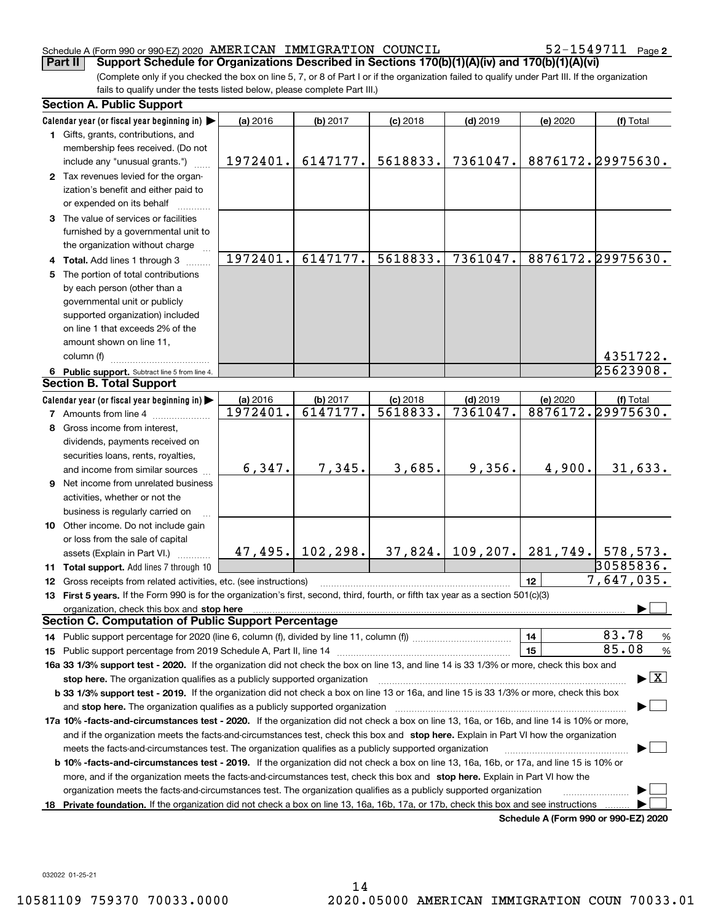#### Schedule A (Form 990 or 990-EZ) 2020 Page AMERICAN IMMIGRATION COUNCIL 52-1549711 **Part II** Support Schedule for Organizations Described in Sections 170(b)(1)(A)(iv) and 170(b)(1)(A)(vi)

52-1549711 Page 2

(Complete only if you checked the box on line 5, 7, or 8 of Part I or if the organization failed to qualify under Part III. If the organization fails to qualify under the tests listed below, please complete Part III.)

|    | <b>Section A. Public Support</b>                                                                                                               |          |                    |            |                     |          |                                          |
|----|------------------------------------------------------------------------------------------------------------------------------------------------|----------|--------------------|------------|---------------------|----------|------------------------------------------|
|    | Calendar year (or fiscal year beginning in)                                                                                                    | (a) 2016 | (b) 2017           | $(c)$ 2018 | $(d)$ 2019          | (e) 2020 | (f) Total                                |
|    | 1 Gifts, grants, contributions, and                                                                                                            |          |                    |            |                     |          |                                          |
|    | membership fees received. (Do not                                                                                                              |          |                    |            |                     |          |                                          |
|    | include any "unusual grants.")                                                                                                                 | 1972401. | 6147177.           | 5618833.   | 7361047.            |          | 8876172.29975630.                        |
|    | 2 Tax revenues levied for the organ-                                                                                                           |          |                    |            |                     |          |                                          |
|    | ization's benefit and either paid to                                                                                                           |          |                    |            |                     |          |                                          |
|    | or expended on its behalf                                                                                                                      |          |                    |            |                     |          |                                          |
|    | 3 The value of services or facilities                                                                                                          |          |                    |            |                     |          |                                          |
|    | furnished by a governmental unit to                                                                                                            |          |                    |            |                     |          |                                          |
|    | the organization without charge                                                                                                                |          |                    |            |                     |          |                                          |
|    | 4 Total. Add lines 1 through 3                                                                                                                 | 1972401. | 6147177.           | 5618833.   | 7361047.            |          | 8876172.29975630.                        |
|    | 5 The portion of total contributions                                                                                                           |          |                    |            |                     |          |                                          |
|    | by each person (other than a                                                                                                                   |          |                    |            |                     |          |                                          |
|    | governmental unit or publicly                                                                                                                  |          |                    |            |                     |          |                                          |
|    | supported organization) included                                                                                                               |          |                    |            |                     |          |                                          |
|    | on line 1 that exceeds 2% of the                                                                                                               |          |                    |            |                     |          |                                          |
|    | amount shown on line 11,                                                                                                                       |          |                    |            |                     |          |                                          |
|    | column (f)                                                                                                                                     |          |                    |            |                     |          | 4351722.                                 |
|    | 6 Public support. Subtract line 5 from line 4.                                                                                                 |          |                    |            |                     |          | 25623908.                                |
|    | <b>Section B. Total Support</b>                                                                                                                |          |                    |            |                     |          |                                          |
|    | Calendar year (or fiscal year beginning in)                                                                                                    | (a) 2016 | (b) 2017           | $(c)$ 2018 | $(d)$ 2019          | (e) 2020 | (f) Total                                |
|    | <b>7</b> Amounts from line 4                                                                                                                   | 1972401. | 6147177.           | 5618833.   | 7361047.            |          | 8876172.29975630.                        |
|    | 8 Gross income from interest,                                                                                                                  |          |                    |            |                     |          |                                          |
|    | dividends, payments received on                                                                                                                |          |                    |            |                     |          |                                          |
|    | securities loans, rents, royalties,                                                                                                            |          |                    |            |                     |          |                                          |
|    | and income from similar sources                                                                                                                | 6,347.   | 7,345.             | 3,685.     | 9,356.              | 4,900.   | 31,633.                                  |
|    | 9 Net income from unrelated business                                                                                                           |          |                    |            |                     |          |                                          |
|    | activities, whether or not the                                                                                                                 |          |                    |            |                     |          |                                          |
|    | business is regularly carried on                                                                                                               |          |                    |            |                     |          |                                          |
|    | 10 Other income. Do not include gain                                                                                                           |          |                    |            |                     |          |                                          |
|    | or loss from the sale of capital                                                                                                               |          |                    |            |                     |          |                                          |
|    | assets (Explain in Part VI.)                                                                                                                   |          | $47,495.$ 102,298. |            | $37,824.$ 109, 207. |          | 281,749. 578,573.                        |
|    | 11 Total support. Add lines 7 through 10                                                                                                       |          |                    |            |                     |          | 30585836.                                |
|    | 12 Gross receipts from related activities, etc. (see instructions)                                                                             |          |                    |            |                     | 12       | 7,647,035.                               |
|    | 13 First 5 years. If the Form 990 is for the organization's first, second, third, fourth, or fifth tax year as a section 501(c)(3)             |          |                    |            |                     |          |                                          |
|    | organization, check this box and stop here                                                                                                     |          |                    |            |                     |          |                                          |
|    | <b>Section C. Computation of Public Support Percentage</b>                                                                                     |          |                    |            |                     |          |                                          |
|    |                                                                                                                                                |          |                    |            |                     | 14       | 83.78<br>%                               |
|    |                                                                                                                                                |          |                    |            |                     | 15       | 85.08<br>$\%$                            |
|    | 16a 33 1/3% support test - 2020. If the organization did not check the box on line 13, and line 14 is 33 1/3% or more, check this box and      |          |                    |            |                     |          |                                          |
|    | stop here. The organization qualifies as a publicly supported organization                                                                     |          |                    |            |                     |          | $\blacktriangleright$ $\boxed{\text{X}}$ |
|    | b 33 1/3% support test - 2019. If the organization did not check a box on line 13 or 16a, and line 15 is 33 1/3% or more, check this box       |          |                    |            |                     |          |                                          |
|    | and stop here. The organization qualifies as a publicly supported organization                                                                 |          |                    |            |                     |          |                                          |
|    | 17a 10% -facts-and-circumstances test - 2020. If the organization did not check a box on line 13, 16a, or 16b, and line 14 is 10% or more,     |          |                    |            |                     |          |                                          |
|    | and if the organization meets the facts-and-circumstances test, check this box and stop here. Explain in Part VI how the organization          |          |                    |            |                     |          |                                          |
|    | meets the facts-and-circumstances test. The organization qualifies as a publicly supported organization                                        |          |                    |            |                     |          |                                          |
|    | <b>b 10% -facts-and-circumstances test - 2019.</b> If the organization did not check a box on line 13, 16a, 16b, or 17a, and line 15 is 10% or |          |                    |            |                     |          |                                          |
|    | more, and if the organization meets the facts-and-circumstances test, check this box and stop here. Explain in Part VI how the                 |          |                    |            |                     |          |                                          |
|    | organization meets the facts-and-circumstances test. The organization qualifies as a publicly supported organization                           |          |                    |            |                     |          |                                          |
| 18 | Private foundation. If the organization did not check a box on line 13, 16a, 16b, 17a, or 17b, check this box and see instructions             |          |                    |            |                     |          |                                          |
|    |                                                                                                                                                |          |                    |            |                     |          | Schedule A (Form 990 or 990-F7) 2020     |

**Schedule A (Form 990 or 990-EZ) 2020**

032022 01-25-21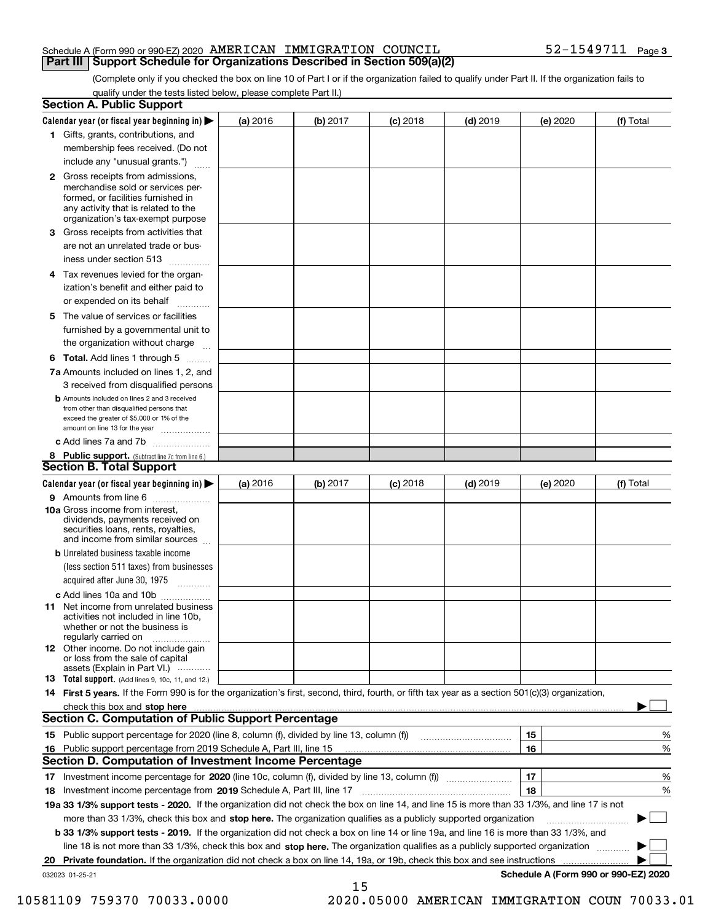#### Schedule A (Form 990 or 990-EZ) 2020 Page AMERICAN IMMIGRATION COUNCIL 52-1549711 **Part III Support Schedule for Organizations Described in Section 509(a)(2)**

(Complete only if you checked the box on line 10 of Part I or if the organization failed to qualify under Part II. If the organization fails to qualify under the tests listed below, please complete Part II.)

|    | <b>Section A. Public Support</b>                                                                                                                                                         |          |          |            |            |          |                                      |
|----|------------------------------------------------------------------------------------------------------------------------------------------------------------------------------------------|----------|----------|------------|------------|----------|--------------------------------------|
|    | Calendar year (or fiscal year beginning in) $\blacktriangleright$                                                                                                                        | (a) 2016 | (b) 2017 | $(c)$ 2018 | $(d)$ 2019 | (e) 2020 | (f) Total                            |
|    | 1 Gifts, grants, contributions, and                                                                                                                                                      |          |          |            |            |          |                                      |
|    | membership fees received. (Do not                                                                                                                                                        |          |          |            |            |          |                                      |
|    | include any "unusual grants.")                                                                                                                                                           |          |          |            |            |          |                                      |
|    | 2 Gross receipts from admissions,<br>merchandise sold or services per-<br>formed, or facilities furnished in<br>any activity that is related to the<br>organization's tax-exempt purpose |          |          |            |            |          |                                      |
|    | 3 Gross receipts from activities that<br>are not an unrelated trade or bus-                                                                                                              |          |          |            |            |          |                                      |
|    | iness under section 513                                                                                                                                                                  |          |          |            |            |          |                                      |
|    | 4 Tax revenues levied for the organ-                                                                                                                                                     |          |          |            |            |          |                                      |
|    | ization's benefit and either paid to<br>or expended on its behalf<br>.                                                                                                                   |          |          |            |            |          |                                      |
|    | 5 The value of services or facilities                                                                                                                                                    |          |          |            |            |          |                                      |
|    | furnished by a governmental unit to                                                                                                                                                      |          |          |            |            |          |                                      |
|    | the organization without charge                                                                                                                                                          |          |          |            |            |          |                                      |
|    | <b>6 Total.</b> Add lines 1 through 5                                                                                                                                                    |          |          |            |            |          |                                      |
|    | 7a Amounts included on lines 1, 2, and<br>3 received from disqualified persons                                                                                                           |          |          |            |            |          |                                      |
|    | <b>b</b> Amounts included on lines 2 and 3 received<br>from other than disqualified persons that<br>exceed the greater of \$5,000 or 1% of the<br>amount on line 13 for the year         |          |          |            |            |          |                                      |
|    | c Add lines 7a and 7b                                                                                                                                                                    |          |          |            |            |          |                                      |
|    | 8 Public support. (Subtract line 7c from line 6.)                                                                                                                                        |          |          |            |            |          |                                      |
|    | <b>Section B. Total Support</b>                                                                                                                                                          |          |          |            |            |          |                                      |
|    | Calendar year (or fiscal year beginning in) $\blacktriangleright$                                                                                                                        | (a) 2016 | (b) 2017 | $(c)$ 2018 | $(d)$ 2019 | (e) 2020 | (f) Total                            |
|    | 9 Amounts from line 6                                                                                                                                                                    |          |          |            |            |          |                                      |
|    | 10a Gross income from interest,<br>dividends, payments received on<br>securities loans, rents, royalties,<br>and income from similar sources                                             |          |          |            |            |          |                                      |
|    | <b>b</b> Unrelated business taxable income<br>(less section 511 taxes) from businesses                                                                                                   |          |          |            |            |          |                                      |
|    | acquired after June 30, 1975                                                                                                                                                             |          |          |            |            |          |                                      |
|    | c Add lines 10a and 10b<br>11 Net income from unrelated business<br>activities not included in line 10b,<br>whether or not the business is<br>regularly carried on                       |          |          |            |            |          |                                      |
|    | 12 Other income. Do not include gain<br>or loss from the sale of capital<br>assets (Explain in Part VI.)                                                                                 |          |          |            |            |          |                                      |
|    | <b>13</b> Total support. (Add lines 9, 10c, 11, and 12.)                                                                                                                                 |          |          |            |            |          |                                      |
|    | 14 First 5 years. If the Form 990 is for the organization's first, second, third, fourth, or fifth tax year as a section 501(c)(3) organization,                                         |          |          |            |            |          |                                      |
|    | check this box and stop here measurements are constructed as the state of the state of the state of the state o                                                                          |          |          |            |            |          |                                      |
|    | Section C. Computation of Public Support Percentage                                                                                                                                      |          |          |            |            |          |                                      |
|    | 15 Public support percentage for 2020 (line 8, column (f), divided by line 13, column (f))                                                                                               |          |          |            |            | 15       | %                                    |
|    | 16 Public support percentage from 2019 Schedule A, Part III, line 15                                                                                                                     |          |          |            |            | 16       | %                                    |
|    | <b>Section D. Computation of Investment Income Percentage</b>                                                                                                                            |          |          |            |            |          |                                      |
|    | 17 Investment income percentage for 2020 (line 10c, column (f), divided by line 13, column (f))                                                                                          |          |          |            |            | 17       | %                                    |
|    | <b>18</b> Investment income percentage from <b>2019</b> Schedule A, Part III, line 17                                                                                                    |          |          |            |            | 18       | %                                    |
|    | 19a 33 1/3% support tests - 2020. If the organization did not check the box on line 14, and line 15 is more than 33 1/3%, and line 17 is not                                             |          |          |            |            |          |                                      |
|    | more than 33 1/3%, check this box and stop here. The organization qualifies as a publicly supported organization                                                                         |          |          |            |            |          | ▶                                    |
|    | b 33 1/3% support tests - 2019. If the organization did not check a box on line 14 or line 19a, and line 16 is more than 33 1/3%, and                                                    |          |          |            |            |          |                                      |
|    | line 18 is not more than 33 1/3%, check this box and stop here. The organization qualifies as a publicly supported organization                                                          |          |          |            |            |          |                                      |
| 20 | <b>Private foundation.</b> If the organization did not check a box on line 14, 19a, or 19b, check this box and see instructions                                                          |          |          |            |            |          |                                      |
|    | 032023 01-25-21                                                                                                                                                                          |          | 15       |            |            |          | Schedule A (Form 990 or 990-EZ) 2020 |

10581109 759370 70033.0000 2020.05000 AMERICAN IMMIGRATION COUN 70033.01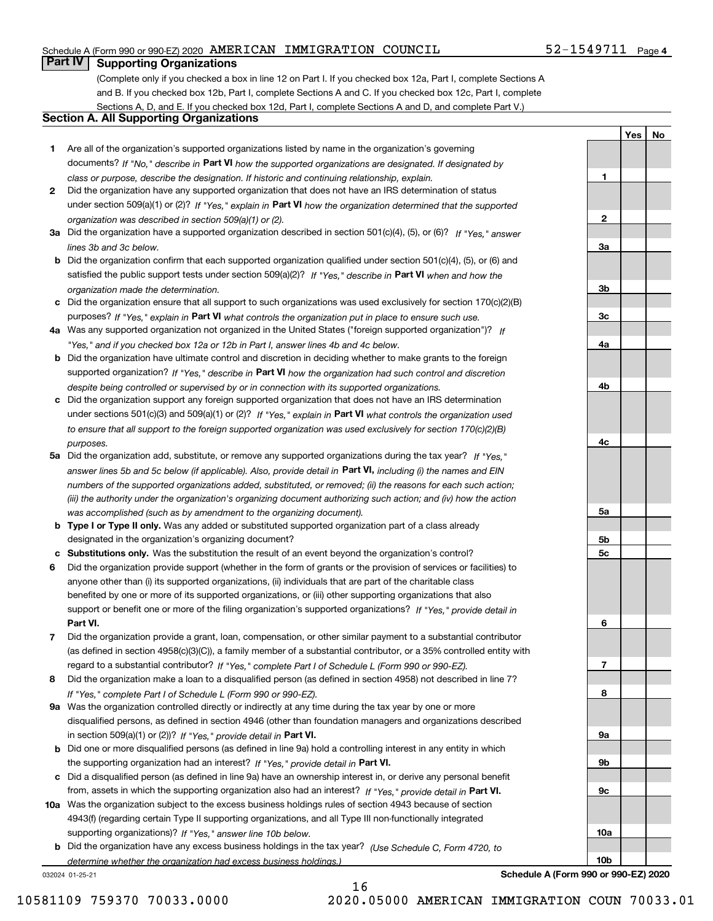#### Schedule A (Form 990 or 990-EZ) 2020 Page AMERICAN IMMIGRATION COUNCIL 52-1549711

## **Part IV Supporting Organizations**

(Complete only if you checked a box in line 12 on Part I. If you checked box 12a, Part I, complete Sections A and B. If you checked box 12b, Part I, complete Sections A and C. If you checked box 12c, Part I, complete Sections A, D, and E. If you checked box 12d, Part I, complete Sections A and D, and complete Part V.)

#### **Section A. All Supporting Organizations**

- **1** Are all of the organization's supported organizations listed by name in the organization's governing documents? If "No," describe in **Part VI** how the supported organizations are designated. If designated by *class or purpose, describe the designation. If historic and continuing relationship, explain.*
- **2** Did the organization have any supported organization that does not have an IRS determination of status under section 509(a)(1) or (2)? If "Yes," explain in Part VI how the organization determined that the supported *organization was described in section 509(a)(1) or (2).*
- **3a** Did the organization have a supported organization described in section 501(c)(4), (5), or (6)? If "Yes," answer *lines 3b and 3c below.*
- **b** Did the organization confirm that each supported organization qualified under section 501(c)(4), (5), or (6) and satisfied the public support tests under section 509(a)(2)? If "Yes," describe in **Part VI** when and how the *organization made the determination.*
- **c**Did the organization ensure that all support to such organizations was used exclusively for section 170(c)(2)(B) purposes? If "Yes," explain in **Part VI** what controls the organization put in place to ensure such use.
- **4a***If* Was any supported organization not organized in the United States ("foreign supported organization")? *"Yes," and if you checked box 12a or 12b in Part I, answer lines 4b and 4c below.*
- **b** Did the organization have ultimate control and discretion in deciding whether to make grants to the foreign supported organization? If "Yes," describe in **Part VI** how the organization had such control and discretion *despite being controlled or supervised by or in connection with its supported organizations.*
- **c** Did the organization support any foreign supported organization that does not have an IRS determination under sections 501(c)(3) and 509(a)(1) or (2)? If "Yes," explain in **Part VI** what controls the organization used *to ensure that all support to the foreign supported organization was used exclusively for section 170(c)(2)(B) purposes.*
- **5a** Did the organization add, substitute, or remove any supported organizations during the tax year? If "Yes," answer lines 5b and 5c below (if applicable). Also, provide detail in **Part VI,** including (i) the names and EIN *numbers of the supported organizations added, substituted, or removed; (ii) the reasons for each such action; (iii) the authority under the organization's organizing document authorizing such action; and (iv) how the action was accomplished (such as by amendment to the organizing document).*
- **b** Type I or Type II only. Was any added or substituted supported organization part of a class already designated in the organization's organizing document?
- **cSubstitutions only.**  Was the substitution the result of an event beyond the organization's control?
- **6** Did the organization provide support (whether in the form of grants or the provision of services or facilities) to **Part VI.** *If "Yes," provide detail in* support or benefit one or more of the filing organization's supported organizations? anyone other than (i) its supported organizations, (ii) individuals that are part of the charitable class benefited by one or more of its supported organizations, or (iii) other supporting organizations that also
- **7**Did the organization provide a grant, loan, compensation, or other similar payment to a substantial contributor *If "Yes," complete Part I of Schedule L (Form 990 or 990-EZ).* regard to a substantial contributor? (as defined in section 4958(c)(3)(C)), a family member of a substantial contributor, or a 35% controlled entity with
- **8** Did the organization make a loan to a disqualified person (as defined in section 4958) not described in line 7? *If "Yes," complete Part I of Schedule L (Form 990 or 990-EZ).*
- **9a** Was the organization controlled directly or indirectly at any time during the tax year by one or more in section 509(a)(1) or (2))? If "Yes," *provide detail in* <code>Part VI.</code> disqualified persons, as defined in section 4946 (other than foundation managers and organizations described
- **b** Did one or more disqualified persons (as defined in line 9a) hold a controlling interest in any entity in which the supporting organization had an interest? If "Yes," provide detail in P**art VI**.
- **c**Did a disqualified person (as defined in line 9a) have an ownership interest in, or derive any personal benefit from, assets in which the supporting organization also had an interest? If "Yes," provide detail in P**art VI.**
- **10a** Was the organization subject to the excess business holdings rules of section 4943 because of section supporting organizations)? If "Yes," answer line 10b below. 4943(f) (regarding certain Type II supporting organizations, and all Type III non-functionally integrated
- **b** Did the organization have any excess business holdings in the tax year? (Use Schedule C, Form 4720, to *determine whether the organization had excess business holdings.)*

16

032024 01-25-21

**Schedule A (Form 990 or 990-EZ) 2020**

**YesNo**

52-1549711 Page 4

10581109 759370 70033.0000 2020.05000 AMERICAN IMMIGRATION COUN 70033.01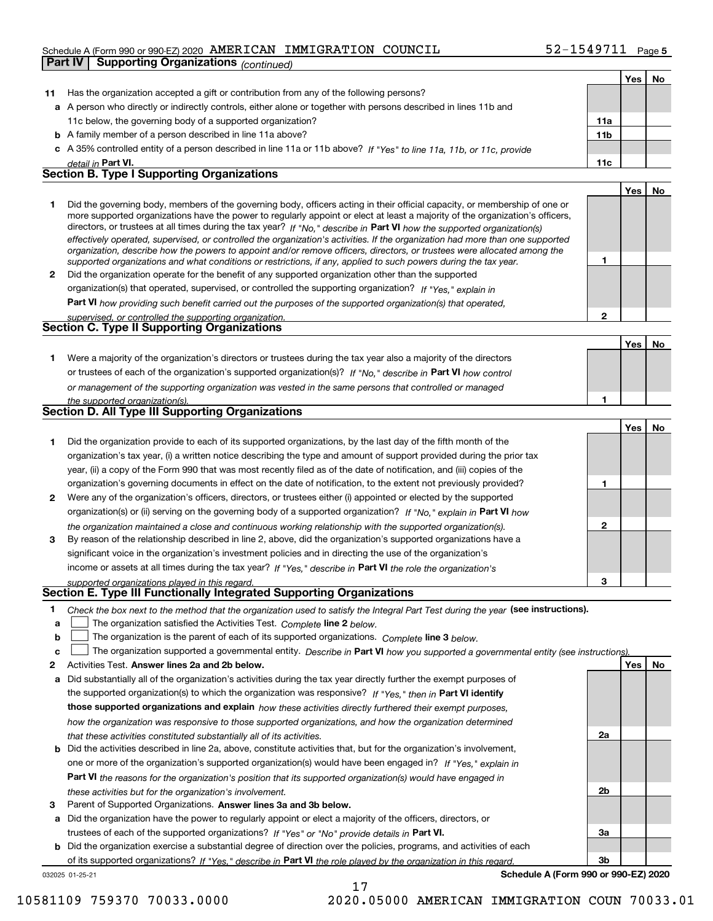#### Schedule A (Form 990 or 990-EZ) 2020 Page AMERICAN IMMIGRATION COUNCIL 52-1549711

|              | <b>Supporting Organizations (continued)</b><br>Part IV                                                                                                                                                                                                      |                 |     |    |
|--------------|-------------------------------------------------------------------------------------------------------------------------------------------------------------------------------------------------------------------------------------------------------------|-----------------|-----|----|
|              |                                                                                                                                                                                                                                                             |                 | Yes | No |
| 11           | Has the organization accepted a gift or contribution from any of the following persons?                                                                                                                                                                     |                 |     |    |
|              | a A person who directly or indirectly controls, either alone or together with persons described in lines 11b and                                                                                                                                            |                 |     |    |
|              | 11c below, the governing body of a supported organization?                                                                                                                                                                                                  | 11a             |     |    |
|              | <b>b</b> A family member of a person described in line 11a above?                                                                                                                                                                                           | 11 <sub>b</sub> |     |    |
|              | c A 35% controlled entity of a person described in line 11a or 11b above? If "Yes" to line 11a, 11b, or 11c, provide                                                                                                                                        |                 |     |    |
|              | detail in Part VI.                                                                                                                                                                                                                                          | 11c             |     |    |
|              | <b>Section B. Type I Supporting Organizations</b>                                                                                                                                                                                                           |                 |     |    |
|              |                                                                                                                                                                                                                                                             |                 | Yes | No |
| 1.           | Did the governing body, members of the governing body, officers acting in their official capacity, or membership of one or<br>more supported organizations have the power to regularly appoint or elect at least a majority of the organization's officers, |                 |     |    |
|              | directors, or trustees at all times during the tax year? If "No," describe in Part VI how the supported organization(s)<br>effectively operated, supervised, or controlled the organization's activities. If the organization had more than one supported   |                 |     |    |
|              | organization, describe how the powers to appoint and/or remove officers, directors, or trustees were allocated among the<br>supported organizations and what conditions or restrictions, if any, applied to such powers during the tax year.                | 1               |     |    |
| $\mathbf{2}$ | Did the organization operate for the benefit of any supported organization other than the supported                                                                                                                                                         |                 |     |    |
|              | organization(s) that operated, supervised, or controlled the supporting organization? If "Yes," explain in                                                                                                                                                  |                 |     |    |
|              | <b>Part VI</b> how providing such benefit carried out the purposes of the supported organization(s) that operated,                                                                                                                                          |                 |     |    |
|              | supervised, or controlled the supporting organization.                                                                                                                                                                                                      | $\mathbf{2}$    |     |    |
|              | Section C. Type II Supporting Organizations                                                                                                                                                                                                                 |                 |     |    |
|              |                                                                                                                                                                                                                                                             |                 | Yes | No |
| 1.           | Were a majority of the organization's directors or trustees during the tax year also a majority of the directors                                                                                                                                            |                 |     |    |
|              | or trustees of each of the organization's supported organization(s)? If "No," describe in Part VI how control                                                                                                                                               |                 |     |    |
|              | or management of the supporting organization was vested in the same persons that controlled or managed                                                                                                                                                      |                 |     |    |
|              | the supported organization(s).                                                                                                                                                                                                                              | 1               |     |    |
|              | Section D. All Type III Supporting Organizations                                                                                                                                                                                                            |                 |     |    |
|              |                                                                                                                                                                                                                                                             |                 | Yes | No |
| 1            | Did the organization provide to each of its supported organizations, by the last day of the fifth month of the                                                                                                                                              |                 |     |    |
|              | organization's tax year, (i) a written notice describing the type and amount of support provided during the prior tax                                                                                                                                       |                 |     |    |
|              | year, (ii) a copy of the Form 990 that was most recently filed as of the date of notification, and (iii) copies of the                                                                                                                                      |                 |     |    |
|              | organization's governing documents in effect on the date of notification, to the extent not previously provided?                                                                                                                                            | 1               |     |    |
| 2            | Were any of the organization's officers, directors, or trustees either (i) appointed or elected by the supported                                                                                                                                            |                 |     |    |
|              | organization(s) or (ii) serving on the governing body of a supported organization? If "No," explain in Part VI how                                                                                                                                          |                 |     |    |
|              | the organization maintained a close and continuous working relationship with the supported organization(s).                                                                                                                                                 | $\mathbf{2}$    |     |    |
| 3            | By reason of the relationship described in line 2, above, did the organization's supported organizations have a                                                                                                                                             |                 |     |    |
|              | significant voice in the organization's investment policies and in directing the use of the organization's                                                                                                                                                  |                 |     |    |
|              | income or assets at all times during the tax year? If "Yes," describe in Part VI the role the organization's                                                                                                                                                |                 |     |    |
|              | supported organizations played in this regard.                                                                                                                                                                                                              | з               |     |    |
|              | Section E. Type III Functionally Integrated Supporting Organizations                                                                                                                                                                                        |                 |     |    |
| 1            | Check the box next to the method that the organization used to satisfy the Integral Part Test during the year (see instructions).                                                                                                                           |                 |     |    |
| a            | The organization satisfied the Activities Test. Complete line 2 below.                                                                                                                                                                                      |                 |     |    |
| b            | The organization is the parent of each of its supported organizations. Complete line 3 below.                                                                                                                                                               |                 |     |    |
| c            | The organization supported a governmental entity. Describe in Part VI how you supported a governmental entity (see instructions)                                                                                                                            |                 |     |    |
| 2            | Activities Test. Answer lines 2a and 2b below.                                                                                                                                                                                                              |                 | Yes | No |
| a            | Did substantially all of the organization's activities during the tax year directly further the exempt purposes of                                                                                                                                          |                 |     |    |
|              | the supported organization(s) to which the organization was responsive? If "Yes," then in Part VI identify                                                                                                                                                  |                 |     |    |
|              | those supported organizations and explain how these activities directly furthered their exempt purposes,                                                                                                                                                    |                 |     |    |
|              | how the organization was responsive to those supported organizations, and how the organization determined                                                                                                                                                   | 2a              |     |    |
|              | that these activities constituted substantially all of its activities.<br><b>b</b> Did the activities described in line 2a, above, constitute activities that, but for the organization's involvement,                                                      |                 |     |    |
|              | one or more of the organization's supported organization(s) would have been engaged in? If "Yes," explain in                                                                                                                                                |                 |     |    |
|              | <b>Part VI</b> the reasons for the organization's position that its supported organization(s) would have engaged in                                                                                                                                         |                 |     |    |
|              | these activities but for the organization's involvement.                                                                                                                                                                                                    | 2 <sub>b</sub>  |     |    |
|              |                                                                                                                                                                                                                                                             |                 |     |    |

**3** Parent of Supported Organizations. Answer lines 3a and 3b below.

**a** Did the organization have the power to regularly appoint or elect a majority of the officers, directors, or trustees of each of the supported organizations? If "Yes" or "No" provide details in **Part VI.** 

032025 01-25-21 **b** Did the organization exercise a substantial degree of direction over the policies, programs, and activities of each of its supported organizations? If "Yes," describe in Part VI the role played by the organization in this regard.

17

**Schedule A (Form 990 or 990-EZ) 2020**

**3a**

**3b**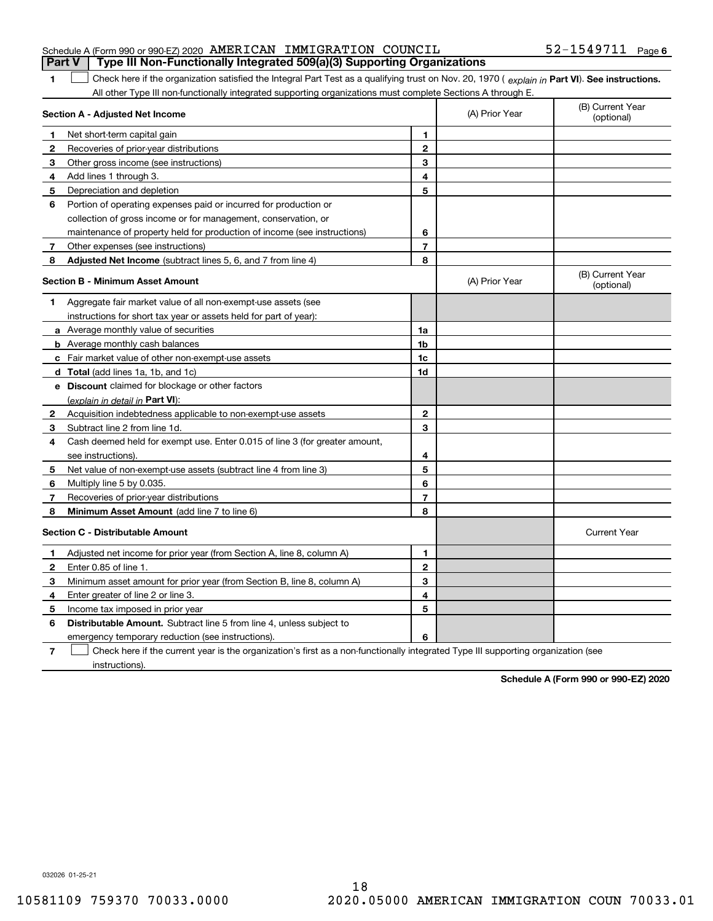| Part V   Type III Non-Functionally Integrated 509(a)(3) Supporting Organizations |  |                   |  |
|----------------------------------------------------------------------------------|--|-------------------|--|
| Schedule A (Form 990 or 990-EZ) 2020 AMERICAN IMMIGRATION COUNCIL                |  | 52-1549711 Page 6 |  |

1 Check here if the organization satisfied the Integral Part Test as a qualifying trust on Nov. 20, 1970 (explain in Part VI). See instructions. All other Type III non-functionally integrated supporting organizations must complete Sections A through E.

|   | Section A - Adjusted Net Income                                                                                                   |                | (A) Prior Year | (B) Current Year<br>(optional) |
|---|-----------------------------------------------------------------------------------------------------------------------------------|----------------|----------------|--------------------------------|
| 1 | Net short-term capital gain                                                                                                       | 1              |                |                                |
| 2 | Recoveries of prior-year distributions                                                                                            | $\mathbf{2}$   |                |                                |
| 3 | Other gross income (see instructions)                                                                                             | 3              |                |                                |
| 4 | Add lines 1 through 3.                                                                                                            | 4              |                |                                |
| 5 | Depreciation and depletion                                                                                                        | 5              |                |                                |
| 6 | Portion of operating expenses paid or incurred for production or                                                                  |                |                |                                |
|   | collection of gross income or for management, conservation, or                                                                    |                |                |                                |
|   | maintenance of property held for production of income (see instructions)                                                          | 6              |                |                                |
| 7 | Other expenses (see instructions)                                                                                                 | $\overline{7}$ |                |                                |
| 8 | Adjusted Net Income (subtract lines 5, 6, and 7 from line 4)                                                                      | 8              |                |                                |
|   | <b>Section B - Minimum Asset Amount</b>                                                                                           |                | (A) Prior Year | (B) Current Year<br>(optional) |
| 1 | Aggregate fair market value of all non-exempt-use assets (see                                                                     |                |                |                                |
|   | instructions for short tax year or assets held for part of year):                                                                 |                |                |                                |
|   | <b>a</b> Average monthly value of securities                                                                                      | 1a             |                |                                |
|   | <b>b</b> Average monthly cash balances                                                                                            | 1 <sub>b</sub> |                |                                |
|   | c Fair market value of other non-exempt-use assets                                                                                | 1c             |                |                                |
|   | <b>d</b> Total (add lines 1a, 1b, and 1c)                                                                                         | 1d             |                |                                |
|   | e Discount claimed for blockage or other factors                                                                                  |                |                |                                |
|   | (explain in detail in Part VI):                                                                                                   |                |                |                                |
| 2 | Acquisition indebtedness applicable to non-exempt-use assets                                                                      | 2              |                |                                |
| 3 | Subtract line 2 from line 1d.                                                                                                     | 3              |                |                                |
| 4 | Cash deemed held for exempt use. Enter 0.015 of line 3 (for greater amount,                                                       |                |                |                                |
|   | see instructions)                                                                                                                 | 4              |                |                                |
| 5 | Net value of non-exempt-use assets (subtract line 4 from line 3)                                                                  | 5              |                |                                |
| 6 | Multiply line 5 by 0.035.                                                                                                         | 6              |                |                                |
| 7 | Recoveries of prior-year distributions                                                                                            | 7              |                |                                |
| 8 | <b>Minimum Asset Amount</b> (add line 7 to line 6)                                                                                | 8              |                |                                |
|   | <b>Section C - Distributable Amount</b>                                                                                           |                |                | <b>Current Year</b>            |
| 1 | Adjusted net income for prior year (from Section A, line 8, column A)                                                             | 1              |                |                                |
| 2 | Enter 0.85 of line 1.                                                                                                             | $\mathbf{2}$   |                |                                |
| 3 | Minimum asset amount for prior year (from Section B, line 8, column A)                                                            | 3              |                |                                |
| 4 | Enter greater of line 2 or line 3.                                                                                                | 4              |                |                                |
| 5 | Income tax imposed in prior year                                                                                                  | 5              |                |                                |
| 6 | <b>Distributable Amount.</b> Subtract line 5 from line 4, unless subject to                                                       |                |                |                                |
|   | emergency temporary reduction (see instructions).                                                                                 | 6              |                |                                |
| 7 | Check here if the current year is the organization's first as a non-functionally integrated Type III supporting organization (see |                |                |                                |

instructions).

**1**

**Schedule A (Form 990 or 990-EZ) 2020**

032026 01-25-21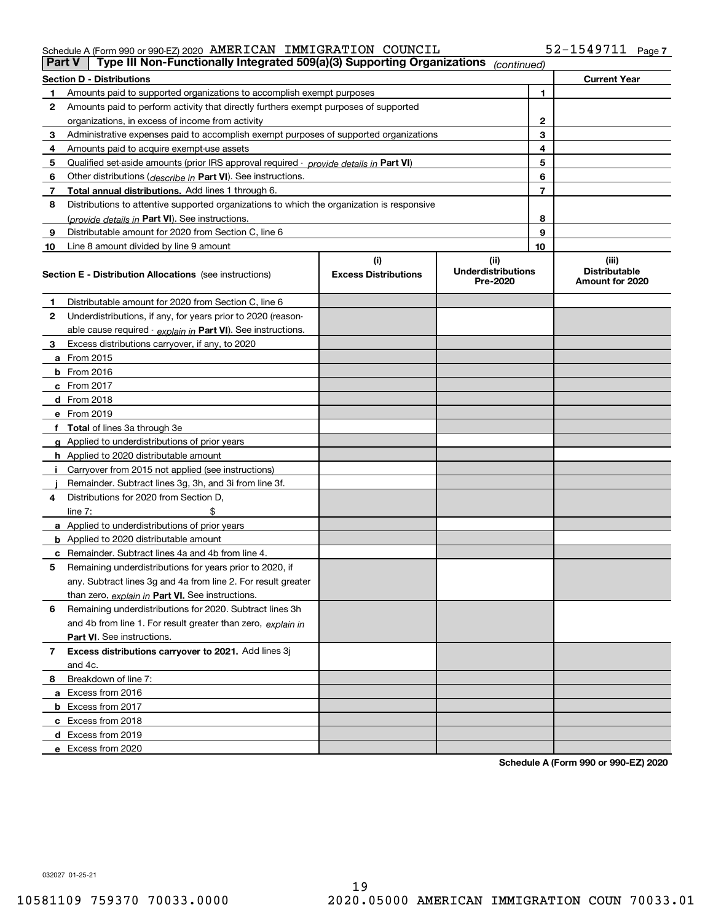#### Schedule A (Form 990 or 990-EZ) 2020 Page AMERICAN IMMIGRATION COUNCIL 52-1549711

| <b>Part V</b> | Type III Non-Functionally Integrated 509(a)(3) Supporting Organizations                    |                             | (continued)                           |              |                                         |
|---------------|--------------------------------------------------------------------------------------------|-----------------------------|---------------------------------------|--------------|-----------------------------------------|
|               | <b>Section D - Distributions</b>                                                           |                             |                                       |              | <b>Current Year</b>                     |
| 1             | Amounts paid to supported organizations to accomplish exempt purposes                      |                             | 1                                     |              |                                         |
| 2             | Amounts paid to perform activity that directly furthers exempt purposes of supported       |                             |                                       |              |                                         |
|               | organizations, in excess of income from activity                                           |                             |                                       | $\mathbf{2}$ |                                         |
| 3             | Administrative expenses paid to accomplish exempt purposes of supported organizations      |                             |                                       | 3            |                                         |
| 4             | Amounts paid to acquire exempt-use assets                                                  |                             |                                       | 4            |                                         |
| 5             | Qualified set-aside amounts (prior IRS approval required - provide details in Part VI)     |                             |                                       | 5            |                                         |
| 6             | Other distributions ( <i>describe in</i> Part VI). See instructions.                       |                             |                                       | 6            |                                         |
| 7             | Total annual distributions. Add lines 1 through 6.                                         |                             |                                       | 7            |                                         |
| 8             | Distributions to attentive supported organizations to which the organization is responsive |                             |                                       |              |                                         |
|               | (provide details in Part VI). See instructions.                                            |                             |                                       | 8            |                                         |
| 9             | Distributable amount for 2020 from Section C, line 6                                       |                             |                                       | 9            |                                         |
| 10            | Line 8 amount divided by line 9 amount                                                     |                             |                                       | 10           |                                         |
|               |                                                                                            | (i)                         | (ii)                                  |              | (iii)                                   |
|               | Section E - Distribution Allocations (see instructions)                                    | <b>Excess Distributions</b> | <b>Underdistributions</b><br>Pre-2020 |              | <b>Distributable</b><br>Amount for 2020 |
| 1             | Distributable amount for 2020 from Section C, line 6                                       |                             |                                       |              |                                         |
| 2             | Underdistributions, if any, for years prior to 2020 (reason-                               |                             |                                       |              |                                         |
|               | able cause required - explain in Part VI). See instructions.                               |                             |                                       |              |                                         |
| 3             | Excess distributions carryover, if any, to 2020                                            |                             |                                       |              |                                         |
|               | <b>a</b> From 2015                                                                         |                             |                                       |              |                                         |
|               | <b>b</b> From 2016                                                                         |                             |                                       |              |                                         |
|               | c From 2017                                                                                |                             |                                       |              |                                         |
|               | <b>d</b> From 2018                                                                         |                             |                                       |              |                                         |
|               | e From 2019                                                                                |                             |                                       |              |                                         |
|               | f Total of lines 3a through 3e                                                             |                             |                                       |              |                                         |
|               | g Applied to underdistributions of prior years                                             |                             |                                       |              |                                         |
|               | <b>h</b> Applied to 2020 distributable amount                                              |                             |                                       |              |                                         |
|               | Carryover from 2015 not applied (see instructions)                                         |                             |                                       |              |                                         |
|               | Remainder. Subtract lines 3g, 3h, and 3i from line 3f.                                     |                             |                                       |              |                                         |
| 4             | Distributions for 2020 from Section D,                                                     |                             |                                       |              |                                         |
|               | line $7:$                                                                                  |                             |                                       |              |                                         |
|               | a Applied to underdistributions of prior years                                             |                             |                                       |              |                                         |
|               | <b>b</b> Applied to 2020 distributable amount                                              |                             |                                       |              |                                         |
|               | c Remainder. Subtract lines 4a and 4b from line 4.                                         |                             |                                       |              |                                         |
| 5             | Remaining underdistributions for years prior to 2020, if                                   |                             |                                       |              |                                         |
|               | any. Subtract lines 3g and 4a from line 2. For result greater                              |                             |                                       |              |                                         |
|               | than zero, explain in Part VI. See instructions.                                           |                             |                                       |              |                                         |
| 6             | Remaining underdistributions for 2020. Subtract lines 3h                                   |                             |                                       |              |                                         |
|               | and 4b from line 1. For result greater than zero, explain in                               |                             |                                       |              |                                         |
|               | Part VI. See instructions.                                                                 |                             |                                       |              |                                         |
| 7             | Excess distributions carryover to 2021. Add lines 3j                                       |                             |                                       |              |                                         |
|               | and 4c.                                                                                    |                             |                                       |              |                                         |
| 8             | Breakdown of line 7:                                                                       |                             |                                       |              |                                         |
|               | a Excess from 2016                                                                         |                             |                                       |              |                                         |
|               | <b>b</b> Excess from 2017                                                                  |                             |                                       |              |                                         |
|               | c Excess from 2018                                                                         |                             |                                       |              |                                         |
|               | d Excess from 2019                                                                         |                             |                                       |              |                                         |
|               | e Excess from 2020                                                                         |                             |                                       |              |                                         |
|               |                                                                                            |                             |                                       |              |                                         |

**Schedule A (Form 990 or 990-EZ) 2020**

032027 01-25-21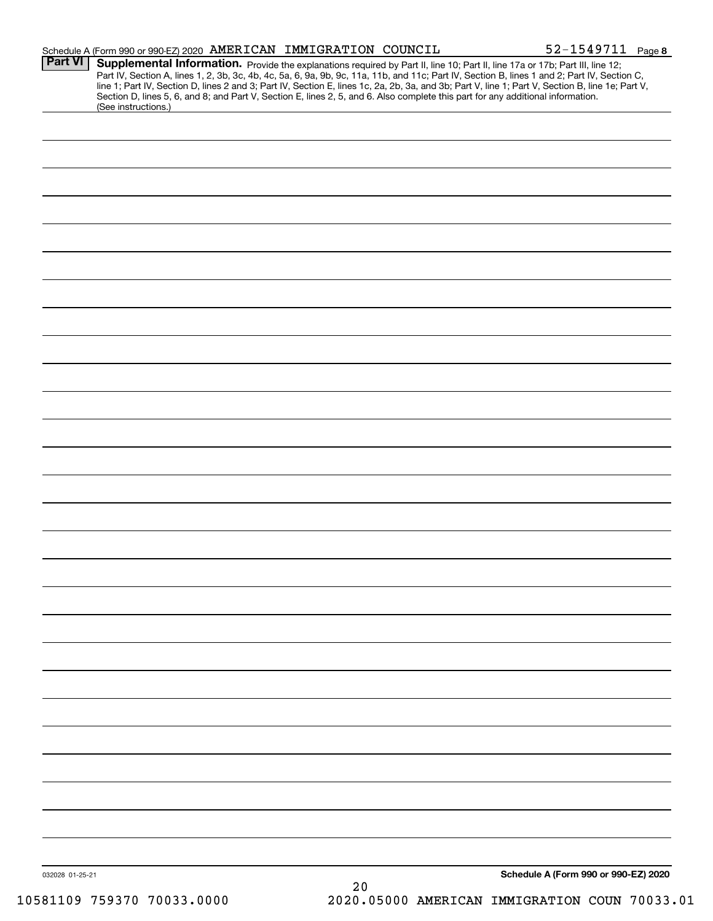|                 | Schedule A (Form 990 or 990-EZ) 2020 AMERICAN IMMIGRATION COUNCIL |            |    | 52-1549711 Page 8                                                                                                                                                                                                                                                                                                                                                                                                                 |  |
|-----------------|-------------------------------------------------------------------|------------|----|-----------------------------------------------------------------------------------------------------------------------------------------------------------------------------------------------------------------------------------------------------------------------------------------------------------------------------------------------------------------------------------------------------------------------------------|--|
| Part VI         |                                                                   |            |    | Supplemental Information. Provide the explanations required by Part II, line 10; Part II, line 17a or 17b; Part III, line 12;<br>Part IV, Section A, lines 1, 2, 3b, 3c, 4b, 4c, 5a, 6, 9a, 9b, 9c, 11a, 11b, and 11c; Part IV, Section B, lines 1 and 2; Part IV, Section C,<br>line 1; Part IV, Section D, lines 2 and 3; Part IV, Section E, lines 1c, 2a, 2b, 3a, and 3b; Part V, line 1; Part V, Section B, line 1e; Part V, |  |
|                 | (See instructions.)                                               |            |    | Section D, lines 5, 6, and 8; and Part V, Section E, lines 2, 5, and 6. Also complete this part for any additional information.                                                                                                                                                                                                                                                                                                   |  |
|                 |                                                                   |            |    |                                                                                                                                                                                                                                                                                                                                                                                                                                   |  |
|                 |                                                                   |            |    |                                                                                                                                                                                                                                                                                                                                                                                                                                   |  |
|                 |                                                                   |            |    |                                                                                                                                                                                                                                                                                                                                                                                                                                   |  |
|                 |                                                                   |            |    |                                                                                                                                                                                                                                                                                                                                                                                                                                   |  |
|                 |                                                                   |            |    |                                                                                                                                                                                                                                                                                                                                                                                                                                   |  |
|                 |                                                                   |            |    |                                                                                                                                                                                                                                                                                                                                                                                                                                   |  |
|                 |                                                                   |            |    |                                                                                                                                                                                                                                                                                                                                                                                                                                   |  |
|                 |                                                                   |            |    |                                                                                                                                                                                                                                                                                                                                                                                                                                   |  |
|                 |                                                                   |            |    |                                                                                                                                                                                                                                                                                                                                                                                                                                   |  |
|                 |                                                                   |            |    |                                                                                                                                                                                                                                                                                                                                                                                                                                   |  |
|                 |                                                                   |            |    |                                                                                                                                                                                                                                                                                                                                                                                                                                   |  |
|                 |                                                                   |            |    |                                                                                                                                                                                                                                                                                                                                                                                                                                   |  |
|                 |                                                                   |            |    |                                                                                                                                                                                                                                                                                                                                                                                                                                   |  |
|                 |                                                                   |            |    |                                                                                                                                                                                                                                                                                                                                                                                                                                   |  |
|                 |                                                                   |            |    |                                                                                                                                                                                                                                                                                                                                                                                                                                   |  |
|                 |                                                                   |            |    |                                                                                                                                                                                                                                                                                                                                                                                                                                   |  |
|                 |                                                                   |            |    |                                                                                                                                                                                                                                                                                                                                                                                                                                   |  |
|                 |                                                                   |            |    |                                                                                                                                                                                                                                                                                                                                                                                                                                   |  |
|                 |                                                                   |            |    |                                                                                                                                                                                                                                                                                                                                                                                                                                   |  |
|                 |                                                                   |            |    |                                                                                                                                                                                                                                                                                                                                                                                                                                   |  |
|                 |                                                                   |            |    |                                                                                                                                                                                                                                                                                                                                                                                                                                   |  |
|                 |                                                                   |            |    |                                                                                                                                                                                                                                                                                                                                                                                                                                   |  |
|                 |                                                                   |            |    |                                                                                                                                                                                                                                                                                                                                                                                                                                   |  |
|                 |                                                                   |            |    |                                                                                                                                                                                                                                                                                                                                                                                                                                   |  |
|                 |                                                                   |            |    |                                                                                                                                                                                                                                                                                                                                                                                                                                   |  |
|                 |                                                                   |            |    |                                                                                                                                                                                                                                                                                                                                                                                                                                   |  |
|                 |                                                                   |            |    |                                                                                                                                                                                                                                                                                                                                                                                                                                   |  |
|                 |                                                                   |            |    |                                                                                                                                                                                                                                                                                                                                                                                                                                   |  |
|                 |                                                                   |            |    |                                                                                                                                                                                                                                                                                                                                                                                                                                   |  |
|                 |                                                                   |            |    |                                                                                                                                                                                                                                                                                                                                                                                                                                   |  |
|                 |                                                                   |            |    |                                                                                                                                                                                                                                                                                                                                                                                                                                   |  |
|                 |                                                                   |            |    |                                                                                                                                                                                                                                                                                                                                                                                                                                   |  |
|                 |                                                                   |            |    |                                                                                                                                                                                                                                                                                                                                                                                                                                   |  |
|                 |                                                                   |            |    |                                                                                                                                                                                                                                                                                                                                                                                                                                   |  |
|                 |                                                                   |            |    |                                                                                                                                                                                                                                                                                                                                                                                                                                   |  |
|                 |                                                                   |            |    |                                                                                                                                                                                                                                                                                                                                                                                                                                   |  |
| 032028 01-25-21 |                                                                   |            | 20 | Schedule A (Form 990 or 990-EZ) 2020                                                                                                                                                                                                                                                                                                                                                                                              |  |
|                 |                                                                   | . <i>.</i> |    |                                                                                                                                                                                                                                                                                                                                                                                                                                   |  |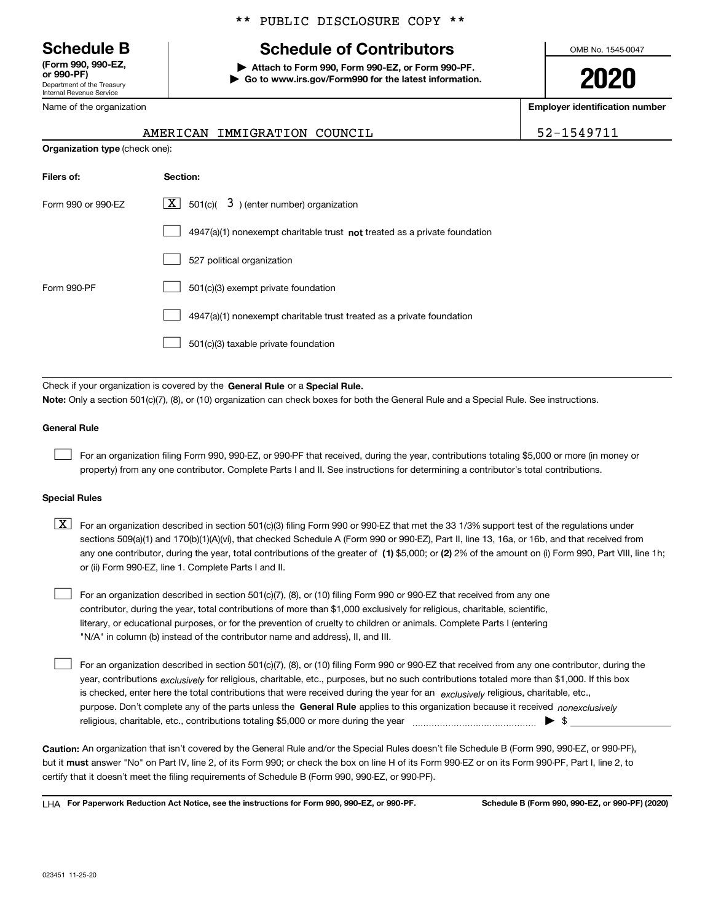Department of the Treasury Internal Revenue Service **(Form 990, 990-EZ, or 990-PF)**

Name of the organization

**Organization type** (check one):

#### \*\* PUBLIC DISCLOSURE COPY \*\*

# **Schedule B Schedule of Contributors**

**| Attach to Form 990, Form 990-EZ, or Form 990-PF. | Go to www.irs.gov/Form990 for the latest information.** OMB No. 1545-0047

**2020**

**Employer identification number**

|  | AMERICAN IMMIGRATION COUNCI |  |
|--|-----------------------------|--|

52-1549711

| Filers of:         | Section:                                                                           |
|--------------------|------------------------------------------------------------------------------------|
| Form 990 or 990-EZ | $\lfloor x \rfloor$ 501(c)( 3) (enter number) organization                         |
|                    | $4947(a)(1)$ nonexempt charitable trust <b>not</b> treated as a private foundation |
|                    | 527 political organization                                                         |
| Form 990-PF        | 501(c)(3) exempt private foundation                                                |
|                    | 4947(a)(1) nonexempt charitable trust treated as a private foundation              |
|                    | 501(c)(3) taxable private foundation                                               |

Check if your organization is covered by the **General Rule** or a **Special Rule. Note:**  Only a section 501(c)(7), (8), or (10) organization can check boxes for both the General Rule and a Special Rule. See instructions.

#### **General Rule**

 $\mathcal{L}^{\text{max}}$ 

For an organization filing Form 990, 990-EZ, or 990-PF that received, during the year, contributions totaling \$5,000 or more (in money or property) from any one contributor. Complete Parts I and II. See instructions for determining a contributor's total contributions.

#### **Special Rules**

any one contributor, during the year, total contributions of the greater of  $\,$  (1) \$5,000; or **(2)** 2% of the amount on (i) Form 990, Part VIII, line 1h;  $\boxed{\textbf{X}}$  For an organization described in section 501(c)(3) filing Form 990 or 990-EZ that met the 33 1/3% support test of the regulations under sections 509(a)(1) and 170(b)(1)(A)(vi), that checked Schedule A (Form 990 or 990-EZ), Part II, line 13, 16a, or 16b, and that received from or (ii) Form 990-EZ, line 1. Complete Parts I and II.

For an organization described in section 501(c)(7), (8), or (10) filing Form 990 or 990-EZ that received from any one contributor, during the year, total contributions of more than \$1,000 exclusively for religious, charitable, scientific, literary, or educational purposes, or for the prevention of cruelty to children or animals. Complete Parts I (entering "N/A" in column (b) instead of the contributor name and address), II, and III.  $\mathcal{L}^{\text{max}}$ 

purpose. Don't complete any of the parts unless the **General Rule** applies to this organization because it received *nonexclusively* year, contributions <sub>exclusively</sub> for religious, charitable, etc., purposes, but no such contributions totaled more than \$1,000. If this box is checked, enter here the total contributions that were received during the year for an  $\;$ exclusively religious, charitable, etc., For an organization described in section 501(c)(7), (8), or (10) filing Form 990 or 990-EZ that received from any one contributor, during the religious, charitable, etc., contributions totaling \$5,000 or more during the year  $\Box$ — $\Box$   $\Box$  $\mathcal{L}^{\text{max}}$ 

**Caution:**  An organization that isn't covered by the General Rule and/or the Special Rules doesn't file Schedule B (Form 990, 990-EZ, or 990-PF),  **must** but it answer "No" on Part IV, line 2, of its Form 990; or check the box on line H of its Form 990-EZ or on its Form 990-PF, Part I, line 2, to certify that it doesn't meet the filing requirements of Schedule B (Form 990, 990-EZ, or 990-PF).

**For Paperwork Reduction Act Notice, see the instructions for Form 990, 990-EZ, or 990-PF. Schedule B (Form 990, 990-EZ, or 990-PF) (2020)** LHA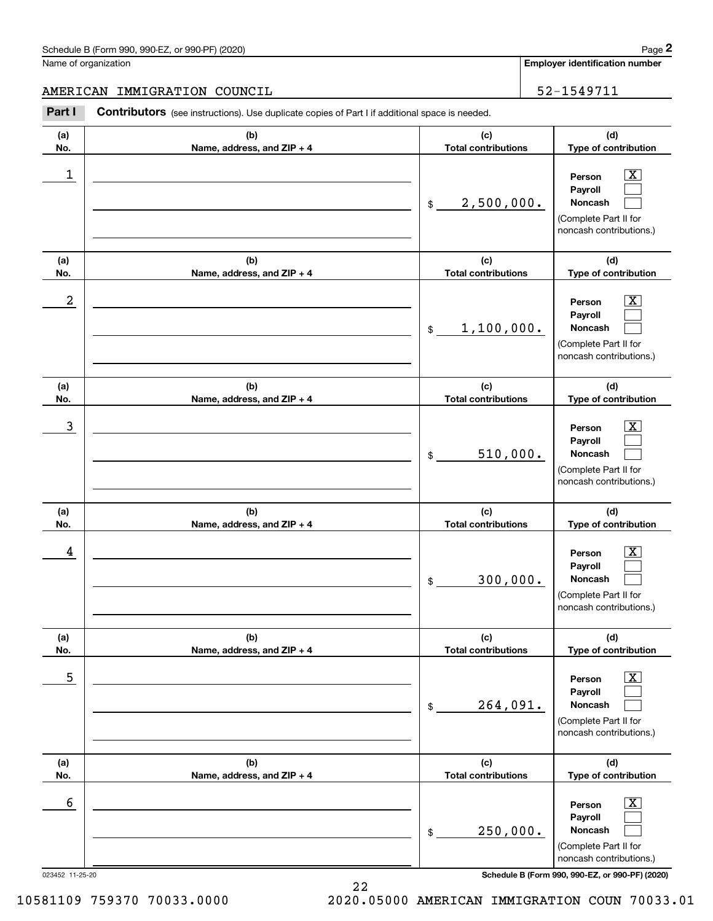Name of organization

**Employer identification number**

#### AMERICAN IMMIGRATION COUNCIL 32-1549711

**(a)No.(b)Name, address, and ZIP + 4 (c)Total contributions (d)Type of contribution PersonPayrollNoncash (a)No.(b)Name, address, and ZIP + 4 (c)Total contributions (d)Type of contribution PersonPayrollNoncash (a)No.(b)Name, address, and ZIP + 4 (c)Total contributions (d)Type of contribution PersonPayrollNoncash (a) No.(b) Name, address, and ZIP + 4 (c) Total contributions (d) Type of contribution PersonPayrollNoncash (a) No.(b) Name, address, and ZIP + 4 (c) Total contributions (d) Type of contribution PersonPayrollNoncash(a) No.(b)Name, address, and ZIP + 4 (c) Total contributions (d)Type of contribution PersonPayrollNoncash** Contributors (see instructions). Use duplicate copies of Part I if additional space is needed. \$(Complete Part II for noncash contributions.) \$(Complete Part II for noncash contributions.) \$(Complete Part II for noncash contributions.) \$(Complete Part II for noncash contributions.) \$(Complete Part II for noncash contributions.) \$(Complete Part II for noncash contributions.) Employer identification Page 2<br>
Iame of organization<br> **2Part I Contributors** (see instructions). Use duplicate copies of Part I if additional space is needed.<br> **2Part I Contributors** (see instructions). Use duplicate c  $|X|$  $\mathcal{L}^{\text{max}}$  $\mathcal{L}^{\text{max}}$  $\boxed{\text{X}}$  $\mathcal{L}^{\text{max}}$  $\mathcal{L}^{\text{max}}$  $|X|$  $\mathcal{L}^{\text{max}}$  $\mathcal{L}^{\text{max}}$  $\boxed{\text{X}}$  $\mathcal{L}^{\text{max}}$  $\mathcal{L}^{\text{max}}$  $\boxed{\text{X}}$  $\mathcal{L}^{\text{max}}$  $\mathcal{L}^{\text{max}}$  $\lfloor x \rfloor$  $\mathcal{L}^{\text{max}}$  $\mathcal{L}^{\text{max}}$  $\begin{array}{c|c|c|c|c|c} 1 & \hspace{1.5cm} & \hspace{1.5cm} & \hspace{1.5cm} & \hspace{1.5cm} & \hspace{1.5cm} & \hspace{1.5cm} & \hspace{1.5cm} & \hspace{1.5cm} & \hspace{1.5cm} & \hspace{1.5cm} & \hspace{1.5cm} & \hspace{1.5cm} & \hspace{1.5cm} & \hspace{1.5cm} & \hspace{1.5cm} & \hspace{1.5cm} & \hspace{1.5cm} & \hspace{1.5cm} & \hspace{1.5cm} & \hspace{1.5cm} &$ 2,500,000.  $2$  | Person  $\overline{\text{X}}$ 1,100,000.  $\overline{3}$  | Person  $\overline{X}$ 510,000.  $4$  | Person  $\overline{\text{X}}$ 300,000.  $\sim$  5 | Person X 264,091.  $\sim$  6 | Person X 250,000.

023452 11-25-20 **Schedule B (Form 990, 990-EZ, or 990-PF) (2020)**

22 10581109 759370 70033.0000 2020.05000 AMERICAN IMMIGRATION COUN 70033.01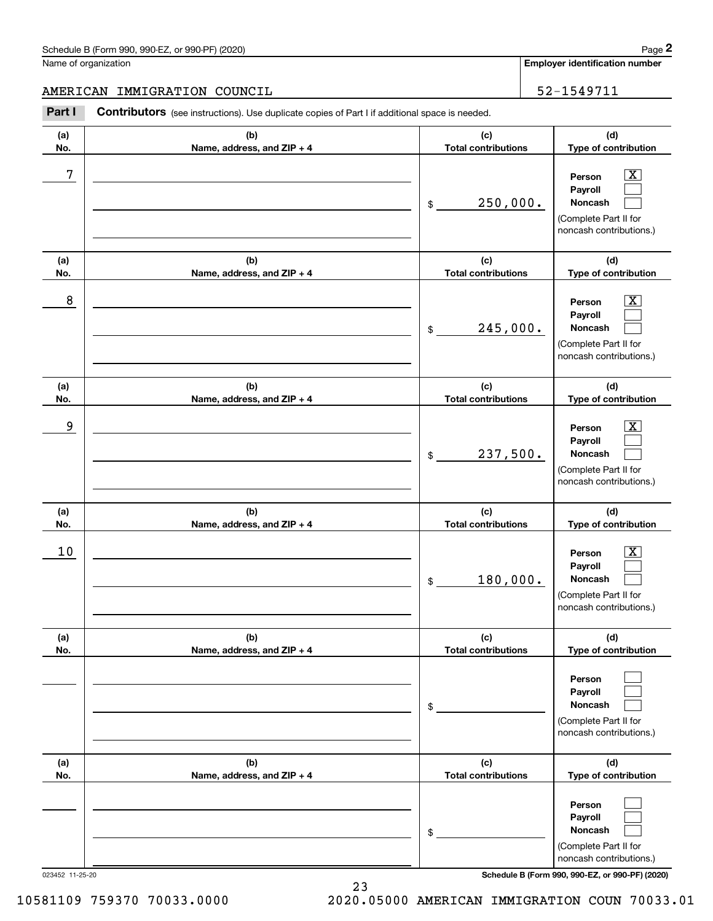Name of organization

**Employer identification number**

#### AMERICAN IMMIGRATION COUNCIL 32-1549711

**(a)No.(b)Name, address, and ZIP + 4 (c)Total contributions (d)Type of contribution PersonPayrollNoncash (a)No.(b)Name, address, and ZIP + 4 (c)Total contributions (d)Type of contribution PersonPayrollNoncash (a)No.(b)Name, address, and ZIP + 4 (c)Total contributions (d)Type of contribution PersonPayrollNoncash (a) No.(b) Name, address, and ZIP + 4 (c) Total contributions (d) Type of contribution PersonPayrollNoncash(a) No.(b) Name, address, and ZIP + 4 (c) Total contributions (d) Type of contribution Person PayrollNoncash(a) No.(b)Name, address, and ZIP + 4 (c) Total contributions (d)Type of contribution PersonPayrollNoncash** Contributors (see instructions). Use duplicate copies of Part I if additional space is needed. \$(Complete Part II for noncash contributions.) \$(Complete Part II for noncash contributions.) \$(Complete Part II for noncash contributions.) \$(Complete Part II for noncash contributions.) \$(Complete Part II for noncash contributions.) \$(Complete Part II for noncash contributions.) Employer identification Page 2<br>
Iame of organization<br> **2Part I Contributors** (see instructions). Use duplicate copies of Part I if additional space is needed.<br> **2Part I Contributors** (see instructions). Use duplicate c  $|X|$  $\mathcal{L}^{\text{max}}$  $\mathcal{L}^{\text{max}}$  $\boxed{\text{X}}$  $\mathcal{L}^{\text{max}}$  $\mathcal{L}^{\text{max}}$  $|X|$  $\mathcal{L}^{\text{max}}$  $\mathcal{L}^{\text{max}}$  $\boxed{\text{X}}$  $\mathcal{L}^{\text{max}}$  $\mathcal{L}^{\text{max}}$  $\mathcal{L}^{\text{max}}$  $\mathcal{L}^{\text{max}}$  $\mathcal{L}^{\text{max}}$  $\mathcal{L}^{\text{max}}$  $\mathcal{L}^{\text{max}}$  $\mathcal{L}^{\text{max}}$ 7 X 250,000. 8 X 245,000. example and the set of the set of the set of the set of the set of the set of the set of the set of the set of 237,500.  $10$  Person  $\overline{\text{X}}$ 180,000.

023452 11-25-20 **Schedule B (Form 990, 990-EZ, or 990-PF) (2020)**

23 10581109 759370 70033.0000 2020.05000 AMERICAN IMMIGRATION COUN 70033.01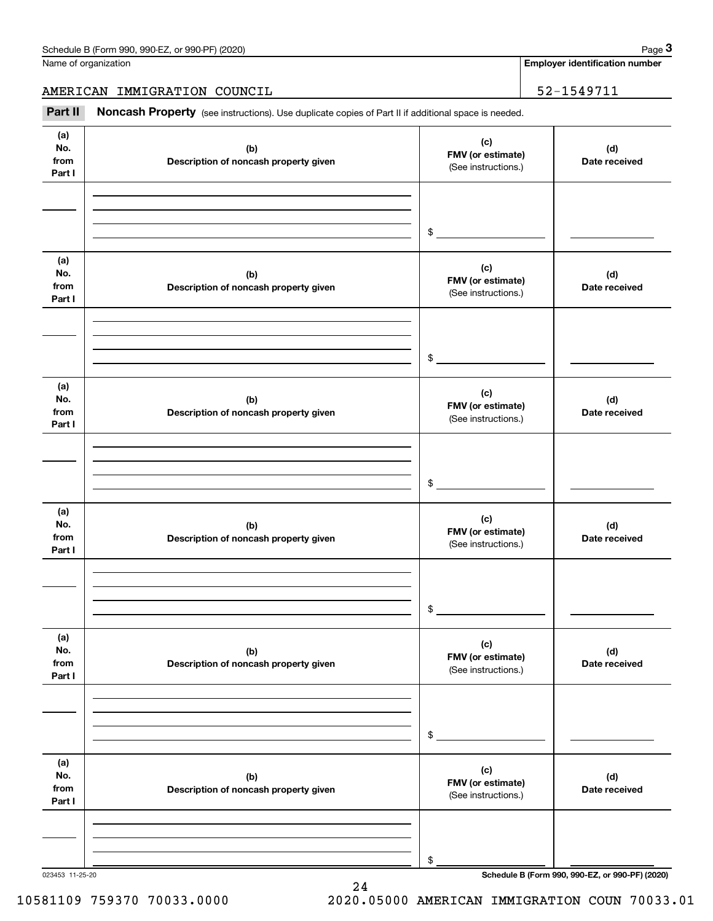**Employer identification number**

AMERICAN IMMIGRATION COUNCIL 32-1549711

Chedule B (Form 990, 990-EZ, or 990-PF) (2020)<br> **3Page 3 Employer identification number**<br> **3Part II if additional space is needed.**<br> **Part II Noncash Property** (see instructions). Use duplicate copies of Part II if additio

| (a)<br>No.<br>from<br>Part I | (b)<br>Description of noncash property given | (c)<br>FMV (or estimate)<br>(See instructions.) | (d)<br>Date received |
|------------------------------|----------------------------------------------|-------------------------------------------------|----------------------|
|                              |                                              | $\frac{1}{2}$                                   |                      |
| (a)<br>No.<br>from<br>Part I | (b)<br>Description of noncash property given | (c)<br>FMV (or estimate)<br>(See instructions.) | (d)<br>Date received |
|                              |                                              | $\frac{1}{2}$                                   |                      |
| (a)<br>No.<br>from<br>Part I | (b)<br>Description of noncash property given | (c)<br>FMV (or estimate)<br>(See instructions.) | (d)<br>Date received |
|                              |                                              | $\frac{1}{2}$                                   |                      |
| (a)<br>No.<br>from<br>Part I | (b)<br>Description of noncash property given | (c)<br>FMV (or estimate)<br>(See instructions.) | (d)<br>Date received |
|                              |                                              | $\mathsf{\$}$                                   |                      |
| (a)<br>No.<br>from<br>Part I | (b)<br>Description of noncash property given | (c)<br>FMV (or estimate)<br>(See instructions.) | (d)<br>Date received |
|                              |                                              | \$                                              |                      |
| (a)<br>No.<br>from<br>Part I | (b)<br>Description of noncash property given | (c)<br>FMV (or estimate)<br>(See instructions.) | (d)<br>Date received |
|                              |                                              | \$                                              |                      |

24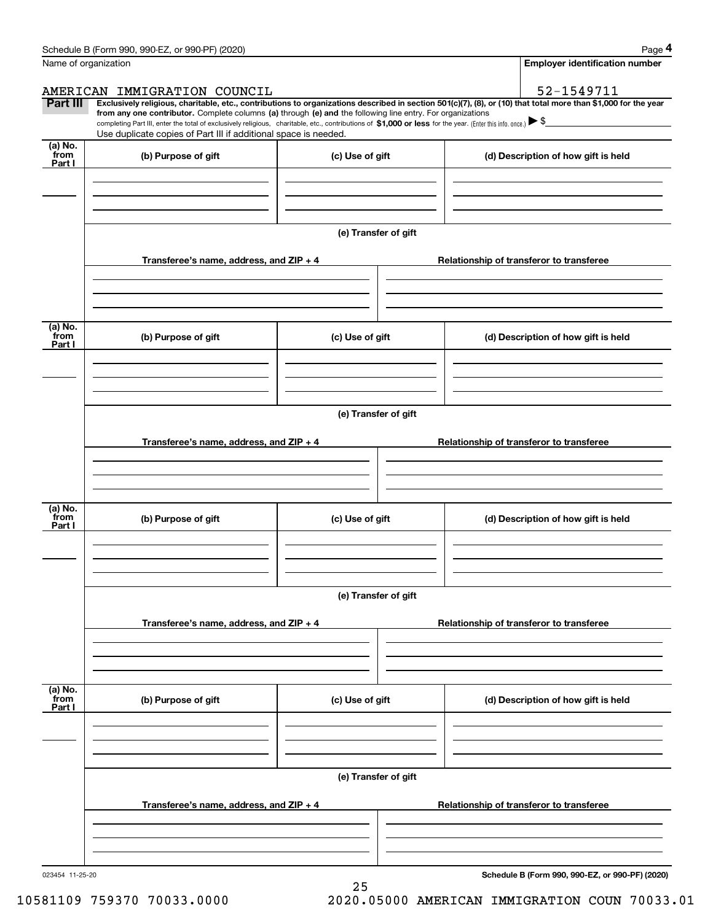|                           | Schedule B (Form 990, 990-EZ, or 990-PF) (2020)                                                                                                                                                                                                                                                 |                      | Page 4                                                                                                                                                         |  |  |  |  |  |
|---------------------------|-------------------------------------------------------------------------------------------------------------------------------------------------------------------------------------------------------------------------------------------------------------------------------------------------|----------------------|----------------------------------------------------------------------------------------------------------------------------------------------------------------|--|--|--|--|--|
|                           | Name of organization                                                                                                                                                                                                                                                                            |                      | <b>Employer identification number</b>                                                                                                                          |  |  |  |  |  |
|                           | AMERICAN IMMIGRATION COUNCIL                                                                                                                                                                                                                                                                    |                      | 52-1549711                                                                                                                                                     |  |  |  |  |  |
| Part III                  | from any one contributor. Complete columns (a) through (e) and the following line entry. For organizations<br>completing Part III, enter the total of exclusively religious, charitable, etc., contributions of \$1,000 or less for the year. (Enter this info. once.) $\blacktriangleright$ \$ |                      | Exclusively religious, charitable, etc., contributions to organizations described in section 501(c)(7), (8), or (10) that total more than \$1,000 for the year |  |  |  |  |  |
|                           | Use duplicate copies of Part III if additional space is needed.                                                                                                                                                                                                                                 |                      |                                                                                                                                                                |  |  |  |  |  |
| (a) No.<br>from<br>Part I | (b) Purpose of gift                                                                                                                                                                                                                                                                             | (c) Use of gift      | (d) Description of how gift is held                                                                                                                            |  |  |  |  |  |
|                           |                                                                                                                                                                                                                                                                                                 |                      |                                                                                                                                                                |  |  |  |  |  |
|                           |                                                                                                                                                                                                                                                                                                 |                      |                                                                                                                                                                |  |  |  |  |  |
|                           |                                                                                                                                                                                                                                                                                                 | (e) Transfer of gift |                                                                                                                                                                |  |  |  |  |  |
|                           | Transferee's name, address, and ZIP + 4                                                                                                                                                                                                                                                         |                      | Relationship of transferor to transferee                                                                                                                       |  |  |  |  |  |
|                           |                                                                                                                                                                                                                                                                                                 |                      |                                                                                                                                                                |  |  |  |  |  |
| (a) No.<br>from<br>Part I | (b) Purpose of gift                                                                                                                                                                                                                                                                             | (c) Use of gift      | (d) Description of how gift is held                                                                                                                            |  |  |  |  |  |
|                           |                                                                                                                                                                                                                                                                                                 |                      |                                                                                                                                                                |  |  |  |  |  |
|                           | (e) Transfer of gift                                                                                                                                                                                                                                                                            |                      |                                                                                                                                                                |  |  |  |  |  |
|                           |                                                                                                                                                                                                                                                                                                 |                      |                                                                                                                                                                |  |  |  |  |  |
|                           | Transferee's name, address, and $ZIP + 4$                                                                                                                                                                                                                                                       |                      | Relationship of transferor to transferee                                                                                                                       |  |  |  |  |  |
|                           |                                                                                                                                                                                                                                                                                                 |                      |                                                                                                                                                                |  |  |  |  |  |
| (a) No.<br>from<br>Part I | (b) Purpose of gift                                                                                                                                                                                                                                                                             | (c) Use of gift      | (d) Description of how gift is held                                                                                                                            |  |  |  |  |  |
|                           |                                                                                                                                                                                                                                                                                                 |                      |                                                                                                                                                                |  |  |  |  |  |
|                           |                                                                                                                                                                                                                                                                                                 | (e) Transfer of gift |                                                                                                                                                                |  |  |  |  |  |
|                           | Transferee's name, address, and ZIP + 4                                                                                                                                                                                                                                                         |                      | Relationship of transferor to transferee                                                                                                                       |  |  |  |  |  |
|                           |                                                                                                                                                                                                                                                                                                 |                      |                                                                                                                                                                |  |  |  |  |  |
|                           |                                                                                                                                                                                                                                                                                                 |                      |                                                                                                                                                                |  |  |  |  |  |
| (a) No.<br>from<br>Part I | (b) Purpose of gift                                                                                                                                                                                                                                                                             | (c) Use of gift      | (d) Description of how gift is held                                                                                                                            |  |  |  |  |  |
|                           |                                                                                                                                                                                                                                                                                                 |                      |                                                                                                                                                                |  |  |  |  |  |
|                           |                                                                                                                                                                                                                                                                                                 |                      |                                                                                                                                                                |  |  |  |  |  |
|                           |                                                                                                                                                                                                                                                                                                 | (e) Transfer of gift |                                                                                                                                                                |  |  |  |  |  |
|                           | Transferee's name, address, and $ZIP + 4$                                                                                                                                                                                                                                                       |                      | Relationship of transferor to transferee                                                                                                                       |  |  |  |  |  |
|                           |                                                                                                                                                                                                                                                                                                 |                      |                                                                                                                                                                |  |  |  |  |  |
|                           |                                                                                                                                                                                                                                                                                                 |                      |                                                                                                                                                                |  |  |  |  |  |

25

**Schedule B (Form 990, 990-EZ, or 990-PF) (2020)**

<sup>023454 11-25-20</sup>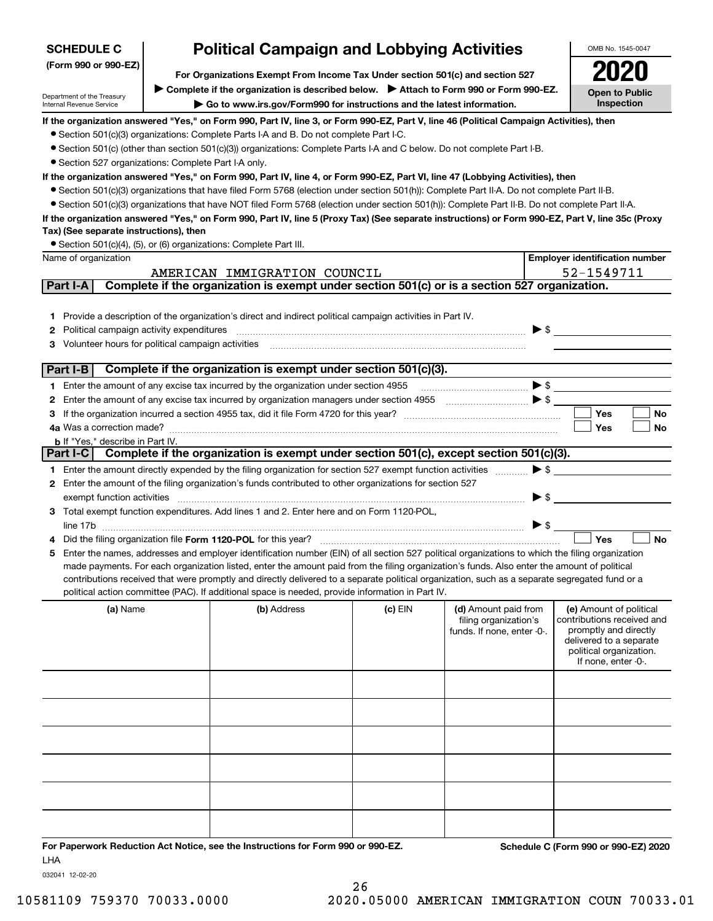| <b>SCHEDULE C</b>                                                                                     | <b>Political Campaign and Lobbying Activities</b>                                     |                                                                                                                                                                                                                                                                                               |           |                            |                          | OMB No. 1545-0047                                |  |  |
|-------------------------------------------------------------------------------------------------------|---------------------------------------------------------------------------------------|-----------------------------------------------------------------------------------------------------------------------------------------------------------------------------------------------------------------------------------------------------------------------------------------------|-----------|----------------------------|--------------------------|--------------------------------------------------|--|--|
| (Form 990 or 990-EZ)<br>For Organizations Exempt From Income Tax Under section 501(c) and section 527 |                                                                                       |                                                                                                                                                                                                                                                                                               |           |                            |                          |                                                  |  |  |
|                                                                                                       | Complete if the organization is described below. > Attach to Form 990 or Form 990-EZ. |                                                                                                                                                                                                                                                                                               |           |                            |                          |                                                  |  |  |
| Department of the Treasury<br>Internal Revenue Service                                                | Go to www.irs.gov/Form990 for instructions and the latest information.                |                                                                                                                                                                                                                                                                                               |           |                            |                          |                                                  |  |  |
|                                                                                                       |                                                                                       | If the organization answered "Yes," on Form 990, Part IV, line 3, or Form 990-EZ, Part V, line 46 (Political Campaign Activities), then                                                                                                                                                       |           |                            |                          | Inspection                                       |  |  |
|                                                                                                       |                                                                                       | • Section 501(c)(3) organizations: Complete Parts I-A and B. Do not complete Part I-C.                                                                                                                                                                                                        |           |                            |                          |                                                  |  |  |
|                                                                                                       |                                                                                       | • Section 501(c) (other than section 501(c)(3)) organizations: Complete Parts I-A and C below. Do not complete Part I-B.                                                                                                                                                                      |           |                            |                          |                                                  |  |  |
| • Section 527 organizations: Complete Part I-A only.                                                  |                                                                                       |                                                                                                                                                                                                                                                                                               |           |                            |                          |                                                  |  |  |
|                                                                                                       |                                                                                       | If the organization answered "Yes," on Form 990, Part IV, line 4, or Form 990-EZ, Part VI, line 47 (Lobbying Activities), then                                                                                                                                                                |           |                            |                          |                                                  |  |  |
|                                                                                                       |                                                                                       | • Section 501(c)(3) organizations that have filed Form 5768 (election under section 501(h)): Complete Part II-A. Do not complete Part II-B.                                                                                                                                                   |           |                            |                          |                                                  |  |  |
|                                                                                                       |                                                                                       | • Section 501(c)(3) organizations that have NOT filed Form 5768 (election under section 501(h)): Complete Part II-B. Do not complete Part II-A.                                                                                                                                               |           |                            |                          |                                                  |  |  |
| Tax) (See separate instructions), then                                                                |                                                                                       | If the organization answered "Yes," on Form 990, Part IV, line 5 (Proxy Tax) (See separate instructions) or Form 990-EZ, Part V, line 35c (Proxy                                                                                                                                              |           |                            |                          |                                                  |  |  |
|                                                                                                       |                                                                                       | • Section 501(c)(4), (5), or (6) organizations: Complete Part III.                                                                                                                                                                                                                            |           |                            |                          |                                                  |  |  |
| Name of organization                                                                                  |                                                                                       |                                                                                                                                                                                                                                                                                               |           |                            |                          | <b>Employer identification number</b>            |  |  |
|                                                                                                       |                                                                                       | AMERICAN IMMIGRATION COUNCIL                                                                                                                                                                                                                                                                  |           |                            |                          | 52-1549711                                       |  |  |
| Part I-A                                                                                              |                                                                                       | Complete if the organization is exempt under section 501(c) or is a section 527 organization.                                                                                                                                                                                                 |           |                            |                          |                                                  |  |  |
|                                                                                                       |                                                                                       |                                                                                                                                                                                                                                                                                               |           |                            |                          |                                                  |  |  |
|                                                                                                       |                                                                                       | 1 Provide a description of the organization's direct and indirect political campaign activities in Part IV.                                                                                                                                                                                   |           |                            |                          |                                                  |  |  |
| Political campaign activity expenditures<br>2                                                         |                                                                                       |                                                                                                                                                                                                                                                                                               |           |                            | $\blacktriangleright$ \$ |                                                  |  |  |
| Volunteer hours for political campaign activities<br>3                                                |                                                                                       |                                                                                                                                                                                                                                                                                               |           |                            |                          |                                                  |  |  |
|                                                                                                       |                                                                                       |                                                                                                                                                                                                                                                                                               |           |                            |                          |                                                  |  |  |
| Part I-B                                                                                              |                                                                                       | Complete if the organization is exempt under section 501(c)(3).                                                                                                                                                                                                                               |           |                            |                          |                                                  |  |  |
|                                                                                                       |                                                                                       | 1 Enter the amount of any excise tax incurred by the organization under section 4955                                                                                                                                                                                                          |           |                            |                          |                                                  |  |  |
| 2                                                                                                     |                                                                                       | Enter the amount of any excise tax incurred by organization managers under section 4955                                                                                                                                                                                                       |           |                            |                          | Yes<br>No                                        |  |  |
| З                                                                                                     |                                                                                       |                                                                                                                                                                                                                                                                                               |           |                            |                          | Yes<br>No                                        |  |  |
| <b>b</b> If "Yes," describe in Part IV.                                                               |                                                                                       |                                                                                                                                                                                                                                                                                               |           |                            |                          |                                                  |  |  |
|                                                                                                       |                                                                                       | Part I-C Complete if the organization is exempt under section 501(c), except section 501(c)(3).                                                                                                                                                                                               |           |                            |                          |                                                  |  |  |
|                                                                                                       |                                                                                       | 1 Enter the amount directly expended by the filing organization for section 527 exempt function activities                                                                                                                                                                                    |           |                            | $\blacktriangleright$ \$ |                                                  |  |  |
| 2                                                                                                     |                                                                                       | Enter the amount of the filing organization's funds contributed to other organizations for section 527                                                                                                                                                                                        |           |                            |                          |                                                  |  |  |
| exempt function activities                                                                            |                                                                                       |                                                                                                                                                                                                                                                                                               |           |                            | $\blacktriangleright$ \$ |                                                  |  |  |
|                                                                                                       |                                                                                       | 3 Total exempt function expenditures. Add lines 1 and 2. Enter here and on Form 1120-POL,                                                                                                                                                                                                     |           |                            |                          |                                                  |  |  |
|                                                                                                       |                                                                                       |                                                                                                                                                                                                                                                                                               |           |                            | $\triangleright$ \$      |                                                  |  |  |
|                                                                                                       |                                                                                       | Did the filing organization file Form 1120-POL for this year?                                                                                                                                                                                                                                 |           |                            |                          | Yes<br><b>No</b>                                 |  |  |
|                                                                                                       |                                                                                       | 5 Enter the names, addresses and employer identification number (EIN) of all section 527 political organizations to which the filing organization                                                                                                                                             |           |                            |                          |                                                  |  |  |
|                                                                                                       |                                                                                       | made payments. For each organization listed, enter the amount paid from the filing organization's funds. Also enter the amount of political<br>contributions received that were promptly and directly delivered to a separate political organization, such as a separate segregated fund or a |           |                            |                          |                                                  |  |  |
|                                                                                                       |                                                                                       | political action committee (PAC). If additional space is needed, provide information in Part IV.                                                                                                                                                                                              |           |                            |                          |                                                  |  |  |
| (a) Name                                                                                              |                                                                                       | (b) Address                                                                                                                                                                                                                                                                                   | $(c)$ EIN | (d) Amount paid from       |                          | (e) Amount of political                          |  |  |
|                                                                                                       |                                                                                       |                                                                                                                                                                                                                                                                                               |           | filing organization's      |                          | contributions received and                       |  |  |
|                                                                                                       |                                                                                       |                                                                                                                                                                                                                                                                                               |           | funds. If none, enter -0-. |                          | promptly and directly<br>delivered to a separate |  |  |
|                                                                                                       |                                                                                       |                                                                                                                                                                                                                                                                                               |           |                            |                          | political organization.                          |  |  |
|                                                                                                       |                                                                                       |                                                                                                                                                                                                                                                                                               |           |                            |                          | If none, enter -0-.                              |  |  |
|                                                                                                       |                                                                                       |                                                                                                                                                                                                                                                                                               |           |                            |                          |                                                  |  |  |
|                                                                                                       |                                                                                       |                                                                                                                                                                                                                                                                                               |           |                            |                          |                                                  |  |  |
|                                                                                                       |                                                                                       |                                                                                                                                                                                                                                                                                               |           |                            |                          |                                                  |  |  |
|                                                                                                       |                                                                                       |                                                                                                                                                                                                                                                                                               |           |                            |                          |                                                  |  |  |
|                                                                                                       |                                                                                       |                                                                                                                                                                                                                                                                                               |           |                            |                          |                                                  |  |  |
|                                                                                                       |                                                                                       |                                                                                                                                                                                                                                                                                               |           |                            |                          |                                                  |  |  |
|                                                                                                       |                                                                                       |                                                                                                                                                                                                                                                                                               |           |                            |                          |                                                  |  |  |
|                                                                                                       |                                                                                       |                                                                                                                                                                                                                                                                                               |           |                            |                          |                                                  |  |  |
|                                                                                                       |                                                                                       |                                                                                                                                                                                                                                                                                               |           |                            |                          |                                                  |  |  |
|                                                                                                       |                                                                                       |                                                                                                                                                                                                                                                                                               |           |                            |                          |                                                  |  |  |
|                                                                                                       |                                                                                       |                                                                                                                                                                                                                                                                                               |           |                            |                          |                                                  |  |  |

**For Paperwork Reduction Act Notice, see the Instructions for Form 990 or 990-EZ. Schedule C (Form 990 or 990-EZ) 2020** LHA

032041 12-02-20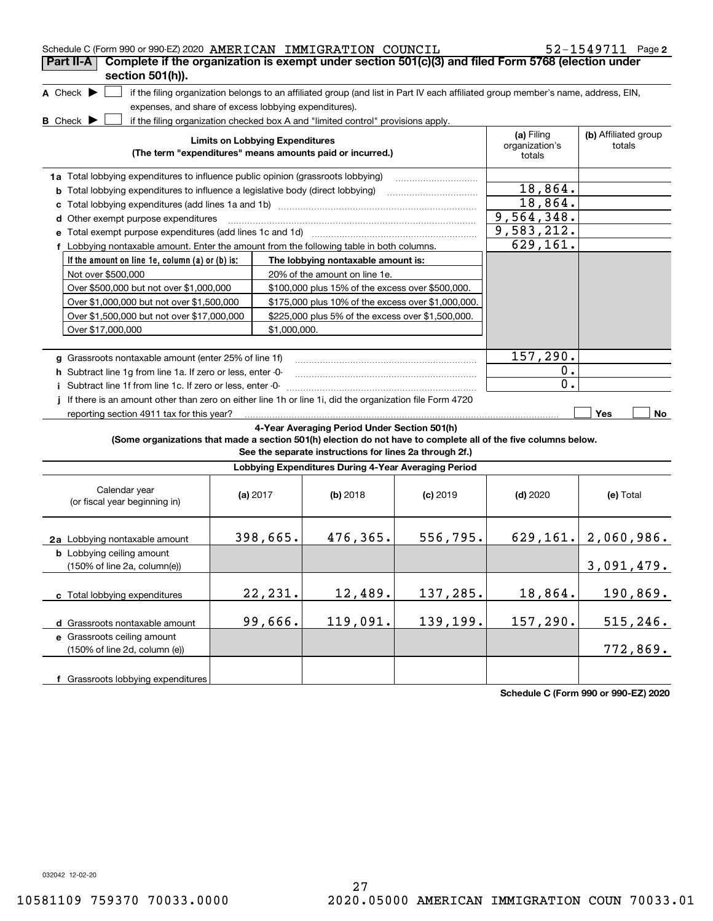| Schedule C (Form 990 or 990-EZ) 2020 AMERICAN IMMIGRATION COUNCIL                                                                   |                                        |              |                                                                                                         |            |                                                                                                                                   | $52 - 1549711$ Page 2          |
|-------------------------------------------------------------------------------------------------------------------------------------|----------------------------------------|--------------|---------------------------------------------------------------------------------------------------------|------------|-----------------------------------------------------------------------------------------------------------------------------------|--------------------------------|
| Complete if the organization is exempt under section 501(c)(3) and filed Form 5768 (election under<br>Part II-A<br>section 501(h)). |                                        |              |                                                                                                         |            |                                                                                                                                   |                                |
| A Check $\blacktriangleright$                                                                                                       |                                        |              |                                                                                                         |            | if the filing organization belongs to an affiliated group (and list in Part IV each affiliated group member's name, address, EIN, |                                |
| expenses, and share of excess lobbying expenditures).                                                                               |                                        |              |                                                                                                         |            |                                                                                                                                   |                                |
| <b>B</b> Check $\blacktriangleright$                                                                                                |                                        |              | if the filing organization checked box A and "limited control" provisions apply.                        |            |                                                                                                                                   |                                |
|                                                                                                                                     | <b>Limits on Lobbying Expenditures</b> |              | (The term "expenditures" means amounts paid or incurred.)                                               |            | (a) Filing<br>organization's<br>totals                                                                                            | (b) Affiliated group<br>totals |
| 1a Total lobbying expenditures to influence public opinion (grassroots lobbying)                                                    |                                        |              |                                                                                                         |            |                                                                                                                                   |                                |
| <b>b</b> Total lobbying expenditures to influence a legislative body (direct lobbying)                                              |                                        |              |                                                                                                         |            | 18,864.                                                                                                                           |                                |
| c                                                                                                                                   |                                        |              |                                                                                                         |            | 18,864.                                                                                                                           |                                |
| d Other exempt purpose expenditures                                                                                                 |                                        |              |                                                                                                         |            | 9,564,348.                                                                                                                        |                                |
|                                                                                                                                     |                                        |              |                                                                                                         |            | 9,583,212.                                                                                                                        |                                |
| f Lobbying nontaxable amount. Enter the amount from the following table in both columns.                                            |                                        |              |                                                                                                         |            | 629,161.                                                                                                                          |                                |
| If the amount on line 1e, column (a) or (b) is:                                                                                     |                                        |              | The lobbying nontaxable amount is:                                                                      |            |                                                                                                                                   |                                |
| Not over \$500,000                                                                                                                  |                                        |              | 20% of the amount on line 1e.                                                                           |            |                                                                                                                                   |                                |
| Over \$500,000 but not over \$1,000,000                                                                                             |                                        |              | \$100,000 plus 15% of the excess over \$500,000.                                                        |            |                                                                                                                                   |                                |
| Over \$1,000,000 but not over \$1,500,000                                                                                           |                                        |              | \$175,000 plus 10% of the excess over \$1,000,000.                                                      |            |                                                                                                                                   |                                |
| Over \$1,500,000 but not over \$17,000,000                                                                                          |                                        |              | \$225,000 plus 5% of the excess over \$1,500,000.                                                       |            |                                                                                                                                   |                                |
| Over \$17,000,000                                                                                                                   |                                        | \$1,000,000. |                                                                                                         |            |                                                                                                                                   |                                |
|                                                                                                                                     |                                        |              |                                                                                                         |            |                                                                                                                                   |                                |
| g Grassroots nontaxable amount (enter 25% of line 1f)                                                                               |                                        |              |                                                                                                         |            | 157,290.                                                                                                                          |                                |
| h Subtract line 1g from line 1a. If zero or less, enter -0-                                                                         |                                        |              |                                                                                                         |            | $0$ .                                                                                                                             |                                |
| Subtract line 1f from line 1c. If zero or less, enter -0-                                                                           |                                        |              |                                                                                                         |            | 0.                                                                                                                                |                                |
| If there is an amount other than zero on either line 1h or line 1i, did the organization file Form 4720                             |                                        |              |                                                                                                         |            |                                                                                                                                   |                                |
| reporting section 4911 tax for this year?                                                                                           |                                        |              |                                                                                                         |            |                                                                                                                                   | Yes<br>No                      |
| (Some organizations that made a section 501(h) election do not have to complete all of the five columns below.                      |                                        |              | 4-Year Averaging Period Under Section 501(h)<br>See the separate instructions for lines 2a through 2f.) |            |                                                                                                                                   |                                |
|                                                                                                                                     |                                        |              | Lobbying Expenditures During 4-Year Averaging Period                                                    |            |                                                                                                                                   |                                |
| Calendar year<br>(or fiscal year beginning in)                                                                                      | (a) $2017$                             |              | (b) 2018                                                                                                | $(c)$ 2019 | $(d)$ 2020                                                                                                                        | (e) Total                      |
| 2a Lobbying nontaxable amount                                                                                                       |                                        | 398,665.     | 476,365.                                                                                                | 556,795.   |                                                                                                                                   | 629, 161.   2, 060, 986.       |
| <b>b</b> Lobbying ceiling amount<br>(150% of line 2a, column(e))                                                                    |                                        |              |                                                                                                         |            |                                                                                                                                   | 3,091,479.                     |
| c Total lobbying expenditures                                                                                                       |                                        | 22,231.      | 12,489.                                                                                                 | 137,285.   | 18,864.                                                                                                                           | 190,869.                       |
| d Grassroots nontaxable amount                                                                                                      |                                        | 99,666.      | 119,091.                                                                                                | 139,199.   | 157,290.                                                                                                                          | 515, 246.                      |
| e Grassroots ceiling amount<br>(150% of line 2d, column (e))                                                                        |                                        |              |                                                                                                         |            |                                                                                                                                   | 772,869.                       |
| f Grassroots lobbying expenditures                                                                                                  |                                        |              |                                                                                                         |            |                                                                                                                                   |                                |

**Schedule C (Form 990 or 990-EZ) 2020**

032042 12-02-20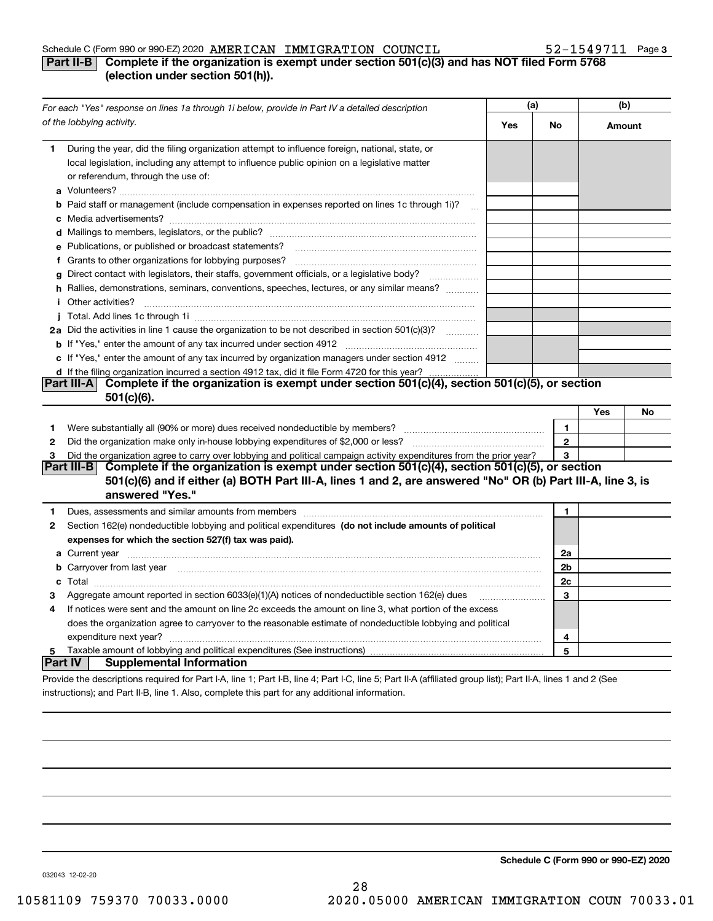#### Schedule C (Form 990 or 990-EZ) 2020 Page AMERICAN IMMIGRATION COUNCIL 52-1549711

## **Part II-B** Complete if the organization is exempt under section 501(c)(3) and has NOT filed Form 5768 **(election under section 501(h)).**

|                | For each "Yes" response on lines 1a through 1i below, provide in Part IV a detailed description                                                                                                                                           |     | (a)            |        | (b) |  |
|----------------|-------------------------------------------------------------------------------------------------------------------------------------------------------------------------------------------------------------------------------------------|-----|----------------|--------|-----|--|
|                | of the lobbying activity.                                                                                                                                                                                                                 | Yes | No             | Amount |     |  |
| 1              | During the year, did the filing organization attempt to influence foreign, national, state, or<br>local legislation, including any attempt to influence public opinion on a legislative matter<br>or referendum, through the use of:      |     |                |        |     |  |
|                | <b>b</b> Paid staff or management (include compensation in expenses reported on lines 1c through 1i)?<br>$\sim$                                                                                                                           |     |                |        |     |  |
|                |                                                                                                                                                                                                                                           |     |                |        |     |  |
|                | e Publications, or published or broadcast statements?                                                                                                                                                                                     |     |                |        |     |  |
|                |                                                                                                                                                                                                                                           |     |                |        |     |  |
|                | g Direct contact with legislators, their staffs, government officials, or a legislative body?                                                                                                                                             |     |                |        |     |  |
|                | h Rallies, demonstrations, seminars, conventions, speeches, lectures, or any similar means?<br><i>i</i> Other activities?                                                                                                                 |     |                |        |     |  |
|                |                                                                                                                                                                                                                                           |     |                |        |     |  |
|                | 2a Did the activities in line 1 cause the organization to be not described in section 501(c)(3)?                                                                                                                                          |     |                |        |     |  |
|                | <b>b</b> If "Yes," enter the amount of any tax incurred under section 4912                                                                                                                                                                |     |                |        |     |  |
|                | c If "Yes," enter the amount of any tax incurred by organization managers under section 4912                                                                                                                                              |     |                |        |     |  |
|                | d If the filing organization incurred a section 4912 tax, did it file Form 4720 for this year?                                                                                                                                            |     |                |        |     |  |
|                | Part III-A Complete if the organization is exempt under section 501(c)(4), section 501(c)(5), or section<br>501(c)(6).                                                                                                                    |     |                | Yes    | No  |  |
|                |                                                                                                                                                                                                                                           |     |                |        |     |  |
| 1              | Were substantially all (90% or more) dues received nondeductible by members?                                                                                                                                                              |     | $\mathbf{1}$   |        |     |  |
| 2              |                                                                                                                                                                                                                                           |     | $\bf 2$        |        |     |  |
| 3              | Did the organization agree to carry over lobbying and political campaign activity expenditures from the prior year?<br>Complete if the organization is exempt under section 501(c)(4), section 501(c)(5), or section<br>Part III-B        |     | 3              |        |     |  |
|                | 501(c)(6) and if either (a) BOTH Part III-A, lines 1 and 2, are answered "No" OR (b) Part III-A, line 3, is<br>answered "Yes."                                                                                                            |     |                |        |     |  |
| 1              |                                                                                                                                                                                                                                           |     | 1              |        |     |  |
| 2              | Section 162(e) nondeductible lobbying and political expenditures (do not include amounts of political                                                                                                                                     |     |                |        |     |  |
|                | expenses for which the section 527(f) tax was paid).                                                                                                                                                                                      |     |                |        |     |  |
|                |                                                                                                                                                                                                                                           |     | 2a             |        |     |  |
|                | <b>b</b> Carryover from last year <i>maching machine content to content to the content of the content of the content of the content of the content of the content of the content of the content of the content of the content of the </i> |     | 2b             |        |     |  |
|                |                                                                                                                                                                                                                                           |     | 2c             |        |     |  |
| з              | Aggregate amount reported in section 6033(e)(1)(A) notices of nondeductible section 162(e) dues                                                                                                                                           |     | 3              |        |     |  |
| 4              | If notices were sent and the amount on line 2c exceeds the amount on line 3, what portion of the excess                                                                                                                                   |     |                |        |     |  |
|                | does the organization agree to carryover to the reasonable estimate of nondeductible lobbying and political                                                                                                                               |     |                |        |     |  |
|                |                                                                                                                                                                                                                                           |     | $\overline{4}$ |        |     |  |
| 5              |                                                                                                                                                                                                                                           |     | 5              |        |     |  |
| <b>Part IV</b> | <b>Supplemental Information</b>                                                                                                                                                                                                           |     |                |        |     |  |
|                | Provide the descriptions required for Part I-A, line 1; Part I-B, line 4; Part I-C, line 5; Part II-A (affiliated group list); Part II-A, lines 1 and 2 (See                                                                              |     |                |        |     |  |

instructions); and Part II-B, line 1. Also, complete this part for any additional information.

**Schedule C (Form 990 or 990-EZ) 2020**

032043 12-02-20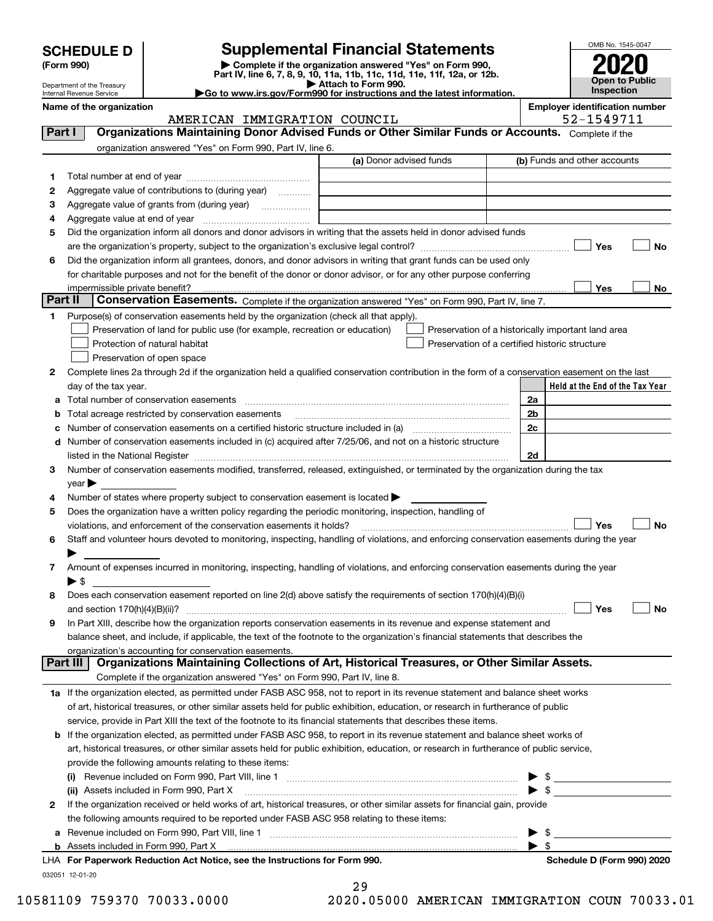| <b>SCHEDULE D</b> |  |
|-------------------|--|
|-------------------|--|

Internal Revenue Service

# **Supplemental Financial Statements**

(Form 990)<br>
Pepartment of the Treasury<br>
Department of the Treasury<br>
Department of the Treasury<br>
Department of the Treasury<br> **Co to www.irs.gov/Form990 for instructions and the latest information.**<br> **Co to www.irs.gov/Form9** 

<code>Part I</code>  $|$   $|$  Organizations Maintaining Donor Advised Funds or Other Similar Funds or Accounts.  $\,$  <code>Complete</code> if the

|      | 2020                  |
|------|-----------------------|
|      | <b>Open to Public</b> |
| ion. | <b>Inspection</b>     |

OMB No. 1545-0047

Department of the Treasury

| Name of the organization | <b>Emplover identification number</b> |
|--------------------------|---------------------------------------|
|--------------------------|---------------------------------------|

### AMERICAN IMMIGRATION COUNCIL **1990** 122-1549711

|         | organization answered "Yes" on Form 990, Part IV, line 6.                                                                                      |                         |                |                                                    |                                 |
|---------|------------------------------------------------------------------------------------------------------------------------------------------------|-------------------------|----------------|----------------------------------------------------|---------------------------------|
|         |                                                                                                                                                | (a) Donor advised funds |                | (b) Funds and other accounts                       |                                 |
| 1       |                                                                                                                                                |                         |                |                                                    |                                 |
| 2       | Aggregate value of contributions to (during year)                                                                                              |                         |                |                                                    |                                 |
| 3       | Aggregate value of grants from (during year)                                                                                                   |                         |                |                                                    |                                 |
| 4       |                                                                                                                                                |                         |                |                                                    |                                 |
| 5       | Did the organization inform all donors and donor advisors in writing that the assets held in donor advised funds                               |                         |                |                                                    |                                 |
|         |                                                                                                                                                |                         |                | Yes                                                | No                              |
| 6       | Did the organization inform all grantees, donors, and donor advisors in writing that grant funds can be used only                              |                         |                |                                                    |                                 |
|         | for charitable purposes and not for the benefit of the donor or donor advisor, or for any other purpose conferring                             |                         |                |                                                    |                                 |
|         | impermissible private benefit?                                                                                                                 |                         |                | Yes                                                | No                              |
| Part II | Conservation Easements. Complete if the organization answered "Yes" on Form 990, Part IV, line 7.                                              |                         |                |                                                    |                                 |
| 1       | Purpose(s) of conservation easements held by the organization (check all that apply).                                                          |                         |                |                                                    |                                 |
|         | Preservation of land for public use (for example, recreation or education)                                                                     |                         |                | Preservation of a historically important land area |                                 |
|         | Protection of natural habitat                                                                                                                  |                         |                | Preservation of a certified historic structure     |                                 |
|         | Preservation of open space                                                                                                                     |                         |                |                                                    |                                 |
| 2       | Complete lines 2a through 2d if the organization held a qualified conservation contribution in the form of a conservation easement on the last |                         |                |                                                    |                                 |
|         | day of the tax year.                                                                                                                           |                         |                |                                                    | Held at the End of the Tax Year |
| a       | Total number of conservation easements                                                                                                         |                         | 2a             |                                                    |                                 |
| b       | Total acreage restricted by conservation easements                                                                                             |                         | 2 <sub>b</sub> |                                                    |                                 |
| с       |                                                                                                                                                |                         | 2c             |                                                    |                                 |
| d       | Number of conservation easements included in (c) acquired after 7/25/06, and not on a historic structure                                       |                         |                |                                                    |                                 |
|         |                                                                                                                                                |                         | 2d             |                                                    |                                 |
| 3       | Number of conservation easements modified, transferred, released, extinguished, or terminated by the organization during the tax               |                         |                |                                                    |                                 |
|         | $\gamma$ ear $\blacktriangleright$                                                                                                             |                         |                |                                                    |                                 |
| 4       | Number of states where property subject to conservation easement is located >                                                                  |                         |                |                                                    |                                 |
| 5       | Does the organization have a written policy regarding the periodic monitoring, inspection, handling of                                         |                         |                |                                                    |                                 |
|         | violations, and enforcement of the conservation easements it holds?                                                                            |                         |                | Yes                                                | No                              |
| 6       | Staff and volunteer hours devoted to monitoring, inspecting, handling of violations, and enforcing conservation easements during the year      |                         |                |                                                    |                                 |
|         |                                                                                                                                                |                         |                |                                                    |                                 |
| 7       | Amount of expenses incurred in monitoring, inspecting, handling of violations, and enforcing conservation easements during the year            |                         |                |                                                    |                                 |
|         | $\blacktriangleright$ \$                                                                                                                       |                         |                |                                                    |                                 |
| 8       | Does each conservation easement reported on line 2(d) above satisfy the requirements of section 170(h)(4)(B)(i)                                |                         |                |                                                    |                                 |
|         |                                                                                                                                                |                         |                | Yes                                                | No                              |
| 9       | In Part XIII, describe how the organization reports conservation easements in its revenue and expense statement and                            |                         |                |                                                    |                                 |
|         | balance sheet, and include, if applicable, the text of the footnote to the organization's financial statements that describes the              |                         |                |                                                    |                                 |
|         | organization's accounting for conservation easements.                                                                                          |                         |                |                                                    |                                 |
|         | Part III   Organizations Maintaining Collections of Art, Historical Treasures, or Other Similar Assets.                                        |                         |                |                                                    |                                 |
|         | Complete if the organization answered "Yes" on Form 990, Part IV, line 8.                                                                      |                         |                |                                                    |                                 |
|         | 1a If the organization elected, as permitted under FASB ASC 958, not to report in its revenue statement and balance sheet works                |                         |                |                                                    |                                 |
|         | of art, historical treasures, or other similar assets held for public exhibition, education, or research in furtherance of public              |                         |                |                                                    |                                 |
|         | service, provide in Part XIII the text of the footnote to its financial statements that describes these items.                                 |                         |                |                                                    |                                 |
| b       | If the organization elected, as permitted under FASB ASC 958, to report in its revenue statement and balance sheet works of                    |                         |                |                                                    |                                 |
|         | art, historical treasures, or other similar assets held for public exhibition, education, or research in furtherance of public service,        |                         |                |                                                    |                                 |
|         | provide the following amounts relating to these items:                                                                                         |                         |                |                                                    |                                 |
|         | (i) Revenue included on Form 990, Part VIII, line 1 [1] [1] [1] [1] [1] [1] [1] Revenue included on Form 990, Part VIII, line 1                |                         |                | $\frac{1}{2}$                                      |                                 |
|         | (ii) Assets included in Form 990, Part X                                                                                                       |                         |                |                                                    |                                 |
| 2       | If the organization received or held works of art, historical treasures, or other similar assets for financial gain, provide                   |                         |                |                                                    |                                 |
|         | the following amounts required to be reported under FASB ASC 958 relating to these items:                                                      |                         |                |                                                    |                                 |
| а       |                                                                                                                                                |                         |                | \$                                                 |                                 |
|         |                                                                                                                                                |                         |                | \$                                                 |                                 |
|         | LHA For Paperwork Reduction Act Notice, see the Instructions for Form 990.                                                                     |                         |                |                                                    | Schedule D (Form 990) 2020      |
|         | 032051 12-01-20                                                                                                                                |                         |                |                                                    |                                 |
|         |                                                                                                                                                | 29                      |                |                                                    |                                 |

10581109 759370 70033.0000 2020.05000 AMERICAN IMMIGRATION COUN 70033.01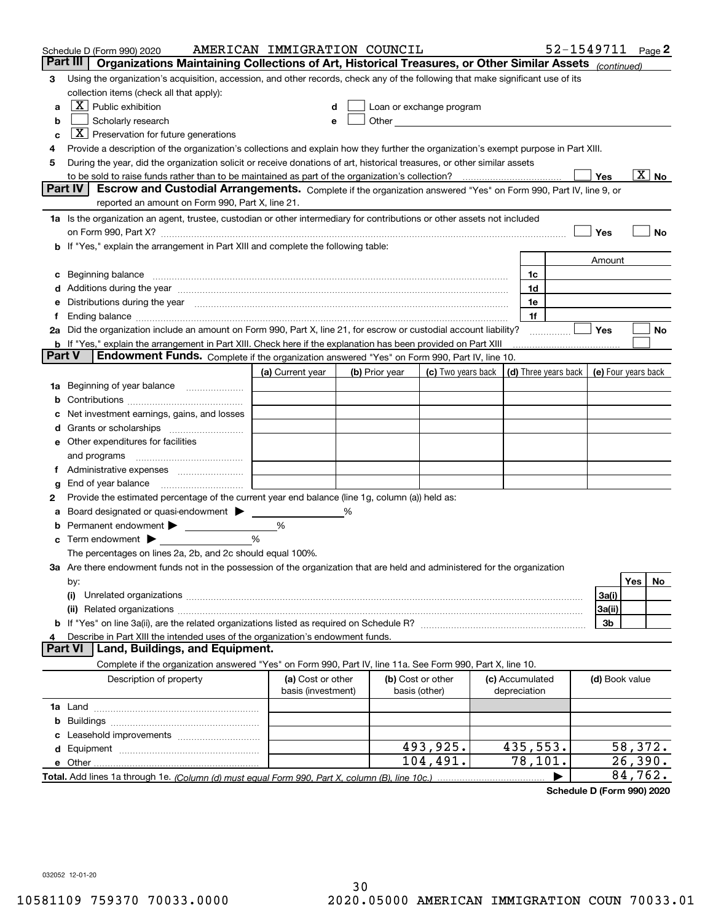|        | Schedule D (Form 990) 2020<br>Part III                                                                                                                                                                                             | AMERICAN IMMIGRATION COUNCIL |   |                |                          |                 | 52-1549711           |                     |                          | Page 2 |
|--------|------------------------------------------------------------------------------------------------------------------------------------------------------------------------------------------------------------------------------------|------------------------------|---|----------------|--------------------------|-----------------|----------------------|---------------------|--------------------------|--------|
|        | Organizations Maintaining Collections of Art, Historical Treasures, or Other Similar Assets (continued)                                                                                                                            |                              |   |                |                          |                 |                      |                     |                          |        |
| 3      | Using the organization's acquisition, accession, and other records, check any of the following that make significant use of its                                                                                                    |                              |   |                |                          |                 |                      |                     |                          |        |
|        | collection items (check all that apply):<br>$\boxed{\textbf{X}}$ Public exhibition                                                                                                                                                 | d                            |   |                |                          |                 |                      |                     |                          |        |
| a      | Scholarly research                                                                                                                                                                                                                 |                              | e |                | Loan or exchange program |                 |                      |                     |                          |        |
| b      | $\boxed{\textbf{X}}$ Preservation for future generations                                                                                                                                                                           |                              |   |                |                          |                 |                      |                     |                          |        |
| c<br>4 | Provide a description of the organization's collections and explain how they further the organization's exempt purpose in Part XIII.                                                                                               |                              |   |                |                          |                 |                      |                     |                          |        |
| 5      | During the year, did the organization solicit or receive donations of art, historical treasures, or other similar assets                                                                                                           |                              |   |                |                          |                 |                      |                     |                          |        |
|        | to be sold to raise funds rather than to be maintained as part of the organization's collection?                                                                                                                                   |                              |   |                |                          |                 |                      | Yes                 | $\overline{\text{X}}$ No |        |
|        | Part IV<br>Escrow and Custodial Arrangements. Complete if the organization answered "Yes" on Form 990, Part IV, line 9, or                                                                                                         |                              |   |                |                          |                 |                      |                     |                          |        |
|        | reported an amount on Form 990, Part X, line 21.                                                                                                                                                                                   |                              |   |                |                          |                 |                      |                     |                          |        |
|        | 1a Is the organization an agent, trustee, custodian or other intermediary for contributions or other assets not included                                                                                                           |                              |   |                |                          |                 |                      |                     |                          |        |
|        | on Form 990, Part X? [11] matter and the contract of the contract of the contract of the contract of the contract of the contract of the contract of the contract of the contract of the contract of the contract of the contr     |                              |   |                |                          |                 |                      | Yes                 |                          | No     |
|        | b If "Yes," explain the arrangement in Part XIII and complete the following table:                                                                                                                                                 |                              |   |                |                          |                 |                      |                     |                          |        |
|        |                                                                                                                                                                                                                                    |                              |   |                |                          |                 |                      | Amount              |                          |        |
| c      | Beginning balance <u>manual membershare communication</u> and the set of the set of the set of the set of the set of the set of the set of the set of the set of the set of the set of the set of the set of the set of the set of |                              |   |                |                          | 1c              |                      |                     |                          |        |
|        |                                                                                                                                                                                                                                    |                              |   |                |                          | 1d              |                      |                     |                          |        |
|        | e Distributions during the year manufactured and an according to the distributions during the year manufactured and the state of the state of the state of the state of the state of the state of the state of the state of th     |                              |   |                |                          | 1e              |                      |                     |                          |        |
|        |                                                                                                                                                                                                                                    |                              |   |                |                          | 1f              |                      |                     |                          |        |
|        | 2a Did the organization include an amount on Form 990, Part X, line 21, for escrow or custodial account liability?                                                                                                                 |                              |   |                |                          |                 |                      | Yes                 |                          | No     |
|        | <b>b</b> If "Yes," explain the arrangement in Part XIII. Check here if the explanation has been provided on Part XIII                                                                                                              |                              |   |                |                          |                 |                      |                     |                          |        |
| Part V | Endowment Funds. Complete if the organization answered "Yes" on Form 990, Part IV, line 10.                                                                                                                                        |                              |   |                |                          |                 |                      |                     |                          |        |
|        |                                                                                                                                                                                                                                    | (a) Current year             |   | (b) Prior year | (c) Two years back       |                 | (d) Three years back | (e) Four years back |                          |        |
|        | 1a Beginning of year balance                                                                                                                                                                                                       |                              |   |                |                          |                 |                      |                     |                          |        |
| b      |                                                                                                                                                                                                                                    |                              |   |                |                          |                 |                      |                     |                          |        |
| c      | Net investment earnings, gains, and losses                                                                                                                                                                                         |                              |   |                |                          |                 |                      |                     |                          |        |
|        |                                                                                                                                                                                                                                    |                              |   |                |                          |                 |                      |                     |                          |        |
|        | e Other expenditures for facilities                                                                                                                                                                                                |                              |   |                |                          |                 |                      |                     |                          |        |
|        | and programs                                                                                                                                                                                                                       |                              |   |                |                          |                 |                      |                     |                          |        |
|        |                                                                                                                                                                                                                                    |                              |   |                |                          |                 |                      |                     |                          |        |
| g      |                                                                                                                                                                                                                                    |                              |   |                |                          |                 |                      |                     |                          |        |
| 2      | Provide the estimated percentage of the current year end balance (line 1g, column (a)) held as:                                                                                                                                    |                              |   |                |                          |                 |                      |                     |                          |        |
| а      | Board designated or quasi-endowment > 1                                                                                                                                                                                            |                              | % |                |                          |                 |                      |                     |                          |        |
| b      | Permanent endowment > 1                                                                                                                                                                                                            | %                            |   |                |                          |                 |                      |                     |                          |        |
|        | <b>c</b> Term endowment $\blacktriangleright$                                                                                                                                                                                      | %                            |   |                |                          |                 |                      |                     |                          |        |
|        | The percentages on lines 2a, 2b, and 2c should equal 100%.                                                                                                                                                                         |                              |   |                |                          |                 |                      |                     |                          |        |
|        | 3a Are there endowment funds not in the possession of the organization that are held and administered for the organization                                                                                                         |                              |   |                |                          |                 |                      |                     | Yes                      | No     |
|        | by:<br>(i)                                                                                                                                                                                                                         |                              |   |                |                          |                 |                      | 3a(i)               |                          |        |
|        |                                                                                                                                                                                                                                    |                              |   |                |                          |                 |                      | 3a(ii)              |                          |        |
|        |                                                                                                                                                                                                                                    |                              |   |                |                          |                 |                      | 3b                  |                          |        |
| 4      | Describe in Part XIII the intended uses of the organization's endowment funds.                                                                                                                                                     |                              |   |                |                          |                 |                      |                     |                          |        |
|        | Land, Buildings, and Equipment.<br><b>Part VI</b>                                                                                                                                                                                  |                              |   |                |                          |                 |                      |                     |                          |        |
|        | Complete if the organization answered "Yes" on Form 990, Part IV, line 11a. See Form 990, Part X, line 10.                                                                                                                         |                              |   |                |                          |                 |                      |                     |                          |        |
|        | Description of property                                                                                                                                                                                                            | (a) Cost or other            |   |                | (b) Cost or other        | (c) Accumulated |                      | (d) Book value      |                          |        |
|        |                                                                                                                                                                                                                                    | basis (investment)           |   | basis (other)  |                          | depreciation    |                      |                     |                          |        |
|        |                                                                                                                                                                                                                                    |                              |   |                |                          |                 |                      |                     |                          |        |
|        |                                                                                                                                                                                                                                    |                              |   |                |                          |                 |                      |                     |                          |        |
| с      |                                                                                                                                                                                                                                    |                              |   |                |                          |                 |                      |                     |                          |        |
|        |                                                                                                                                                                                                                                    |                              |   |                | 493,925.                 | 435,553.        |                      |                     | 58,372.                  |        |
|        |                                                                                                                                                                                                                                    |                              |   |                | 104,491.                 | 78,101.         |                      |                     | 26,390.                  |        |
|        |                                                                                                                                                                                                                                    |                              |   |                |                          |                 |                      |                     | 84,762.                  |        |

**Schedule D (Form 990) 2020**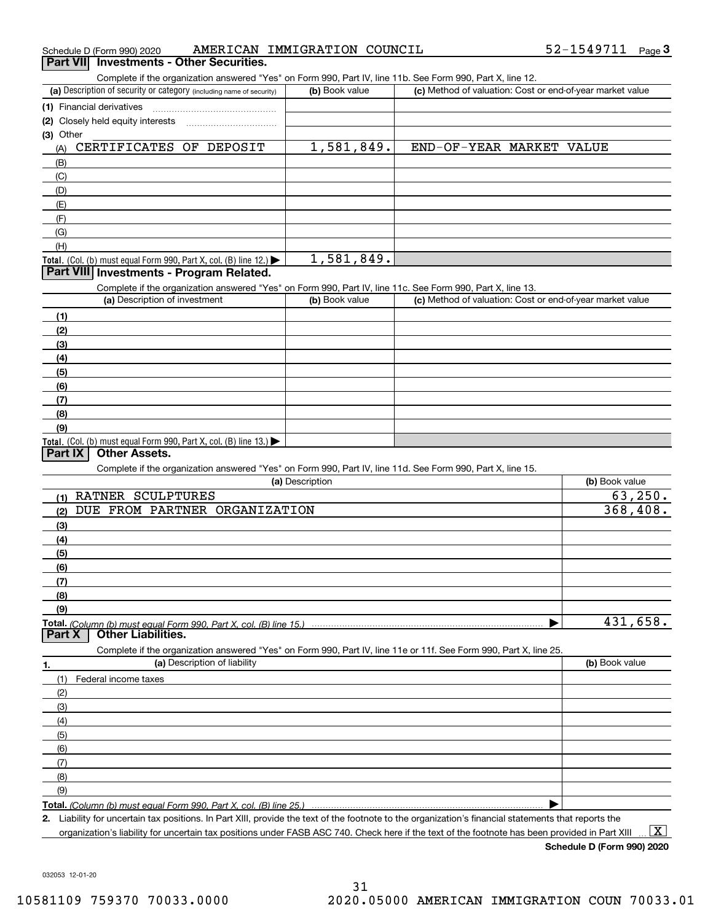| (a) Description of security or category (including name of security)                                                                                                                                              | (b) Book value  | (c) Method of valuation: Cost or end-of-year market value |                        |
|-------------------------------------------------------------------------------------------------------------------------------------------------------------------------------------------------------------------|-----------------|-----------------------------------------------------------|------------------------|
| (1) Financial derivatives                                                                                                                                                                                         |                 |                                                           |                        |
| (2) Closely held equity interests                                                                                                                                                                                 |                 |                                                           |                        |
| (3) Other                                                                                                                                                                                                         |                 |                                                           |                        |
| CERTIFICATES OF DEPOSIT<br>(A)                                                                                                                                                                                    | 1,581,849.      | END-OF-YEAR MARKET VALUE                                  |                        |
| (B)                                                                                                                                                                                                               |                 |                                                           |                        |
| (C)                                                                                                                                                                                                               |                 |                                                           |                        |
| (D)                                                                                                                                                                                                               |                 |                                                           |                        |
| (E)                                                                                                                                                                                                               |                 |                                                           |                        |
| (F)                                                                                                                                                                                                               |                 |                                                           |                        |
| (G)                                                                                                                                                                                                               |                 |                                                           |                        |
| (H)                                                                                                                                                                                                               |                 |                                                           |                        |
|                                                                                                                                                                                                                   | 1,581,849.      |                                                           |                        |
| Total. (Col. (b) must equal Form 990, Part X, col. (B) line 12.)<br>Part VIII Investments - Program Related.                                                                                                      |                 |                                                           |                        |
|                                                                                                                                                                                                                   |                 |                                                           |                        |
| Complete if the organization answered "Yes" on Form 990, Part IV, line 11c. See Form 990, Part X, line 13.                                                                                                        |                 |                                                           |                        |
| (a) Description of investment                                                                                                                                                                                     | (b) Book value  | (c) Method of valuation: Cost or end-of-year market value |                        |
| (1)                                                                                                                                                                                                               |                 |                                                           |                        |
| (2)                                                                                                                                                                                                               |                 |                                                           |                        |
| (3)                                                                                                                                                                                                               |                 |                                                           |                        |
| (4)                                                                                                                                                                                                               |                 |                                                           |                        |
| (5)                                                                                                                                                                                                               |                 |                                                           |                        |
| (6)                                                                                                                                                                                                               |                 |                                                           |                        |
| (7)                                                                                                                                                                                                               |                 |                                                           |                        |
| (8)                                                                                                                                                                                                               |                 |                                                           |                        |
| (9)                                                                                                                                                                                                               |                 |                                                           |                        |
| Total. (Col. (b) must equal Form 990, Part X, col. (B) line 13.)<br>Part IX<br><b>Other Assets.</b><br>Complete if the organization answered "Yes" on Form 990, Part IV, line 11d. See Form 990, Part X, line 15. |                 |                                                           |                        |
|                                                                                                                                                                                                                   | (a) Description |                                                           | (b) Book value         |
| RATNER SCULPTURES                                                                                                                                                                                                 |                 |                                                           | $\overline{63}$ , 250. |
| (1)<br>DUE FROM PARTNER ORGANIZATION                                                                                                                                                                              |                 |                                                           | 368,408.               |
| (2)                                                                                                                                                                                                               |                 |                                                           |                        |
| (3)                                                                                                                                                                                                               |                 |                                                           |                        |
| (4)                                                                                                                                                                                                               |                 |                                                           |                        |
| (5)                                                                                                                                                                                                               |                 |                                                           |                        |
| (6)                                                                                                                                                                                                               |                 |                                                           |                        |
| (7)                                                                                                                                                                                                               |                 |                                                           |                        |
| (8)                                                                                                                                                                                                               |                 |                                                           |                        |
| (9)                                                                                                                                                                                                               |                 |                                                           |                        |
| Part X<br><b>Other Liabilities.</b>                                                                                                                                                                               |                 |                                                           | 431,658.               |
| Complete if the organization answered "Yes" on Form 990, Part IV, line 11e or 11f. See Form 990, Part X, line 25.<br>(a) Description of liability                                                                 |                 |                                                           | (b) Book value         |
| 1.                                                                                                                                                                                                                |                 |                                                           |                        |
| (1)<br>Federal income taxes                                                                                                                                                                                       |                 |                                                           |                        |
|                                                                                                                                                                                                                   |                 |                                                           |                        |
| (2)                                                                                                                                                                                                               |                 |                                                           |                        |
| (3)                                                                                                                                                                                                               |                 |                                                           |                        |
| (4)                                                                                                                                                                                                               |                 |                                                           |                        |
| (5)                                                                                                                                                                                                               |                 |                                                           |                        |
| (6)                                                                                                                                                                                                               |                 |                                                           |                        |
| (7)                                                                                                                                                                                                               |                 |                                                           |                        |
| (8)                                                                                                                                                                                                               |                 |                                                           |                        |
| (9)                                                                                                                                                                                                               |                 |                                                           |                        |

**Schedule D (Form 990) 2020**

032053 12-01-20

#### Schedule D (Form 990) 2020 AMERICAN IMMIGRATION COUNCIL 5 2-1 5 4 9 7 1 1 Page Schedule D (Form 990) 2020 **AMERICAN IMMIGRATION COUNCIL** 52-1549711 Page 3<br>**Part VII Investments - Other Securities.**

Complete if the organization answered "Yes" on Form 990, Part IV, line 11b. See Form 990, Part X, line 12.

| 52-1549711 |
|------------|
|            |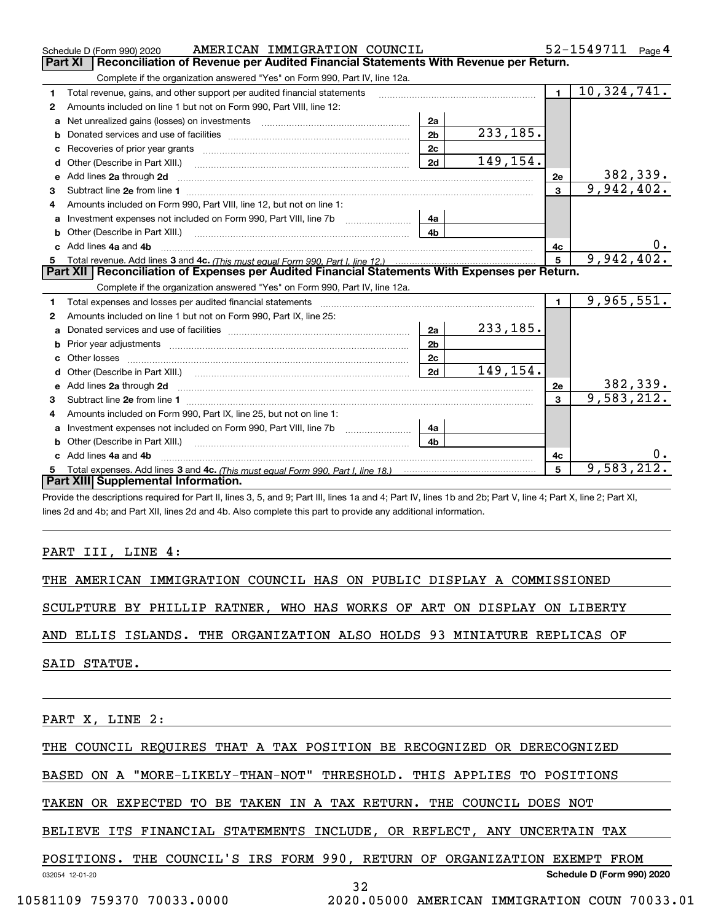|   | AMERICAN IMMIGRATION COUNCIL<br>Schedule D (Form 990) 2020                                                                                                                                                                          |                |           |                | 52-1549711<br>Page $4$ |
|---|-------------------------------------------------------------------------------------------------------------------------------------------------------------------------------------------------------------------------------------|----------------|-----------|----------------|------------------------|
|   | <b>Part XI</b><br>Reconciliation of Revenue per Audited Financial Statements With Revenue per Return.                                                                                                                               |                |           |                |                        |
|   | Complete if the organization answered "Yes" on Form 990, Part IV, line 12a.                                                                                                                                                         |                |           |                |                        |
| 1 | Total revenue, gains, and other support per audited financial statements                                                                                                                                                            |                |           | $\blacksquare$ | 10,324,741.            |
| 2 | Amounts included on line 1 but not on Form 990, Part VIII, line 12:                                                                                                                                                                 |                |           |                |                        |
| a | Net unrealized gains (losses) on investments [11] matter contracts and the unrealized gains (losses) on investments                                                                                                                 | 2a             |           |                |                        |
| b |                                                                                                                                                                                                                                     | 2 <sub>b</sub> | 233, 185. |                |                        |
|   |                                                                                                                                                                                                                                     | 2c             |           |                |                        |
| d | Other (Describe in Part XIII.) <b>Construction Contract Construction</b> [                                                                                                                                                          | 2d             | 149,154.  |                |                        |
| е | Add lines 2a through 2d                                                                                                                                                                                                             |                |           | <b>2e</b>      | <u>382,339.</u>        |
| 3 |                                                                                                                                                                                                                                     |                |           | $\mathbf{3}$   | 9,942,402.             |
| 4 | Amounts included on Form 990, Part VIII, line 12, but not on line 1:                                                                                                                                                                |                |           |                |                        |
| a | Investment expenses not included on Form 990, Part VIII, line 7b [1000000000000000000000000000000000                                                                                                                                | 4a             |           |                |                        |
|   | Other (Describe in Part XIII.) <b>Construction Contract Construction</b> Chemical Construction Chemical Chemical Chemical Chemical Chemical Chemical Chemical Chemical Chemical Chemical Chemical Chemical Chemical Chemical Chemic | 4 <sub>b</sub> |           |                |                        |
|   | c Add lines 4a and 4b                                                                                                                                                                                                               |                |           | 4c             |                        |
|   |                                                                                                                                                                                                                                     |                |           | $5^{\circ}$    | 9,942,402.             |
|   |                                                                                                                                                                                                                                     |                |           |                |                        |
|   | Part XII   Reconciliation of Expenses per Audited Financial Statements With Expenses per Return.                                                                                                                                    |                |           |                |                        |
|   | Complete if the organization answered "Yes" on Form 990, Part IV, line 12a.                                                                                                                                                         |                |           |                |                        |
| 1 | Total expenses and losses per audited financial statements                                                                                                                                                                          |                |           | $\blacksquare$ | 9,965,551.             |
| 2 | Amounts included on line 1 but not on Form 990, Part IX, line 25:                                                                                                                                                                   |                |           |                |                        |
| a |                                                                                                                                                                                                                                     | 2a             | 233,185.  |                |                        |
| b |                                                                                                                                                                                                                                     | 2 <sub>b</sub> |           |                |                        |
|   |                                                                                                                                                                                                                                     | 2c             |           |                |                        |
| d |                                                                                                                                                                                                                                     | 2d             | 149,154.  |                |                        |
| e | Add lines 2a through 2d                                                                                                                                                                                                             |                |           | 2e             | <u>382,339.</u>        |
| з |                                                                                                                                                                                                                                     |                |           | $\overline{3}$ | 9,583,212.             |
| 4 | Amounts included on Form 990, Part IX, line 25, but not on line 1:                                                                                                                                                                  |                |           |                |                        |
| a | Investment expenses not included on Form 990, Part VIII, line 7b [1000000000000000000000000000000000                                                                                                                                | 4a             |           |                |                        |
|   | Other (Describe in Part XIII.)                                                                                                                                                                                                      | 4 <sub>b</sub> |           |                |                        |
|   | c Add lines 4a and 4b                                                                                                                                                                                                               |                |           | 4c             |                        |
|   | Part XIII Supplemental Information.                                                                                                                                                                                                 |                |           | 5              | 9,583,212.             |

Provide the descriptions required for Part II, lines 3, 5, and 9; Part III, lines 1a and 4; Part IV, lines 1b and 2b; Part V, line 4; Part X, line 2; Part XI, lines 2d and 4b; and Part XII, lines 2d and 4b. Also complete this part to provide any additional information.

#### PART III, LINE 4:

THE AMERICAN IMMIGRATION COUNCIL HAS ON PUBLIC DISPLAY A COMMISSIONED

SCULPTURE BY PHILLIP RATNER, WHO HAS WORKS OF ART ON DISPLAY ON LIBERTY

AND ELLIS ISLANDS. THE ORGANIZATION ALSO HOLDS 93 MINIATURE REPLICAS OF

SAID STATUE.

PART X, LINE 2:

THE COUNCIL REQUIRES THAT A TAX POSITION BE RECOGNIZED OR DERECOGNIZED

BASED ON A "MORE-LIKELY-THAN-NOT" THRESHOLD. THIS APPLIES TO POSITIONS

TAKEN OR EXPECTED TO BE TAKEN IN A TAX RETURN. THE COUNCIL DOES NOT

BELIEVE ITS FINANCIAL STATEMENTS INCLUDE, OR REFLECT, ANY UNCERTAIN TAX

POSITIONS. THE COUNCIL'S IRS FORM 990, RETURN OF ORGANIZATION EXEMPT FROM

**Schedule D (Form 990) 2020**

032054 12-01-20

32

10581109 759370 70033.0000 2020.05000 AMERICAN IMMIGRATION COUN 70033.01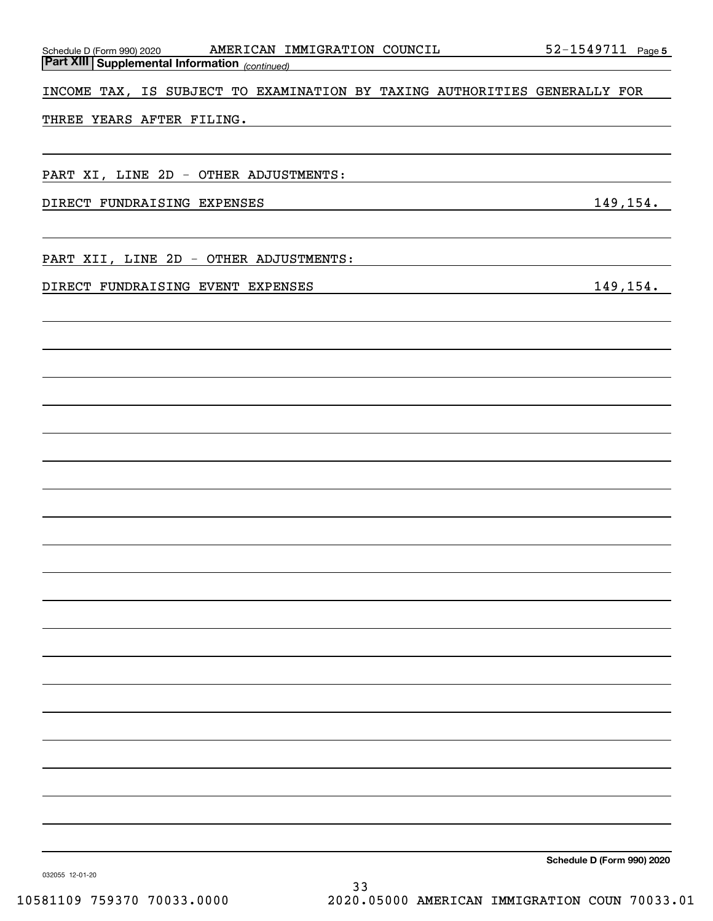| <b>Part XIII Supplemental Information</b> (continued)                     |
|---------------------------------------------------------------------------|
| INCOME TAX, IS SUBJECT TO EXAMINATION BY TAXING AUTHORITIES GENERALLY FOR |
| THREE YEARS AFTER FILING.                                                 |
|                                                                           |
| PART XI, LINE 2D - OTHER ADJUSTMENTS:                                     |
| 149,154.<br>DIRECT FUNDRAISING EXPENSES                                   |
|                                                                           |
| PART XII, LINE 2D - OTHER ADJUSTMENTS:                                    |
| 149,154.<br>DIRECT FUNDRAISING EVENT EXPENSES                             |
|                                                                           |
|                                                                           |
|                                                                           |
|                                                                           |
|                                                                           |
|                                                                           |
|                                                                           |
|                                                                           |
|                                                                           |
|                                                                           |
|                                                                           |
|                                                                           |
|                                                                           |
|                                                                           |
|                                                                           |
|                                                                           |
|                                                                           |
|                                                                           |
|                                                                           |
|                                                                           |
|                                                                           |

**Schedule D (Form 990) 2020**

032055 12-01-20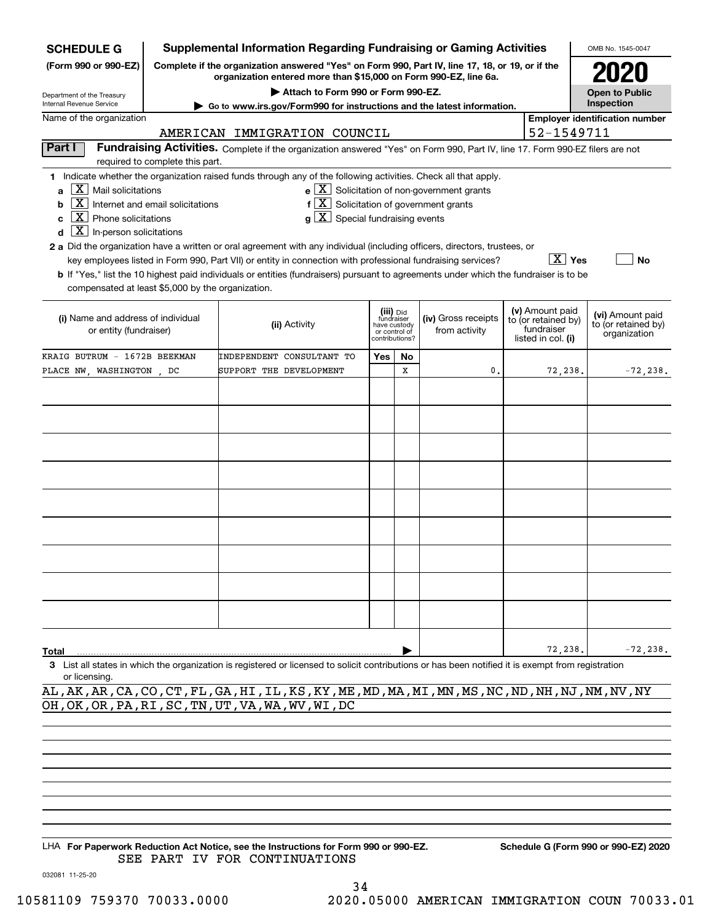| <b>SCHEDULE G</b>                                                                                                                                                   | Supplemental Information Regarding Fundraising or Gaming Activities                                                                                                 |                               |                         |                                                       |                                                      |                        | OMB No. 1545-0047                     |  |
|---------------------------------------------------------------------------------------------------------------------------------------------------------------------|---------------------------------------------------------------------------------------------------------------------------------------------------------------------|-------------------------------|-------------------------|-------------------------------------------------------|------------------------------------------------------|------------------------|---------------------------------------|--|
| (Form 990 or 990-EZ)                                                                                                                                                | Complete if the organization answered "Yes" on Form 990, Part IV, line 17, 18, or 19, or if the<br>organization entered more than \$15,000 on Form 990-EZ, line 6a. |                               |                         |                                                       |                                                      |                        |                                       |  |
| Attach to Form 990 or Form 990-EZ.<br>Department of the Treasury<br>Internal Revenue Service                                                                        |                                                                                                                                                                     |                               |                         |                                                       |                                                      |                        | <b>Open to Public</b><br>Inspection   |  |
| Go to www.irs.gov/Form990 for instructions and the latest information.<br>Name of the organization                                                                  |                                                                                                                                                                     |                               |                         |                                                       |                                                      |                        | <b>Employer identification number</b> |  |
| 52-1549711<br>AMERICAN IMMIGRATION COUNCIL                                                                                                                          |                                                                                                                                                                     |                               |                         |                                                       |                                                      |                        |                                       |  |
| Part I                                                                                                                                                              | Fundraising Activities. Complete if the organization answered "Yes" on Form 990, Part IV, line 17. Form 990-EZ filers are not                                       |                               |                         |                                                       |                                                      |                        |                                       |  |
| required to complete this part.                                                                                                                                     |                                                                                                                                                                     |                               |                         |                                                       |                                                      |                        |                                       |  |
| 1 Indicate whether the organization raised funds through any of the following activities. Check all that apply.                                                     |                                                                                                                                                                     |                               |                         |                                                       |                                                      |                        |                                       |  |
| $X$ Mail solicitations<br>a<br>$\boxed{\text{X}}$ Internet and email solicitations<br>b                                                                             | $f[X]$ Solicitation of government grants                                                                                                                            |                               |                         | $e$ $\boxed{X}$ Solicitation of non-government grants |                                                      |                        |                                       |  |
| $\overline{X}$ Phone solicitations<br>C                                                                                                                             | $g\mid X$ Special fundraising events                                                                                                                                |                               |                         |                                                       |                                                      |                        |                                       |  |
| $\boxed{\text{X}}$ In-person solicitations<br>d                                                                                                                     |                                                                                                                                                                     |                               |                         |                                                       |                                                      |                        |                                       |  |
| 2 a Did the organization have a written or oral agreement with any individual (including officers, directors, trustees, or                                          |                                                                                                                                                                     |                               |                         |                                                       |                                                      |                        |                                       |  |
|                                                                                                                                                                     | key employees listed in Form 990, Part VII) or entity in connection with professional fundraising services?                                                         |                               |                         |                                                       |                                                      | $\boxed{\text{X}}$ Yes | <b>No</b>                             |  |
| b If "Yes," list the 10 highest paid individuals or entities (fundraisers) pursuant to agreements under which the fundraiser is to be                               |                                                                                                                                                                     |                               |                         |                                                       |                                                      |                        |                                       |  |
| compensated at least \$5,000 by the organization.                                                                                                                   |                                                                                                                                                                     |                               |                         |                                                       |                                                      |                        |                                       |  |
| (i) Name and address of individual                                                                                                                                  |                                                                                                                                                                     |                               | (iii) Did<br>fundraiser | (iv) Gross receipts                                   | (v) Amount paid<br>to (or retained by)<br>fundraiser |                        | (vi) Amount paid                      |  |
| or entity (fundraiser)                                                                                                                                              | (ii) Activity                                                                                                                                                       | have custody<br>or control of |                         | from activity                                         |                                                      |                        | to (or retained by)<br>organization   |  |
|                                                                                                                                                                     |                                                                                                                                                                     | contributions?                |                         |                                                       |                                                      | listed in col. (i)     |                                       |  |
| KRAIG BUTRUM - 1672B BEEKMAN                                                                                                                                        | <b>INDEPENDENT CONSULTANT TO</b>                                                                                                                                    | Yes                           | No                      |                                                       |                                                      |                        |                                       |  |
| PLACE NW, WASHINGTON , DC                                                                                                                                           | SUPPORT THE DEVELOPMENT                                                                                                                                             |                               | X                       | $\mathbf{0}$                                          |                                                      | 72,238.                | $-72, 238.$                           |  |
|                                                                                                                                                                     |                                                                                                                                                                     |                               |                         |                                                       |                                                      |                        |                                       |  |
|                                                                                                                                                                     |                                                                                                                                                                     |                               |                         |                                                       |                                                      |                        |                                       |  |
|                                                                                                                                                                     |                                                                                                                                                                     |                               |                         |                                                       |                                                      |                        |                                       |  |
|                                                                                                                                                                     |                                                                                                                                                                     |                               |                         |                                                       |                                                      |                        |                                       |  |
|                                                                                                                                                                     |                                                                                                                                                                     |                               |                         |                                                       |                                                      |                        |                                       |  |
|                                                                                                                                                                     |                                                                                                                                                                     |                               |                         |                                                       |                                                      |                        |                                       |  |
|                                                                                                                                                                     |                                                                                                                                                                     |                               |                         |                                                       |                                                      |                        |                                       |  |
|                                                                                                                                                                     |                                                                                                                                                                     |                               |                         |                                                       |                                                      |                        |                                       |  |
|                                                                                                                                                                     |                                                                                                                                                                     |                               |                         |                                                       |                                                      |                        |                                       |  |
|                                                                                                                                                                     |                                                                                                                                                                     |                               |                         |                                                       |                                                      |                        |                                       |  |
|                                                                                                                                                                     |                                                                                                                                                                     |                               |                         |                                                       |                                                      |                        |                                       |  |
|                                                                                                                                                                     |                                                                                                                                                                     |                               |                         |                                                       |                                                      |                        |                                       |  |
|                                                                                                                                                                     |                                                                                                                                                                     |                               |                         |                                                       |                                                      |                        |                                       |  |
|                                                                                                                                                                     |                                                                                                                                                                     |                               |                         |                                                       |                                                      |                        |                                       |  |
|                                                                                                                                                                     |                                                                                                                                                                     |                               |                         |                                                       |                                                      |                        |                                       |  |
|                                                                                                                                                                     |                                                                                                                                                                     |                               |                         |                                                       |                                                      |                        |                                       |  |
| Total                                                                                                                                                               |                                                                                                                                                                     |                               |                         |                                                       |                                                      | 72,238,                | $-72, 238.$                           |  |
| 3 List all states in which the organization is registered or licensed to solicit contributions or has been notified it is exempt from registration<br>or licensing. |                                                                                                                                                                     |                               |                         |                                                       |                                                      |                        |                                       |  |
| AL, AK, AR, CA, CO, CT, FL, GA, HI, IL, KS, KY, ME, MD, MA, MI, MN, MS, NC, ND, NH, NJ, NM, NV, NY                                                                  |                                                                                                                                                                     |                               |                         |                                                       |                                                      |                        |                                       |  |
| OH, OK, OR, PA, RI, SC, TN, UT, VA, WA, WV, WI, DC                                                                                                                  |                                                                                                                                                                     |                               |                         |                                                       |                                                      |                        |                                       |  |

LHA For Paperwork Reduction Act Notice, see the Instructions for Form 990 or 990-EZ. Schedule G (Form 990 or 990-EZ) 2020 SEE PART IV FOR CONTINUATIONS

032081 11-25-20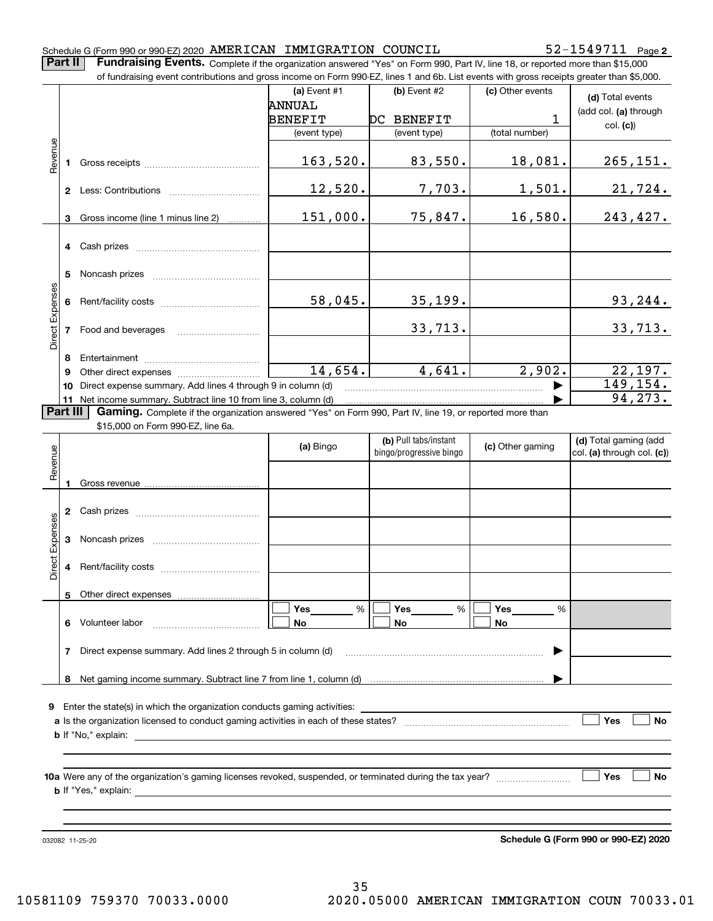#### Schedule G (Form 990 or 990-EZ) 2020 Page AMERICAN IMMIGRATION COUNCIL 52-1549711

**2**

**Part II** | Fundraising Events. Complete if the organization answered "Yes" on Form 990, Part IV, line 18, or reported more than \$15,000

|                 |          | of fundraising event contributions and gross income on Form 990-EZ, lines 1 and 6b. List events with gross receipts greater than \$5,000.                                   |                |                         |                  |                            |
|-----------------|----------|-----------------------------------------------------------------------------------------------------------------------------------------------------------------------------|----------------|-------------------------|------------------|----------------------------|
|                 |          |                                                                                                                                                                             | (a) Event #1   | (b) Event #2            | (c) Other events | (d) Total events           |
|                 |          |                                                                                                                                                                             | <b>ANNUAL</b>  |                         |                  | (add col. (a) through      |
|                 |          |                                                                                                                                                                             | BENEFIT        | DC BENEFIT              | 1                | col. (c)                   |
|                 |          |                                                                                                                                                                             | (event type)   | (event type)            | (total number)   |                            |
| Revenue         |          |                                                                                                                                                                             |                |                         |                  |                            |
|                 |          |                                                                                                                                                                             | 163,520.       | 83,550.                 | 18,081.          | 265, 151.                  |
|                 |          |                                                                                                                                                                             |                |                         |                  |                            |
|                 |          |                                                                                                                                                                             | 12,520.        | 7,703.                  | 1,501.           | 21,724.                    |
|                 | 3        |                                                                                                                                                                             | 151,000.       | 75,847.                 | 16,580.          | 243, 427.                  |
|                 |          | Gross income (line 1 minus line 2)                                                                                                                                          |                |                         |                  |                            |
|                 |          |                                                                                                                                                                             |                |                         |                  |                            |
|                 |          |                                                                                                                                                                             |                |                         |                  |                            |
|                 | 5        |                                                                                                                                                                             |                |                         |                  |                            |
|                 |          |                                                                                                                                                                             |                |                         |                  |                            |
|                 |          |                                                                                                                                                                             | 58,045.        | 35,199.                 |                  | <u>93,244.</u>             |
| Direct Expenses |          |                                                                                                                                                                             |                |                         |                  |                            |
|                 |          |                                                                                                                                                                             |                | 33,713.                 |                  | 33,713.                    |
|                 |          |                                                                                                                                                                             |                |                         |                  |                            |
|                 | 8        |                                                                                                                                                                             |                |                         |                  |                            |
|                 | 9        |                                                                                                                                                                             | 14,654.        | 4,641.                  | 2,902.           | 22,197.                    |
|                 | 10       | Direct expense summary. Add lines 4 through 9 in column (d)                                                                                                                 |                |                         |                  | 149, 154.<br>94, 273.      |
|                 | Part III | 11 Net income summary. Subtract line 10 from line 3, column (d)<br>Gaming. Complete if the organization answered "Yes" on Form 990, Part IV, line 19, or reported more than |                |                         |                  |                            |
|                 |          | \$15,000 on Form 990-EZ, line 6a.                                                                                                                                           |                |                         |                  |                            |
|                 |          |                                                                                                                                                                             |                | (b) Pull tabs/instant   |                  | (d) Total gaming (add      |
|                 |          |                                                                                                                                                                             | (a) Bingo      | bingo/progressive bingo | (c) Other gaming | col. (a) through col. (c)) |
| Revenue         |          |                                                                                                                                                                             |                |                         |                  |                            |
|                 |          |                                                                                                                                                                             |                |                         |                  |                            |
|                 |          |                                                                                                                                                                             |                |                         |                  |                            |
|                 |          |                                                                                                                                                                             |                |                         |                  |                            |
|                 |          |                                                                                                                                                                             |                |                         |                  |                            |
| Expenses        |          |                                                                                                                                                                             |                |                         |                  |                            |
|                 |          |                                                                                                                                                                             |                |                         |                  |                            |
| Direct          |          |                                                                                                                                                                             |                |                         |                  |                            |
|                 |          |                                                                                                                                                                             |                |                         |                  |                            |
|                 |          | Other direct expenses                                                                                                                                                       |                |                         |                  |                            |
|                 |          | 6 Volunteer labor                                                                                                                                                           | %<br>Yes<br>No | %<br>Yes<br>No          | Yes<br>%<br>No   |                            |
|                 |          |                                                                                                                                                                             |                |                         |                  |                            |
|                 |          | 7 Direct expense summary. Add lines 2 through 5 in column (d)                                                                                                               |                |                         |                  |                            |
|                 |          |                                                                                                                                                                             |                |                         |                  |                            |
|                 |          |                                                                                                                                                                             |                |                         |                  |                            |
|                 |          |                                                                                                                                                                             |                |                         |                  |                            |
|                 |          | 9 Enter the state(s) in which the organization conducts gaming activities:                                                                                                  |                |                         |                  |                            |
|                 |          |                                                                                                                                                                             |                |                         |                  | Yes<br>No                  |
|                 |          |                                                                                                                                                                             |                |                         |                  |                            |
|                 |          |                                                                                                                                                                             |                |                         |                  |                            |
|                 |          |                                                                                                                                                                             |                |                         |                  |                            |
|                 |          |                                                                                                                                                                             |                |                         |                  | Yes<br>No                  |
|                 |          |                                                                                                                                                                             |                |                         |                  |                            |
|                 |          |                                                                                                                                                                             |                |                         |                  |                            |
|                 |          |                                                                                                                                                                             |                |                         |                  |                            |

032082 11-25-20

**Schedule G (Form 990 or 990-EZ) 2020**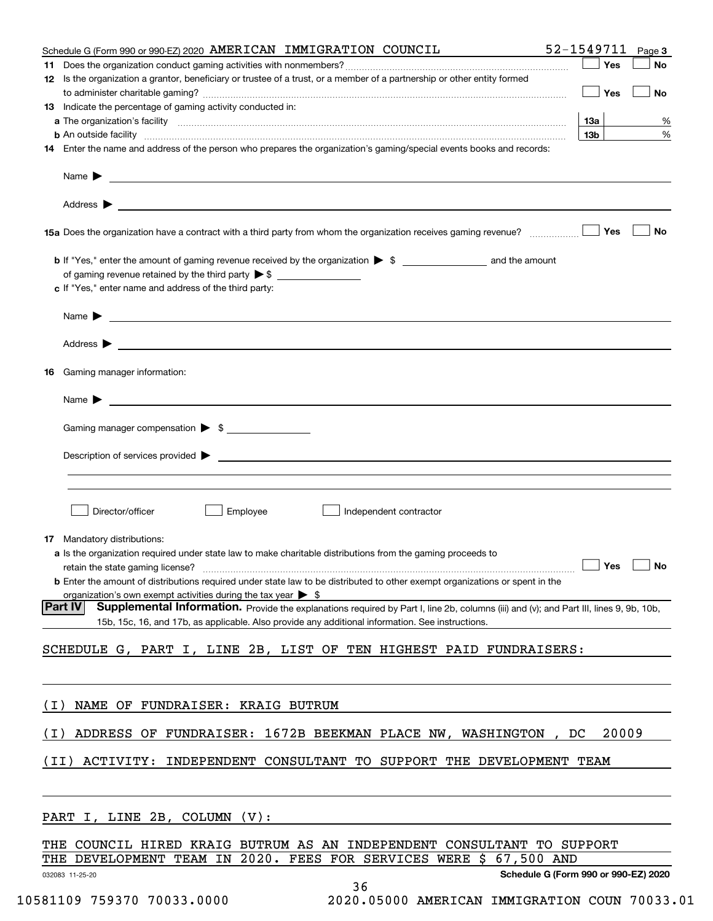|       | Schedule G (Form 990 or 990-EZ) 2020 AMERICAN IMMIGRATION COUNCIL                                                                                                       |    |                 |       | 52-1549711 Page 3 |
|-------|-------------------------------------------------------------------------------------------------------------------------------------------------------------------------|----|-----------------|-------|-------------------|
|       |                                                                                                                                                                         |    |                 | Yes   | No                |
|       | 12 Is the organization a grantor, beneficiary or trustee of a trust, or a member of a partnership or other entity formed                                                |    |                 |       |                   |
|       |                                                                                                                                                                         |    | <b>Yes</b>      |       | No                |
|       | 13 Indicate the percentage of gaming activity conducted in:                                                                                                             |    |                 |       |                   |
|       |                                                                                                                                                                         |    | 13а             |       | %                 |
|       | <b>b</b> An outside facility <i>www.communicality www.communicality.communicality www.communicality www.communicality.communicality www.communicality.com</i>           |    | 13 <sub>b</sub> |       | $\%$              |
|       | 14 Enter the name and address of the person who prepares the organization's gaming/special events books and records:                                                    |    |                 |       |                   |
|       |                                                                                                                                                                         |    |                 |       |                   |
|       |                                                                                                                                                                         |    |                 |       |                   |
|       |                                                                                                                                                                         |    |                 | Yes   | No                |
|       |                                                                                                                                                                         |    |                 |       |                   |
|       |                                                                                                                                                                         |    |                 |       |                   |
|       | c If "Yes," enter name and address of the third party:                                                                                                                  |    |                 |       |                   |
|       |                                                                                                                                                                         |    |                 |       |                   |
|       |                                                                                                                                                                         |    |                 |       |                   |
|       |                                                                                                                                                                         |    |                 |       |                   |
|       |                                                                                                                                                                         |    |                 |       |                   |
|       | <b>16</b> Gaming manager information:                                                                                                                                   |    |                 |       |                   |
|       | Name $\blacktriangleright$ $\lrcorner$                                                                                                                                  |    |                 |       |                   |
|       | Gaming manager compensation > \$                                                                                                                                        |    |                 |       |                   |
|       |                                                                                                                                                                         |    |                 |       |                   |
|       |                                                                                                                                                                         |    |                 |       |                   |
|       |                                                                                                                                                                         |    |                 |       |                   |
|       |                                                                                                                                                                         |    |                 |       |                   |
|       | Director/officer<br>Employee<br>Independent contractor                                                                                                                  |    |                 |       |                   |
|       |                                                                                                                                                                         |    |                 |       |                   |
|       | 17 Mandatory distributions:                                                                                                                                             |    |                 |       |                   |
|       | a Is the organization required under state law to make charitable distributions from the gaming proceeds to                                                             |    | $\Box$ Yes      |       | $\Box$ No         |
|       | retain the state gaming license?<br><b>b</b> Enter the amount of distributions required under state law to be distributed to other exempt organizations or spent in the |    |                 |       |                   |
|       | organization's own exempt activities during the tax year $\triangleright$ \$                                                                                            |    |                 |       |                   |
|       | Part IV<br>Supplemental Information. Provide the explanations required by Part I, line 2b, columns (iii) and (v); and Part III, lines 9, 9b, 10b,                       |    |                 |       |                   |
|       | 15b, 15c, 16, and 17b, as applicable. Also provide any additional information. See instructions.                                                                        |    |                 |       |                   |
|       |                                                                                                                                                                         |    |                 |       |                   |
|       | SCHEDULE G, PART I, LINE 2B, LIST OF TEN HIGHEST PAID FUNDRAISERS:                                                                                                      |    |                 |       |                   |
|       |                                                                                                                                                                         |    |                 |       |                   |
| ( I ) | NAME OF FUNDRAISER: KRAIG BUTRUM                                                                                                                                        |    |                 |       |                   |
|       |                                                                                                                                                                         |    |                 |       |                   |
| (I)   | ADDRESS OF FUNDRAISER: 1672B BEEKMAN PLACE NW, WASHINGTON                                                                                                               | DC |                 | 20009 |                   |
| (II)  | INDEPENDENT CONSULTANT TO SUPPORT THE DEVELOPMENT TEAM<br>ACTIVITY:                                                                                                     |    |                 |       |                   |
|       |                                                                                                                                                                         |    |                 |       |                   |
|       |                                                                                                                                                                         |    |                 |       |                   |
|       | I, LINE 2B, COLUMN (V):<br><b>PART</b>                                                                                                                                  |    |                 |       |                   |
|       | THE COUNCIL HIRED KRAIG BUTRUM AS AN INDEPENDENT CONSULTANT TO SUPPORT                                                                                                  |    |                 |       |                   |
| THE   | DEVELOPMENT TEAM IN 2020. FEES FOR SERVICES WERE \$ 67,500 AND                                                                                                          |    |                 |       |                   |
|       | Schedule G (Form 990 or 990-EZ) 2020<br>032083 11-25-20<br>つぐ                                                                                                           |    |                 |       |                   |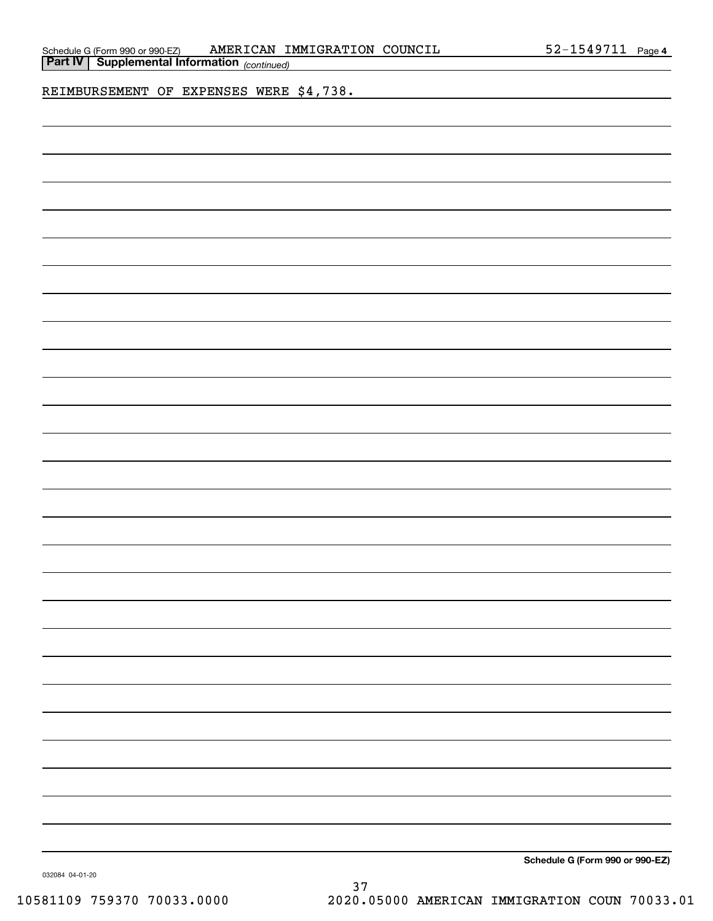REIMBURSEMENT OF EXPENSES WERE \$4,738.

**Schedule G (Form 990 or 990-EZ)**

032084 04-01-20

37 10581109 759370 70033.0000 2020.05000 AMERICAN IMMIGRATION COUN 70033.01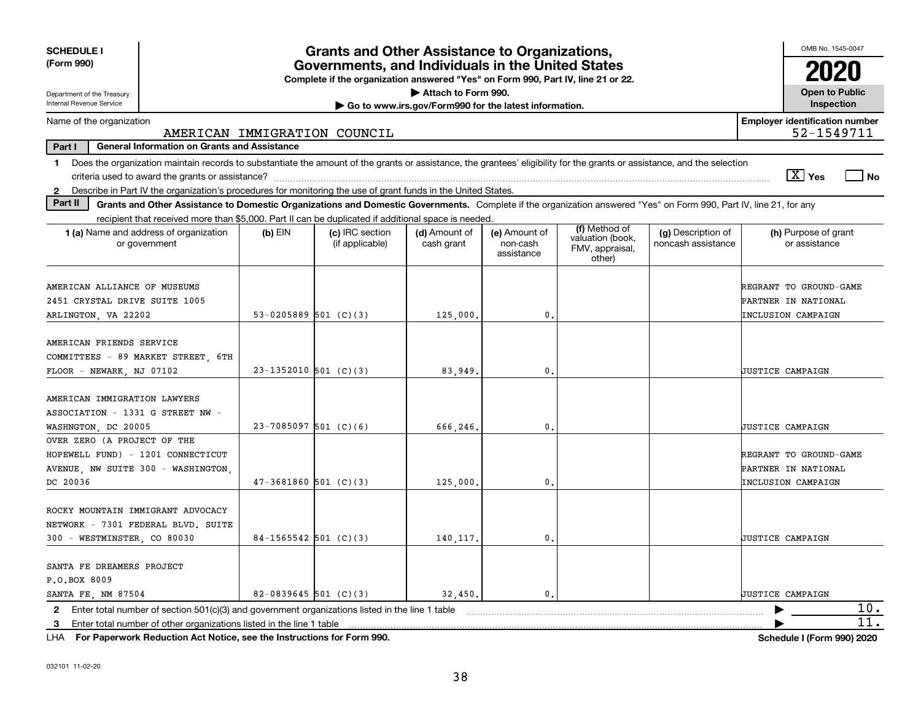| <b>SCHEDULE I</b>                                                                                                                                                                       |                           | <b>Grants and Other Assistance to Organizations,</b>                                                                                  |                                                       |                                         |                                                                |                                          | OMB No. 1545-0047                                                          |
|-----------------------------------------------------------------------------------------------------------------------------------------------------------------------------------------|---------------------------|---------------------------------------------------------------------------------------------------------------------------------------|-------------------------------------------------------|-----------------------------------------|----------------------------------------------------------------|------------------------------------------|----------------------------------------------------------------------------|
| (Form 990)                                                                                                                                                                              |                           | Governments, and Individuals in the United States<br>Complete if the organization answered "Yes" on Form 990, Part IV, line 21 or 22. |                                                       |                                         |                                                                |                                          |                                                                            |
| Department of the Treasury                                                                                                                                                              |                           |                                                                                                                                       | Attach to Form 990.                                   |                                         |                                                                |                                          | <b>Open to Public</b>                                                      |
| Internal Revenue Service                                                                                                                                                                |                           |                                                                                                                                       | Go to www.irs.gov/Form990 for the latest information. |                                         |                                                                |                                          | Inspection                                                                 |
| Name of the organization                                                                                                                                                                |                           | AMERICAN IMMIGRATION COUNCIL                                                                                                          |                                                       |                                         |                                                                |                                          | <b>Employer identification number</b><br>52-1549711                        |
| Part I<br><b>General Information on Grants and Assistance</b>                                                                                                                           |                           |                                                                                                                                       |                                                       |                                         |                                                                |                                          |                                                                            |
| Does the organization maintain records to substantiate the amount of the grants or assistance, the grantees' eligibility for the grants or assistance, and the selection<br>$\mathbf 1$ |                           |                                                                                                                                       |                                                       |                                         |                                                                |                                          |                                                                            |
|                                                                                                                                                                                         |                           |                                                                                                                                       |                                                       |                                         |                                                                |                                          | $\boxed{\text{X}}$ Yes<br>  No                                             |
| 2 Describe in Part IV the organization's procedures for monitoring the use of grant funds in the United States.                                                                         |                           |                                                                                                                                       |                                                       |                                         |                                                                |                                          |                                                                            |
| Part II<br>Grants and Other Assistance to Domestic Organizations and Domestic Governments. Complete if the organization answered "Yes" on Form 990, Part IV, line 21, for any           |                           |                                                                                                                                       |                                                       |                                         |                                                                |                                          |                                                                            |
| recipient that received more than \$5,000. Part II can be duplicated if additional space is needed.                                                                                     |                           |                                                                                                                                       |                                                       |                                         |                                                                |                                          |                                                                            |
| 1 (a) Name and address of organization<br>or government                                                                                                                                 | $(b)$ EIN                 | (c) IRC section<br>(if applicable)                                                                                                    | (d) Amount of<br>cash grant                           | (e) Amount of<br>non-cash<br>assistance | (f) Method of<br>valuation (book,<br>FMV, appraisal,<br>other) | (g) Description of<br>noncash assistance | (h) Purpose of grant<br>or assistance                                      |
| AMERICAN ALLIANCE OF MUSEUMS                                                                                                                                                            |                           |                                                                                                                                       |                                                       |                                         |                                                                |                                          | REGRANT TO GROUND-GAME                                                     |
| 2451 CRYSTAL DRIVE SUITE 1005                                                                                                                                                           |                           |                                                                                                                                       |                                                       |                                         |                                                                |                                          | PARTNER IN NATIONAL                                                        |
| ARLINGTON, VA 22202                                                                                                                                                                     | 53-0205889 501 (C)(3)     |                                                                                                                                       | 125,000.                                              | 0.                                      |                                                                |                                          | INCLUSION CAMPAIGN                                                         |
| AMERICAN FRIENDS SERVICE<br>COMMITTEES - 89 MARKET STREET, 6TH<br>FLOOR - NEWARK, NJ 07102                                                                                              | $23-1352010$ 501 (C)(3)   |                                                                                                                                       | 83,949                                                | $\mathbf{0}$ .                          |                                                                |                                          | UUSTICE CAMPAIGN                                                           |
| AMERICAN IMMIGRATION LAWYERS<br>ASSOCIATION - 1331 G STREET NW -<br>WASHNGTON, DC 20005                                                                                                 | $23 - 7085097$ 501 (C)(6) |                                                                                                                                       | 666.246.                                              | 0                                       |                                                                |                                          | UUSTICE CAMPAIGN                                                           |
| OVER ZERO (A PROJECT OF THE<br>HOPEWELL FUND) - 1201 CONNECTICUT<br>AVENUE, NW SUITE 300 - WASHINGTON,<br>DC 20036                                                                      | $47 - 3681860$ 501 (C)(3) |                                                                                                                                       | 125,000,                                              | 0.                                      |                                                                |                                          | REGRANT TO GROUND-GAME<br>PARTNER IN NATIONAL<br><b>INCLUSION CAMPAIGN</b> |
| ROCKY MOUNTAIN IMMIGRANT ADVOCACY<br>NETWORK - 7301 FEDERAL BLVD. SUITE<br>300 - WESTMINSTER, CO 80030                                                                                  | $84-1565542$ 501 (C)(3)   |                                                                                                                                       | 140,117.                                              | 0.                                      |                                                                |                                          | <b>JUSTICE CAMPAIGN</b>                                                    |
| SANTA FE DREAMERS PROJECT<br>P.O.BOX 8009<br>SANTA FE, NM 87504                                                                                                                         | 82-0839645 501 (C)(3)     |                                                                                                                                       | 32,450.                                               | $\mathbf{0}$ .                          |                                                                |                                          | <b>JUSTICE CAMPAIGN</b>                                                    |
| Enter total number of section $501(c)(3)$ and government organizations listed in the line 1 table<br>$\mathbf{2}$                                                                       |                           |                                                                                                                                       |                                                       |                                         |                                                                |                                          | 10.                                                                        |
| Enter total number of other organizations listed in the line 1 table<br>3                                                                                                               |                           |                                                                                                                                       |                                                       |                                         |                                                                |                                          | $\overline{11}$ .                                                          |

**For Paperwork Reduction Act Notice, see the Instructions for Form 990. Schedule I (Form 990) 2020** LHA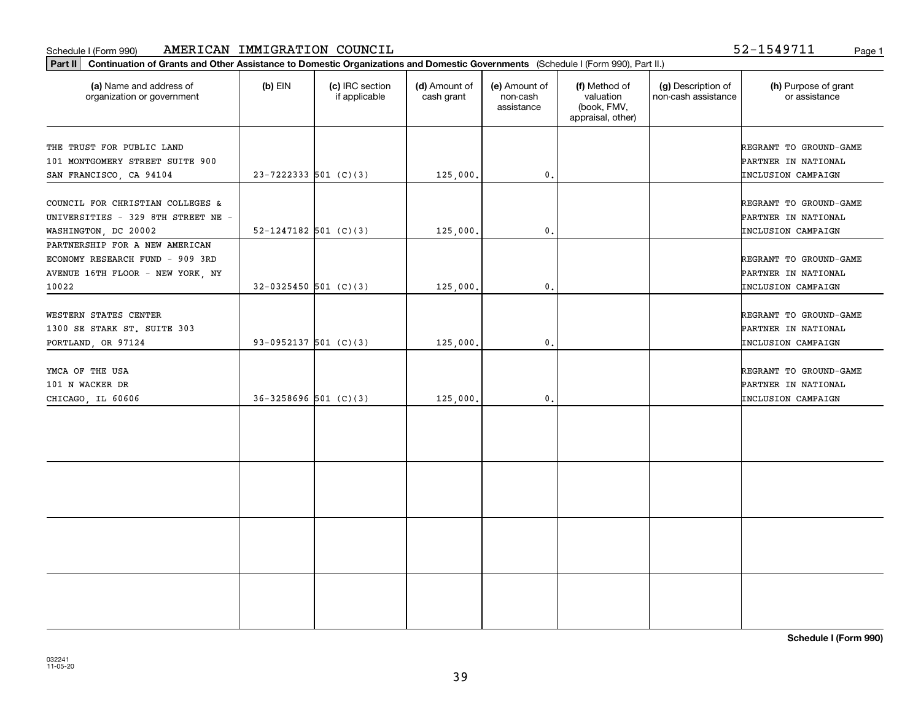#### Schedule I (Form 990) AMERICAN IMMIGRATION COUNCIL 52-1549711 <sub>Page 1</sub>

**Part II Continuation of Grants and Other Assistance to Domestic Organizations and Domestic Governments**  (Schedule I (Form 990), Part II.)

| (a) Name and address of<br>organization or government                                                          | $(b)$ EIN                 | (c) IRC section<br>if applicable | (d) Amount of<br>cash grant | (e) Amount of<br>non-cash<br>assistance | (f) Method of<br>valuation<br>(book, FMV,<br>appraisal, other) | (g) Description of<br>non-cash assistance | (h) Purpose of grant<br>or assistance                               |
|----------------------------------------------------------------------------------------------------------------|---------------------------|----------------------------------|-----------------------------|-----------------------------------------|----------------------------------------------------------------|-------------------------------------------|---------------------------------------------------------------------|
| THE TRUST FOR PUBLIC LAND<br>101 MONTGOMERY STREET SUITE 900<br>SAN FRANCISCO, CA 94104                        | $23 - 7222333$ 501 (C)(3) |                                  | 125,000.                    | 0.                                      |                                                                |                                           | REGRANT TO GROUND-GAME<br>PARTNER IN NATIONAL<br>INCLUSION CAMPAIGN |
| COUNCIL FOR CHRISTIAN COLLEGES &<br>UNIVERSITIES - 329 8TH STREET NE -<br>WASHINGTON, DC 20002                 | 52-1247182 501 (C)(3)     |                                  | 125,000.                    | 0.                                      |                                                                |                                           | REGRANT TO GROUND-GAME<br>PARTNER IN NATIONAL<br>INCLUSION CAMPAIGN |
| PARTNERSHIP FOR A NEW AMERICAN<br>ECONOMY RESEARCH FUND - 909 3RD<br>AVENUE 16TH FLOOR - NEW YORK, NY<br>10022 | $32-0325450$ 501 (C)(3)   |                                  | 125,000.                    | $\mathbf{0}$ .                          |                                                                |                                           | REGRANT TO GROUND-GAME<br>PARTNER IN NATIONAL<br>INCLUSION CAMPAIGN |
| WESTERN STATES CENTER<br>1300 SE STARK ST. SUITE 303<br>PORTLAND, OR 97124                                     | 93-0952137 501 (C)(3)     |                                  | 125,000.                    | $\mathbf 0$ .                           |                                                                |                                           | REGRANT TO GROUND-GAME<br>PARTNER IN NATIONAL<br>INCLUSION CAMPAIGN |
| YMCA OF THE USA<br>101 N WACKER DR<br>CHICAGO, IL 60606                                                        | $36 - 3258696$ 501 (C)(3) |                                  | 125,000.                    | 0.                                      |                                                                |                                           | REGRANT TO GROUND-GAME<br>PARTNER IN NATIONAL<br>INCLUSION CAMPAIGN |
|                                                                                                                |                           |                                  |                             |                                         |                                                                |                                           |                                                                     |
|                                                                                                                |                           |                                  |                             |                                         |                                                                |                                           |                                                                     |
|                                                                                                                |                           |                                  |                             |                                         |                                                                |                                           |                                                                     |
|                                                                                                                |                           |                                  |                             |                                         |                                                                |                                           |                                                                     |

Τ

39

**Schedule I (Form 990)**

### 52-1549711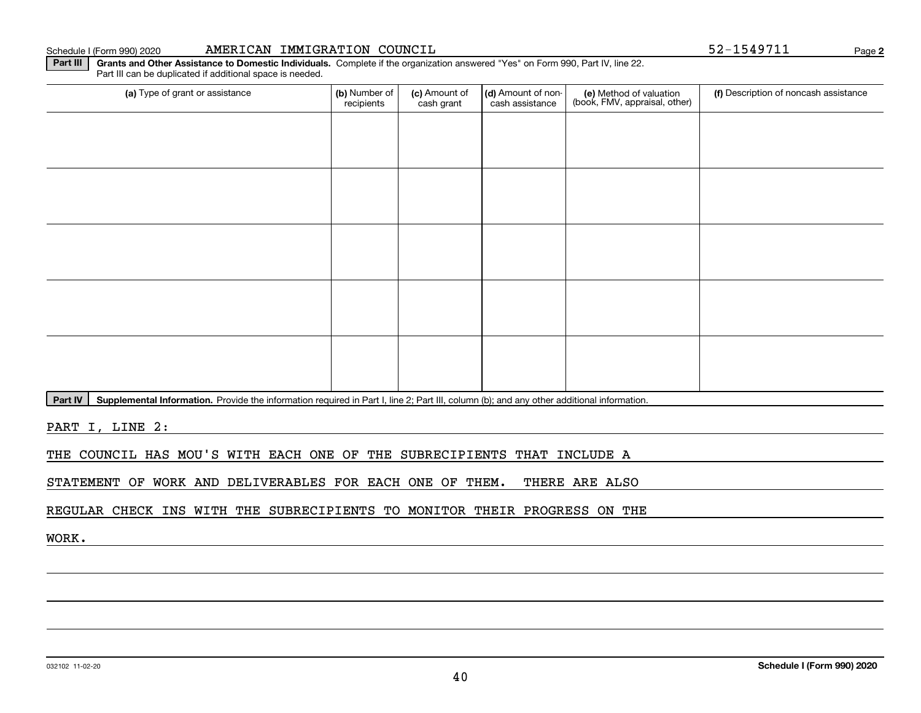| (a) Type of grant or assistance | (b) Number of<br>recipients | (c) Amount of<br>cash grant | (d) Amount of non-<br>cash assistance | (e) Method of valuation<br>(book, FMV, appraisal, other) | (f) Description of noncash assistance |
|---------------------------------|-----------------------------|-----------------------------|---------------------------------------|----------------------------------------------------------|---------------------------------------|
|                                 |                             |                             |                                       |                                                          |                                       |
|                                 |                             |                             |                                       |                                                          |                                       |
|                                 |                             |                             |                                       |                                                          |                                       |
|                                 |                             |                             |                                       |                                                          |                                       |
|                                 |                             |                             |                                       |                                                          |                                       |
|                                 |                             |                             |                                       |                                                          |                                       |
|                                 |                             |                             |                                       |                                                          |                                       |
|                                 |                             |                             |                                       |                                                          |                                       |
|                                 |                             |                             |                                       |                                                          |                                       |
|                                 |                             |                             |                                       |                                                          |                                       |

Part IV | Supplemental Information. Provide the information required in Part I, line 2; Part III, column (b); and any other additional information.

PART I, LINE 2:

THE COUNCIL HAS MOU'S WITH EACH ONE OF THE SUBRECIPIENTS THAT INCLUDE A

STATEMENT OF WORK AND DELIVERABLES FOR EACH ONE OF THEM. THERE ARE ALSO

REGULAR CHECK INS WITH THE SUBRECIPIENTS TO MONITOR THEIR PROGRESS ON THE

WORK.

**2**Schedule I (Form 990) 2020 **AMERICAN IMMIGRATION COUNCIL** Page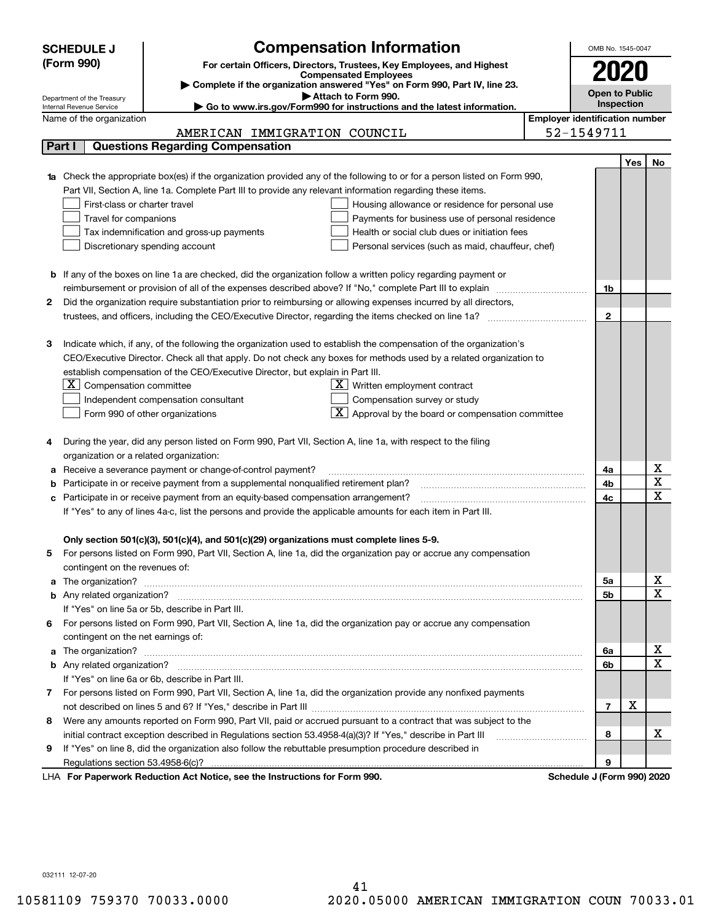| (Form 990)<br>For certain Officers, Directors, Trustees, Key Employees, and Highest<br><b>Compensated Employees</b><br>Complete if the organization answered "Yes" on Form 990, Part IV, line 23.<br><b>Open to Public</b><br>Attach to Form 990.<br>Department of the Treasury<br>Inspection<br>Go to www.irs.gov/Form990 for instructions and the latest information.<br>Internal Revenue Service<br><b>Employer identification number</b><br>Name of the organization<br>52-1549711<br>AMERICAN IMMIGRATION COUNCIL<br><b>Questions Regarding Compensation</b><br>Part I<br>Yes<br>No<br><b>1a</b> Check the appropriate box(es) if the organization provided any of the following to or for a person listed on Form 990,<br>Part VII, Section A, line 1a. Complete Part III to provide any relevant information regarding these items.<br>First-class or charter travel<br>Housing allowance or residence for personal use<br>Payments for business use of personal residence<br>Travel for companions<br>Health or social club dues or initiation fees<br>Tax indemnification and gross-up payments<br>Discretionary spending account<br>Personal services (such as maid, chauffeur, chef)<br><b>b</b> If any of the boxes on line 1a are checked, did the organization follow a written policy regarding payment or<br>reimbursement or provision of all of the expenses described above? If "No," complete Part III to explain<br>1b<br>2<br>Did the organization require substantiation prior to reimbursing or allowing expenses incurred by all directors,<br>$\mathbf{2}$<br>trustees, and officers, including the CEO/Executive Director, regarding the items checked on line 1a?<br>Indicate which, if any, of the following the organization used to establish the compensation of the organization's<br>З<br>CEO/Executive Director. Check all that apply. Do not check any boxes for methods used by a related organization to<br>establish compensation of the CEO/Executive Director, but explain in Part III.<br>$X$ Compensation committee<br>$\underline{\mathbf{X}}$ Written employment contract<br>Compensation survey or study<br>Independent compensation consultant<br>Approval by the board or compensation committee<br>Form 990 of other organizations<br>During the year, did any person listed on Form 990, Part VII, Section A, line 1a, with respect to the filing<br>organization or a related organization:<br>х<br>Receive a severance payment or change-of-control payment?<br>4a<br>а<br>X<br>Participate in or receive payment from a supplemental nonqualified retirement plan?<br>4b<br>b<br>X<br>c Participate in or receive payment from an equity-based compensation arrangement?<br>4c<br>If "Yes" to any of lines 4a-c, list the persons and provide the applicable amounts for each item in Part III.<br>Only section 501(c)(3), 501(c)(4), and 501(c)(29) organizations must complete lines 5-9.<br>For persons listed on Form 990, Part VII, Section A, line 1a, did the organization pay or accrue any compensation<br>5<br>contingent on the revenues of:<br>х<br>5а<br>$\mathbf X$<br>5b<br>If "Yes" on line 5a or 5b, describe in Part III.<br>6 For persons listed on Form 990, Part VII, Section A, line 1a, did the organization pay or accrue any compensation<br>contingent on the net earnings of:<br>х<br>6a<br>$\mathbf X$<br>6b<br>If "Yes" on line 6a or 6b, describe in Part III.<br>7 For persons listed on Form 990, Part VII, Section A, line 1a, did the organization provide any nonfixed payments<br>X<br>7<br>Were any amounts reported on Form 990, Part VII, paid or accrued pursuant to a contract that was subject to the<br>8<br>х<br>initial contract exception described in Regulations section 53.4958-4(a)(3)? If "Yes," describe in Part III<br>8<br>If "Yes" on line 8, did the organization also follow the rebuttable presumption procedure described in<br>9<br>9<br>LHA For Paperwork Reduction Act Notice, see the Instructions for Form 990.<br>Schedule J (Form 990) 2020 | <b>SCHEDULE J</b> | <b>Compensation Information</b> | OMB No. 1545-0047 |  |
|--------------------------------------------------------------------------------------------------------------------------------------------------------------------------------------------------------------------------------------------------------------------------------------------------------------------------------------------------------------------------------------------------------------------------------------------------------------------------------------------------------------------------------------------------------------------------------------------------------------------------------------------------------------------------------------------------------------------------------------------------------------------------------------------------------------------------------------------------------------------------------------------------------------------------------------------------------------------------------------------------------------------------------------------------------------------------------------------------------------------------------------------------------------------------------------------------------------------------------------------------------------------------------------------------------------------------------------------------------------------------------------------------------------------------------------------------------------------------------------------------------------------------------------------------------------------------------------------------------------------------------------------------------------------------------------------------------------------------------------------------------------------------------------------------------------------------------------------------------------------------------------------------------------------------------------------------------------------------------------------------------------------------------------------------------------------------------------------------------------------------------------------------------------------------------------------------------------------------------------------------------------------------------------------------------------------------------------------------------------------------------------------------------------------------------------------------------------------------------------------------------------------------------------------------------------------------------------------------------------------------------------------------------------------------------------------------------------------------------------------------------------------------------------------------------------------------------------------------------------------------------------------------------------------------------------------------------------------------------------------------------------------------------------------------------------------------------------------------------------------------------------------------------------------------------------------------------------------------------------------------------------------------------------------------------------------------------------------------------------------------------------------------------------------------------------------------------------------------------------------------------------------------------------------------------------------------------------------------------------------------------------------------------------------------------------------------------------------------------------------------------------------------------------------------------------------------------------------------------------------------------------------------------------------------------------------------------------------------------------------------------------------------------------------------------------------|-------------------|---------------------------------|-------------------|--|
|                                                                                                                                                                                                                                                                                                                                                                                                                                                                                                                                                                                                                                                                                                                                                                                                                                                                                                                                                                                                                                                                                                                                                                                                                                                                                                                                                                                                                                                                                                                                                                                                                                                                                                                                                                                                                                                                                                                                                                                                                                                                                                                                                                                                                                                                                                                                                                                                                                                                                                                                                                                                                                                                                                                                                                                                                                                                                                                                                                                                                                                                                                                                                                                                                                                                                                                                                                                                                                                                                                                                                                                                                                                                                                                                                                                                                                                                                                                                                                                                                                                                    |                   |                                 |                   |  |
|                                                                                                                                                                                                                                                                                                                                                                                                                                                                                                                                                                                                                                                                                                                                                                                                                                                                                                                                                                                                                                                                                                                                                                                                                                                                                                                                                                                                                                                                                                                                                                                                                                                                                                                                                                                                                                                                                                                                                                                                                                                                                                                                                                                                                                                                                                                                                                                                                                                                                                                                                                                                                                                                                                                                                                                                                                                                                                                                                                                                                                                                                                                                                                                                                                                                                                                                                                                                                                                                                                                                                                                                                                                                                                                                                                                                                                                                                                                                                                                                                                                                    |                   |                                 |                   |  |
|                                                                                                                                                                                                                                                                                                                                                                                                                                                                                                                                                                                                                                                                                                                                                                                                                                                                                                                                                                                                                                                                                                                                                                                                                                                                                                                                                                                                                                                                                                                                                                                                                                                                                                                                                                                                                                                                                                                                                                                                                                                                                                                                                                                                                                                                                                                                                                                                                                                                                                                                                                                                                                                                                                                                                                                                                                                                                                                                                                                                                                                                                                                                                                                                                                                                                                                                                                                                                                                                                                                                                                                                                                                                                                                                                                                                                                                                                                                                                                                                                                                                    |                   |                                 |                   |  |
|                                                                                                                                                                                                                                                                                                                                                                                                                                                                                                                                                                                                                                                                                                                                                                                                                                                                                                                                                                                                                                                                                                                                                                                                                                                                                                                                                                                                                                                                                                                                                                                                                                                                                                                                                                                                                                                                                                                                                                                                                                                                                                                                                                                                                                                                                                                                                                                                                                                                                                                                                                                                                                                                                                                                                                                                                                                                                                                                                                                                                                                                                                                                                                                                                                                                                                                                                                                                                                                                                                                                                                                                                                                                                                                                                                                                                                                                                                                                                                                                                                                                    |                   |                                 |                   |  |
|                                                                                                                                                                                                                                                                                                                                                                                                                                                                                                                                                                                                                                                                                                                                                                                                                                                                                                                                                                                                                                                                                                                                                                                                                                                                                                                                                                                                                                                                                                                                                                                                                                                                                                                                                                                                                                                                                                                                                                                                                                                                                                                                                                                                                                                                                                                                                                                                                                                                                                                                                                                                                                                                                                                                                                                                                                                                                                                                                                                                                                                                                                                                                                                                                                                                                                                                                                                                                                                                                                                                                                                                                                                                                                                                                                                                                                                                                                                                                                                                                                                                    |                   |                                 |                   |  |
|                                                                                                                                                                                                                                                                                                                                                                                                                                                                                                                                                                                                                                                                                                                                                                                                                                                                                                                                                                                                                                                                                                                                                                                                                                                                                                                                                                                                                                                                                                                                                                                                                                                                                                                                                                                                                                                                                                                                                                                                                                                                                                                                                                                                                                                                                                                                                                                                                                                                                                                                                                                                                                                                                                                                                                                                                                                                                                                                                                                                                                                                                                                                                                                                                                                                                                                                                                                                                                                                                                                                                                                                                                                                                                                                                                                                                                                                                                                                                                                                                                                                    |                   |                                 |                   |  |
|                                                                                                                                                                                                                                                                                                                                                                                                                                                                                                                                                                                                                                                                                                                                                                                                                                                                                                                                                                                                                                                                                                                                                                                                                                                                                                                                                                                                                                                                                                                                                                                                                                                                                                                                                                                                                                                                                                                                                                                                                                                                                                                                                                                                                                                                                                                                                                                                                                                                                                                                                                                                                                                                                                                                                                                                                                                                                                                                                                                                                                                                                                                                                                                                                                                                                                                                                                                                                                                                                                                                                                                                                                                                                                                                                                                                                                                                                                                                                                                                                                                                    |                   |                                 |                   |  |
|                                                                                                                                                                                                                                                                                                                                                                                                                                                                                                                                                                                                                                                                                                                                                                                                                                                                                                                                                                                                                                                                                                                                                                                                                                                                                                                                                                                                                                                                                                                                                                                                                                                                                                                                                                                                                                                                                                                                                                                                                                                                                                                                                                                                                                                                                                                                                                                                                                                                                                                                                                                                                                                                                                                                                                                                                                                                                                                                                                                                                                                                                                                                                                                                                                                                                                                                                                                                                                                                                                                                                                                                                                                                                                                                                                                                                                                                                                                                                                                                                                                                    |                   |                                 |                   |  |
|                                                                                                                                                                                                                                                                                                                                                                                                                                                                                                                                                                                                                                                                                                                                                                                                                                                                                                                                                                                                                                                                                                                                                                                                                                                                                                                                                                                                                                                                                                                                                                                                                                                                                                                                                                                                                                                                                                                                                                                                                                                                                                                                                                                                                                                                                                                                                                                                                                                                                                                                                                                                                                                                                                                                                                                                                                                                                                                                                                                                                                                                                                                                                                                                                                                                                                                                                                                                                                                                                                                                                                                                                                                                                                                                                                                                                                                                                                                                                                                                                                                                    |                   |                                 |                   |  |
|                                                                                                                                                                                                                                                                                                                                                                                                                                                                                                                                                                                                                                                                                                                                                                                                                                                                                                                                                                                                                                                                                                                                                                                                                                                                                                                                                                                                                                                                                                                                                                                                                                                                                                                                                                                                                                                                                                                                                                                                                                                                                                                                                                                                                                                                                                                                                                                                                                                                                                                                                                                                                                                                                                                                                                                                                                                                                                                                                                                                                                                                                                                                                                                                                                                                                                                                                                                                                                                                                                                                                                                                                                                                                                                                                                                                                                                                                                                                                                                                                                                                    |                   |                                 |                   |  |
|                                                                                                                                                                                                                                                                                                                                                                                                                                                                                                                                                                                                                                                                                                                                                                                                                                                                                                                                                                                                                                                                                                                                                                                                                                                                                                                                                                                                                                                                                                                                                                                                                                                                                                                                                                                                                                                                                                                                                                                                                                                                                                                                                                                                                                                                                                                                                                                                                                                                                                                                                                                                                                                                                                                                                                                                                                                                                                                                                                                                                                                                                                                                                                                                                                                                                                                                                                                                                                                                                                                                                                                                                                                                                                                                                                                                                                                                                                                                                                                                                                                                    |                   |                                 |                   |  |
|                                                                                                                                                                                                                                                                                                                                                                                                                                                                                                                                                                                                                                                                                                                                                                                                                                                                                                                                                                                                                                                                                                                                                                                                                                                                                                                                                                                                                                                                                                                                                                                                                                                                                                                                                                                                                                                                                                                                                                                                                                                                                                                                                                                                                                                                                                                                                                                                                                                                                                                                                                                                                                                                                                                                                                                                                                                                                                                                                                                                                                                                                                                                                                                                                                                                                                                                                                                                                                                                                                                                                                                                                                                                                                                                                                                                                                                                                                                                                                                                                                                                    |                   |                                 |                   |  |
|                                                                                                                                                                                                                                                                                                                                                                                                                                                                                                                                                                                                                                                                                                                                                                                                                                                                                                                                                                                                                                                                                                                                                                                                                                                                                                                                                                                                                                                                                                                                                                                                                                                                                                                                                                                                                                                                                                                                                                                                                                                                                                                                                                                                                                                                                                                                                                                                                                                                                                                                                                                                                                                                                                                                                                                                                                                                                                                                                                                                                                                                                                                                                                                                                                                                                                                                                                                                                                                                                                                                                                                                                                                                                                                                                                                                                                                                                                                                                                                                                                                                    |                   |                                 |                   |  |
|                                                                                                                                                                                                                                                                                                                                                                                                                                                                                                                                                                                                                                                                                                                                                                                                                                                                                                                                                                                                                                                                                                                                                                                                                                                                                                                                                                                                                                                                                                                                                                                                                                                                                                                                                                                                                                                                                                                                                                                                                                                                                                                                                                                                                                                                                                                                                                                                                                                                                                                                                                                                                                                                                                                                                                                                                                                                                                                                                                                                                                                                                                                                                                                                                                                                                                                                                                                                                                                                                                                                                                                                                                                                                                                                                                                                                                                                                                                                                                                                                                                                    |                   |                                 |                   |  |
|                                                                                                                                                                                                                                                                                                                                                                                                                                                                                                                                                                                                                                                                                                                                                                                                                                                                                                                                                                                                                                                                                                                                                                                                                                                                                                                                                                                                                                                                                                                                                                                                                                                                                                                                                                                                                                                                                                                                                                                                                                                                                                                                                                                                                                                                                                                                                                                                                                                                                                                                                                                                                                                                                                                                                                                                                                                                                                                                                                                                                                                                                                                                                                                                                                                                                                                                                                                                                                                                                                                                                                                                                                                                                                                                                                                                                                                                                                                                                                                                                                                                    |                   |                                 |                   |  |
|                                                                                                                                                                                                                                                                                                                                                                                                                                                                                                                                                                                                                                                                                                                                                                                                                                                                                                                                                                                                                                                                                                                                                                                                                                                                                                                                                                                                                                                                                                                                                                                                                                                                                                                                                                                                                                                                                                                                                                                                                                                                                                                                                                                                                                                                                                                                                                                                                                                                                                                                                                                                                                                                                                                                                                                                                                                                                                                                                                                                                                                                                                                                                                                                                                                                                                                                                                                                                                                                                                                                                                                                                                                                                                                                                                                                                                                                                                                                                                                                                                                                    |                   |                                 |                   |  |
|                                                                                                                                                                                                                                                                                                                                                                                                                                                                                                                                                                                                                                                                                                                                                                                                                                                                                                                                                                                                                                                                                                                                                                                                                                                                                                                                                                                                                                                                                                                                                                                                                                                                                                                                                                                                                                                                                                                                                                                                                                                                                                                                                                                                                                                                                                                                                                                                                                                                                                                                                                                                                                                                                                                                                                                                                                                                                                                                                                                                                                                                                                                                                                                                                                                                                                                                                                                                                                                                                                                                                                                                                                                                                                                                                                                                                                                                                                                                                                                                                                                                    |                   |                                 |                   |  |
|                                                                                                                                                                                                                                                                                                                                                                                                                                                                                                                                                                                                                                                                                                                                                                                                                                                                                                                                                                                                                                                                                                                                                                                                                                                                                                                                                                                                                                                                                                                                                                                                                                                                                                                                                                                                                                                                                                                                                                                                                                                                                                                                                                                                                                                                                                                                                                                                                                                                                                                                                                                                                                                                                                                                                                                                                                                                                                                                                                                                                                                                                                                                                                                                                                                                                                                                                                                                                                                                                                                                                                                                                                                                                                                                                                                                                                                                                                                                                                                                                                                                    |                   |                                 |                   |  |
|                                                                                                                                                                                                                                                                                                                                                                                                                                                                                                                                                                                                                                                                                                                                                                                                                                                                                                                                                                                                                                                                                                                                                                                                                                                                                                                                                                                                                                                                                                                                                                                                                                                                                                                                                                                                                                                                                                                                                                                                                                                                                                                                                                                                                                                                                                                                                                                                                                                                                                                                                                                                                                                                                                                                                                                                                                                                                                                                                                                                                                                                                                                                                                                                                                                                                                                                                                                                                                                                                                                                                                                                                                                                                                                                                                                                                                                                                                                                                                                                                                                                    |                   |                                 |                   |  |
|                                                                                                                                                                                                                                                                                                                                                                                                                                                                                                                                                                                                                                                                                                                                                                                                                                                                                                                                                                                                                                                                                                                                                                                                                                                                                                                                                                                                                                                                                                                                                                                                                                                                                                                                                                                                                                                                                                                                                                                                                                                                                                                                                                                                                                                                                                                                                                                                                                                                                                                                                                                                                                                                                                                                                                                                                                                                                                                                                                                                                                                                                                                                                                                                                                                                                                                                                                                                                                                                                                                                                                                                                                                                                                                                                                                                                                                                                                                                                                                                                                                                    |                   |                                 |                   |  |
|                                                                                                                                                                                                                                                                                                                                                                                                                                                                                                                                                                                                                                                                                                                                                                                                                                                                                                                                                                                                                                                                                                                                                                                                                                                                                                                                                                                                                                                                                                                                                                                                                                                                                                                                                                                                                                                                                                                                                                                                                                                                                                                                                                                                                                                                                                                                                                                                                                                                                                                                                                                                                                                                                                                                                                                                                                                                                                                                                                                                                                                                                                                                                                                                                                                                                                                                                                                                                                                                                                                                                                                                                                                                                                                                                                                                                                                                                                                                                                                                                                                                    |                   |                                 |                   |  |
|                                                                                                                                                                                                                                                                                                                                                                                                                                                                                                                                                                                                                                                                                                                                                                                                                                                                                                                                                                                                                                                                                                                                                                                                                                                                                                                                                                                                                                                                                                                                                                                                                                                                                                                                                                                                                                                                                                                                                                                                                                                                                                                                                                                                                                                                                                                                                                                                                                                                                                                                                                                                                                                                                                                                                                                                                                                                                                                                                                                                                                                                                                                                                                                                                                                                                                                                                                                                                                                                                                                                                                                                                                                                                                                                                                                                                                                                                                                                                                                                                                                                    |                   |                                 |                   |  |
|                                                                                                                                                                                                                                                                                                                                                                                                                                                                                                                                                                                                                                                                                                                                                                                                                                                                                                                                                                                                                                                                                                                                                                                                                                                                                                                                                                                                                                                                                                                                                                                                                                                                                                                                                                                                                                                                                                                                                                                                                                                                                                                                                                                                                                                                                                                                                                                                                                                                                                                                                                                                                                                                                                                                                                                                                                                                                                                                                                                                                                                                                                                                                                                                                                                                                                                                                                                                                                                                                                                                                                                                                                                                                                                                                                                                                                                                                                                                                                                                                                                                    |                   |                                 |                   |  |
|                                                                                                                                                                                                                                                                                                                                                                                                                                                                                                                                                                                                                                                                                                                                                                                                                                                                                                                                                                                                                                                                                                                                                                                                                                                                                                                                                                                                                                                                                                                                                                                                                                                                                                                                                                                                                                                                                                                                                                                                                                                                                                                                                                                                                                                                                                                                                                                                                                                                                                                                                                                                                                                                                                                                                                                                                                                                                                                                                                                                                                                                                                                                                                                                                                                                                                                                                                                                                                                                                                                                                                                                                                                                                                                                                                                                                                                                                                                                                                                                                                                                    |                   |                                 |                   |  |
|                                                                                                                                                                                                                                                                                                                                                                                                                                                                                                                                                                                                                                                                                                                                                                                                                                                                                                                                                                                                                                                                                                                                                                                                                                                                                                                                                                                                                                                                                                                                                                                                                                                                                                                                                                                                                                                                                                                                                                                                                                                                                                                                                                                                                                                                                                                                                                                                                                                                                                                                                                                                                                                                                                                                                                                                                                                                                                                                                                                                                                                                                                                                                                                                                                                                                                                                                                                                                                                                                                                                                                                                                                                                                                                                                                                                                                                                                                                                                                                                                                                                    |                   |                                 |                   |  |
|                                                                                                                                                                                                                                                                                                                                                                                                                                                                                                                                                                                                                                                                                                                                                                                                                                                                                                                                                                                                                                                                                                                                                                                                                                                                                                                                                                                                                                                                                                                                                                                                                                                                                                                                                                                                                                                                                                                                                                                                                                                                                                                                                                                                                                                                                                                                                                                                                                                                                                                                                                                                                                                                                                                                                                                                                                                                                                                                                                                                                                                                                                                                                                                                                                                                                                                                                                                                                                                                                                                                                                                                                                                                                                                                                                                                                                                                                                                                                                                                                                                                    |                   |                                 |                   |  |
|                                                                                                                                                                                                                                                                                                                                                                                                                                                                                                                                                                                                                                                                                                                                                                                                                                                                                                                                                                                                                                                                                                                                                                                                                                                                                                                                                                                                                                                                                                                                                                                                                                                                                                                                                                                                                                                                                                                                                                                                                                                                                                                                                                                                                                                                                                                                                                                                                                                                                                                                                                                                                                                                                                                                                                                                                                                                                                                                                                                                                                                                                                                                                                                                                                                                                                                                                                                                                                                                                                                                                                                                                                                                                                                                                                                                                                                                                                                                                                                                                                                                    |                   |                                 |                   |  |
|                                                                                                                                                                                                                                                                                                                                                                                                                                                                                                                                                                                                                                                                                                                                                                                                                                                                                                                                                                                                                                                                                                                                                                                                                                                                                                                                                                                                                                                                                                                                                                                                                                                                                                                                                                                                                                                                                                                                                                                                                                                                                                                                                                                                                                                                                                                                                                                                                                                                                                                                                                                                                                                                                                                                                                                                                                                                                                                                                                                                                                                                                                                                                                                                                                                                                                                                                                                                                                                                                                                                                                                                                                                                                                                                                                                                                                                                                                                                                                                                                                                                    |                   |                                 |                   |  |
|                                                                                                                                                                                                                                                                                                                                                                                                                                                                                                                                                                                                                                                                                                                                                                                                                                                                                                                                                                                                                                                                                                                                                                                                                                                                                                                                                                                                                                                                                                                                                                                                                                                                                                                                                                                                                                                                                                                                                                                                                                                                                                                                                                                                                                                                                                                                                                                                                                                                                                                                                                                                                                                                                                                                                                                                                                                                                                                                                                                                                                                                                                                                                                                                                                                                                                                                                                                                                                                                                                                                                                                                                                                                                                                                                                                                                                                                                                                                                                                                                                                                    |                   |                                 |                   |  |
|                                                                                                                                                                                                                                                                                                                                                                                                                                                                                                                                                                                                                                                                                                                                                                                                                                                                                                                                                                                                                                                                                                                                                                                                                                                                                                                                                                                                                                                                                                                                                                                                                                                                                                                                                                                                                                                                                                                                                                                                                                                                                                                                                                                                                                                                                                                                                                                                                                                                                                                                                                                                                                                                                                                                                                                                                                                                                                                                                                                                                                                                                                                                                                                                                                                                                                                                                                                                                                                                                                                                                                                                                                                                                                                                                                                                                                                                                                                                                                                                                                                                    |                   |                                 |                   |  |
|                                                                                                                                                                                                                                                                                                                                                                                                                                                                                                                                                                                                                                                                                                                                                                                                                                                                                                                                                                                                                                                                                                                                                                                                                                                                                                                                                                                                                                                                                                                                                                                                                                                                                                                                                                                                                                                                                                                                                                                                                                                                                                                                                                                                                                                                                                                                                                                                                                                                                                                                                                                                                                                                                                                                                                                                                                                                                                                                                                                                                                                                                                                                                                                                                                                                                                                                                                                                                                                                                                                                                                                                                                                                                                                                                                                                                                                                                                                                                                                                                                                                    |                   |                                 |                   |  |
|                                                                                                                                                                                                                                                                                                                                                                                                                                                                                                                                                                                                                                                                                                                                                                                                                                                                                                                                                                                                                                                                                                                                                                                                                                                                                                                                                                                                                                                                                                                                                                                                                                                                                                                                                                                                                                                                                                                                                                                                                                                                                                                                                                                                                                                                                                                                                                                                                                                                                                                                                                                                                                                                                                                                                                                                                                                                                                                                                                                                                                                                                                                                                                                                                                                                                                                                                                                                                                                                                                                                                                                                                                                                                                                                                                                                                                                                                                                                                                                                                                                                    |                   |                                 |                   |  |
|                                                                                                                                                                                                                                                                                                                                                                                                                                                                                                                                                                                                                                                                                                                                                                                                                                                                                                                                                                                                                                                                                                                                                                                                                                                                                                                                                                                                                                                                                                                                                                                                                                                                                                                                                                                                                                                                                                                                                                                                                                                                                                                                                                                                                                                                                                                                                                                                                                                                                                                                                                                                                                                                                                                                                                                                                                                                                                                                                                                                                                                                                                                                                                                                                                                                                                                                                                                                                                                                                                                                                                                                                                                                                                                                                                                                                                                                                                                                                                                                                                                                    |                   |                                 |                   |  |
|                                                                                                                                                                                                                                                                                                                                                                                                                                                                                                                                                                                                                                                                                                                                                                                                                                                                                                                                                                                                                                                                                                                                                                                                                                                                                                                                                                                                                                                                                                                                                                                                                                                                                                                                                                                                                                                                                                                                                                                                                                                                                                                                                                                                                                                                                                                                                                                                                                                                                                                                                                                                                                                                                                                                                                                                                                                                                                                                                                                                                                                                                                                                                                                                                                                                                                                                                                                                                                                                                                                                                                                                                                                                                                                                                                                                                                                                                                                                                                                                                                                                    |                   |                                 |                   |  |
|                                                                                                                                                                                                                                                                                                                                                                                                                                                                                                                                                                                                                                                                                                                                                                                                                                                                                                                                                                                                                                                                                                                                                                                                                                                                                                                                                                                                                                                                                                                                                                                                                                                                                                                                                                                                                                                                                                                                                                                                                                                                                                                                                                                                                                                                                                                                                                                                                                                                                                                                                                                                                                                                                                                                                                                                                                                                                                                                                                                                                                                                                                                                                                                                                                                                                                                                                                                                                                                                                                                                                                                                                                                                                                                                                                                                                                                                                                                                                                                                                                                                    |                   |                                 |                   |  |
|                                                                                                                                                                                                                                                                                                                                                                                                                                                                                                                                                                                                                                                                                                                                                                                                                                                                                                                                                                                                                                                                                                                                                                                                                                                                                                                                                                                                                                                                                                                                                                                                                                                                                                                                                                                                                                                                                                                                                                                                                                                                                                                                                                                                                                                                                                                                                                                                                                                                                                                                                                                                                                                                                                                                                                                                                                                                                                                                                                                                                                                                                                                                                                                                                                                                                                                                                                                                                                                                                                                                                                                                                                                                                                                                                                                                                                                                                                                                                                                                                                                                    |                   |                                 |                   |  |
|                                                                                                                                                                                                                                                                                                                                                                                                                                                                                                                                                                                                                                                                                                                                                                                                                                                                                                                                                                                                                                                                                                                                                                                                                                                                                                                                                                                                                                                                                                                                                                                                                                                                                                                                                                                                                                                                                                                                                                                                                                                                                                                                                                                                                                                                                                                                                                                                                                                                                                                                                                                                                                                                                                                                                                                                                                                                                                                                                                                                                                                                                                                                                                                                                                                                                                                                                                                                                                                                                                                                                                                                                                                                                                                                                                                                                                                                                                                                                                                                                                                                    |                   |                                 |                   |  |
|                                                                                                                                                                                                                                                                                                                                                                                                                                                                                                                                                                                                                                                                                                                                                                                                                                                                                                                                                                                                                                                                                                                                                                                                                                                                                                                                                                                                                                                                                                                                                                                                                                                                                                                                                                                                                                                                                                                                                                                                                                                                                                                                                                                                                                                                                                                                                                                                                                                                                                                                                                                                                                                                                                                                                                                                                                                                                                                                                                                                                                                                                                                                                                                                                                                                                                                                                                                                                                                                                                                                                                                                                                                                                                                                                                                                                                                                                                                                                                                                                                                                    |                   |                                 |                   |  |
|                                                                                                                                                                                                                                                                                                                                                                                                                                                                                                                                                                                                                                                                                                                                                                                                                                                                                                                                                                                                                                                                                                                                                                                                                                                                                                                                                                                                                                                                                                                                                                                                                                                                                                                                                                                                                                                                                                                                                                                                                                                                                                                                                                                                                                                                                                                                                                                                                                                                                                                                                                                                                                                                                                                                                                                                                                                                                                                                                                                                                                                                                                                                                                                                                                                                                                                                                                                                                                                                                                                                                                                                                                                                                                                                                                                                                                                                                                                                                                                                                                                                    |                   |                                 |                   |  |
|                                                                                                                                                                                                                                                                                                                                                                                                                                                                                                                                                                                                                                                                                                                                                                                                                                                                                                                                                                                                                                                                                                                                                                                                                                                                                                                                                                                                                                                                                                                                                                                                                                                                                                                                                                                                                                                                                                                                                                                                                                                                                                                                                                                                                                                                                                                                                                                                                                                                                                                                                                                                                                                                                                                                                                                                                                                                                                                                                                                                                                                                                                                                                                                                                                                                                                                                                                                                                                                                                                                                                                                                                                                                                                                                                                                                                                                                                                                                                                                                                                                                    |                   |                                 |                   |  |
|                                                                                                                                                                                                                                                                                                                                                                                                                                                                                                                                                                                                                                                                                                                                                                                                                                                                                                                                                                                                                                                                                                                                                                                                                                                                                                                                                                                                                                                                                                                                                                                                                                                                                                                                                                                                                                                                                                                                                                                                                                                                                                                                                                                                                                                                                                                                                                                                                                                                                                                                                                                                                                                                                                                                                                                                                                                                                                                                                                                                                                                                                                                                                                                                                                                                                                                                                                                                                                                                                                                                                                                                                                                                                                                                                                                                                                                                                                                                                                                                                                                                    |                   |                                 |                   |  |
|                                                                                                                                                                                                                                                                                                                                                                                                                                                                                                                                                                                                                                                                                                                                                                                                                                                                                                                                                                                                                                                                                                                                                                                                                                                                                                                                                                                                                                                                                                                                                                                                                                                                                                                                                                                                                                                                                                                                                                                                                                                                                                                                                                                                                                                                                                                                                                                                                                                                                                                                                                                                                                                                                                                                                                                                                                                                                                                                                                                                                                                                                                                                                                                                                                                                                                                                                                                                                                                                                                                                                                                                                                                                                                                                                                                                                                                                                                                                                                                                                                                                    |                   |                                 |                   |  |
|                                                                                                                                                                                                                                                                                                                                                                                                                                                                                                                                                                                                                                                                                                                                                                                                                                                                                                                                                                                                                                                                                                                                                                                                                                                                                                                                                                                                                                                                                                                                                                                                                                                                                                                                                                                                                                                                                                                                                                                                                                                                                                                                                                                                                                                                                                                                                                                                                                                                                                                                                                                                                                                                                                                                                                                                                                                                                                                                                                                                                                                                                                                                                                                                                                                                                                                                                                                                                                                                                                                                                                                                                                                                                                                                                                                                                                                                                                                                                                                                                                                                    |                   |                                 |                   |  |
|                                                                                                                                                                                                                                                                                                                                                                                                                                                                                                                                                                                                                                                                                                                                                                                                                                                                                                                                                                                                                                                                                                                                                                                                                                                                                                                                                                                                                                                                                                                                                                                                                                                                                                                                                                                                                                                                                                                                                                                                                                                                                                                                                                                                                                                                                                                                                                                                                                                                                                                                                                                                                                                                                                                                                                                                                                                                                                                                                                                                                                                                                                                                                                                                                                                                                                                                                                                                                                                                                                                                                                                                                                                                                                                                                                                                                                                                                                                                                                                                                                                                    |                   |                                 |                   |  |
|                                                                                                                                                                                                                                                                                                                                                                                                                                                                                                                                                                                                                                                                                                                                                                                                                                                                                                                                                                                                                                                                                                                                                                                                                                                                                                                                                                                                                                                                                                                                                                                                                                                                                                                                                                                                                                                                                                                                                                                                                                                                                                                                                                                                                                                                                                                                                                                                                                                                                                                                                                                                                                                                                                                                                                                                                                                                                                                                                                                                                                                                                                                                                                                                                                                                                                                                                                                                                                                                                                                                                                                                                                                                                                                                                                                                                                                                                                                                                                                                                                                                    |                   |                                 |                   |  |
|                                                                                                                                                                                                                                                                                                                                                                                                                                                                                                                                                                                                                                                                                                                                                                                                                                                                                                                                                                                                                                                                                                                                                                                                                                                                                                                                                                                                                                                                                                                                                                                                                                                                                                                                                                                                                                                                                                                                                                                                                                                                                                                                                                                                                                                                                                                                                                                                                                                                                                                                                                                                                                                                                                                                                                                                                                                                                                                                                                                                                                                                                                                                                                                                                                                                                                                                                                                                                                                                                                                                                                                                                                                                                                                                                                                                                                                                                                                                                                                                                                                                    |                   |                                 |                   |  |
|                                                                                                                                                                                                                                                                                                                                                                                                                                                                                                                                                                                                                                                                                                                                                                                                                                                                                                                                                                                                                                                                                                                                                                                                                                                                                                                                                                                                                                                                                                                                                                                                                                                                                                                                                                                                                                                                                                                                                                                                                                                                                                                                                                                                                                                                                                                                                                                                                                                                                                                                                                                                                                                                                                                                                                                                                                                                                                                                                                                                                                                                                                                                                                                                                                                                                                                                                                                                                                                                                                                                                                                                                                                                                                                                                                                                                                                                                                                                                                                                                                                                    |                   |                                 |                   |  |
|                                                                                                                                                                                                                                                                                                                                                                                                                                                                                                                                                                                                                                                                                                                                                                                                                                                                                                                                                                                                                                                                                                                                                                                                                                                                                                                                                                                                                                                                                                                                                                                                                                                                                                                                                                                                                                                                                                                                                                                                                                                                                                                                                                                                                                                                                                                                                                                                                                                                                                                                                                                                                                                                                                                                                                                                                                                                                                                                                                                                                                                                                                                                                                                                                                                                                                                                                                                                                                                                                                                                                                                                                                                                                                                                                                                                                                                                                                                                                                                                                                                                    |                   |                                 |                   |  |
|                                                                                                                                                                                                                                                                                                                                                                                                                                                                                                                                                                                                                                                                                                                                                                                                                                                                                                                                                                                                                                                                                                                                                                                                                                                                                                                                                                                                                                                                                                                                                                                                                                                                                                                                                                                                                                                                                                                                                                                                                                                                                                                                                                                                                                                                                                                                                                                                                                                                                                                                                                                                                                                                                                                                                                                                                                                                                                                                                                                                                                                                                                                                                                                                                                                                                                                                                                                                                                                                                                                                                                                                                                                                                                                                                                                                                                                                                                                                                                                                                                                                    |                   |                                 |                   |  |
|                                                                                                                                                                                                                                                                                                                                                                                                                                                                                                                                                                                                                                                                                                                                                                                                                                                                                                                                                                                                                                                                                                                                                                                                                                                                                                                                                                                                                                                                                                                                                                                                                                                                                                                                                                                                                                                                                                                                                                                                                                                                                                                                                                                                                                                                                                                                                                                                                                                                                                                                                                                                                                                                                                                                                                                                                                                                                                                                                                                                                                                                                                                                                                                                                                                                                                                                                                                                                                                                                                                                                                                                                                                                                                                                                                                                                                                                                                                                                                                                                                                                    |                   |                                 |                   |  |

032111 12-07-20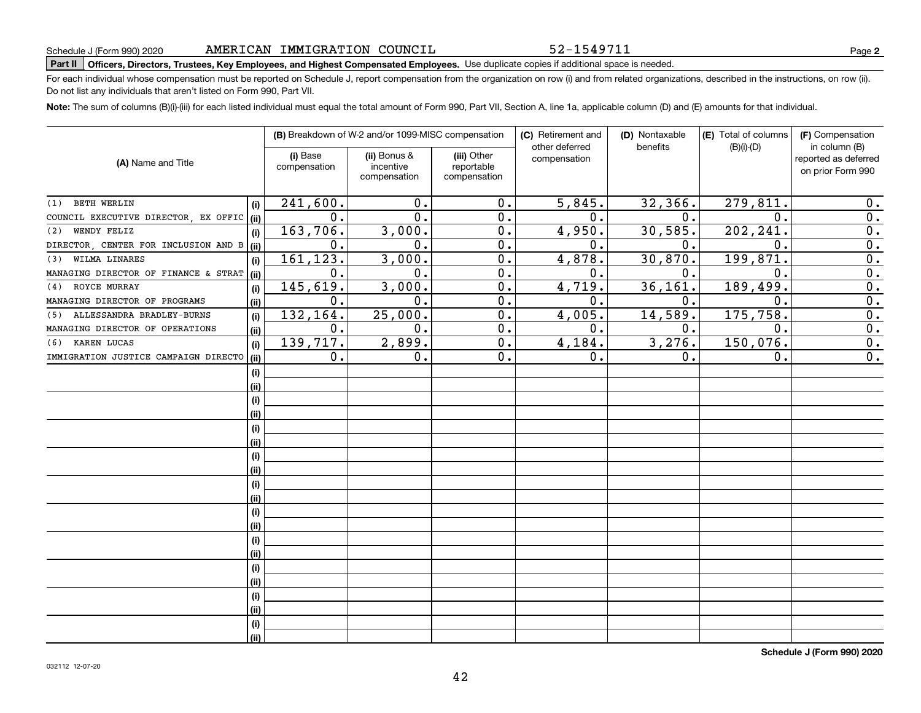52-1549711

# **Part II Officers, Directors, Trustees, Key Employees, and Highest Compensated Employees.**  Schedule J (Form 990) 2020 Page Use duplicate copies if additional space is needed.

For each individual whose compensation must be reported on Schedule J, report compensation from the organization on row (i) and from related organizations, described in the instructions, on row (ii). Do not list any individuals that aren't listed on Form 990, Part VII.

**Note:**  The sum of columns (B)(i)-(iii) for each listed individual must equal the total amount of Form 990, Part VII, Section A, line 1a, applicable column (D) and (E) amounts for that individual.

|                                               |                          | (B) Breakdown of W-2 and/or 1099-MISC compensation |                                           | (C) Retirement and<br>other deferred | (D) Nontaxable<br>benefits | (E) Total of columns<br>$(B)(i)-(D)$ | (F) Compensation<br>in column (B)         |
|-----------------------------------------------|--------------------------|----------------------------------------------------|-------------------------------------------|--------------------------------------|----------------------------|--------------------------------------|-------------------------------------------|
| (A) Name and Title                            | (i) Base<br>compensation | (ii) Bonus &<br>incentive<br>compensation          | (iii) Other<br>reportable<br>compensation | compensation                         |                            |                                      | reported as deferred<br>on prior Form 990 |
| <b>BETH WERLIN</b><br>(1)<br>(i)              | 241,600.                 | 0.                                                 | 0.                                        | 5,845.                               | 32,366.                    | 279,811.                             | 0.                                        |
| COUNCIL EXECUTIVE DIRECTOR, EX OFFIC<br>(iii) | 0.                       | 0.                                                 | $\overline{0}$ .                          | 0.                                   | 0.                         | $\mathbf 0$                          | $\overline{0}$ .                          |
| WENDY FELIZ<br>(2)<br>(i)                     | 163,706.                 | 3,000.                                             | $\overline{0}$ .                          | 4,950.                               | 30,585.                    | 202,241                              | $\overline{0}$ .                          |
| DIRECTOR, CENTER FOR INCLUSION AND B<br>(ii)  | 0.                       | 0.                                                 | 0.                                        | 0.                                   | $\mathbf 0$ .              | $\mathbf 0$                          | $\overline{0}$ .                          |
| WILMA LINARES<br>(3)<br>(i)                   | 161,123.                 | 3,000.                                             | 0.                                        | 4,878.                               | 30,870.                    | 199, 871.                            | $\overline{0}$ .                          |
| MANAGING DIRECTOR OF FINANCE & STRAT<br>(ii)  | 0.                       | 0.                                                 | $\overline{0}$ .                          | 0.                                   | $\mathbf 0$ .              | $\mathbf 0$ .                        | $\overline{0}$ .                          |
| ROYCE MURRAY<br>(4)<br>(i)                    | 145,619.                 | 3,000.                                             | 0.                                        | 4,719.                               | 36, 161.                   | 189,499.                             | $\overline{0}$ .                          |
| MANAGING DIRECTOR OF PROGRAMS<br>(ii)         | 0.                       | 0.                                                 | 0.                                        | 0.                                   | $\mathbf 0$ .              | $\mathbf 0$ .                        | $\overline{0}$ .                          |
| ALLESSANDRA BRADLEY-BURNS<br>(i)<br>(5)       | 132, 164.                | 25,000.                                            | $\overline{0}$ .                          | 4,005.                               | 14,589.                    | 175, 758.                            | $\overline{0}$ .                          |
| MANAGING DIRECTOR OF OPERATIONS<br>(ii)       | 0.                       | $\overline{0}$ .                                   | $\overline{0}$ .                          | $\overline{0}$ .                     | 0.                         | 0.                                   | $\overline{0}$ .                          |
| KAREN LUCAS<br>(i)<br>(6)                     | 139,717.                 | 2,899.                                             | $\overline{0}$ .                          | 4,184.                               | 3,276.                     | 150,076.                             | $\overline{0}$ .                          |
| IMMIGRATION JUSTICE CAMPAIGN DIRECTO<br>(ii)  | 0.                       | 0.                                                 | $\overline{0}$ .                          | 0.                                   | 0.                         | 0.                                   | 0.                                        |
| (i)                                           |                          |                                                    |                                           |                                      |                            |                                      |                                           |
| (ii)                                          |                          |                                                    |                                           |                                      |                            |                                      |                                           |
| (i)                                           |                          |                                                    |                                           |                                      |                            |                                      |                                           |
| (ii)                                          |                          |                                                    |                                           |                                      |                            |                                      |                                           |
| (i)                                           |                          |                                                    |                                           |                                      |                            |                                      |                                           |
| (ii)                                          |                          |                                                    |                                           |                                      |                            |                                      |                                           |
| (i)                                           |                          |                                                    |                                           |                                      |                            |                                      |                                           |
| (ii)                                          |                          |                                                    |                                           |                                      |                            |                                      |                                           |
| (i)                                           |                          |                                                    |                                           |                                      |                            |                                      |                                           |
| (ii)                                          |                          |                                                    |                                           |                                      |                            |                                      |                                           |
| (i)                                           |                          |                                                    |                                           |                                      |                            |                                      |                                           |
| (ii)                                          |                          |                                                    |                                           |                                      |                            |                                      |                                           |
| (i)                                           |                          |                                                    |                                           |                                      |                            |                                      |                                           |
| (ii)                                          |                          |                                                    |                                           |                                      |                            |                                      |                                           |
| (i)                                           |                          |                                                    |                                           |                                      |                            |                                      |                                           |
| (ii)                                          |                          |                                                    |                                           |                                      |                            |                                      |                                           |
| (i)                                           |                          |                                                    |                                           |                                      |                            |                                      |                                           |
| (ii)                                          |                          |                                                    |                                           |                                      |                            |                                      |                                           |
| (i)                                           |                          |                                                    |                                           |                                      |                            |                                      |                                           |
| (ii)                                          |                          |                                                    |                                           |                                      |                            |                                      |                                           |

**Schedule J (Form 990) 2020**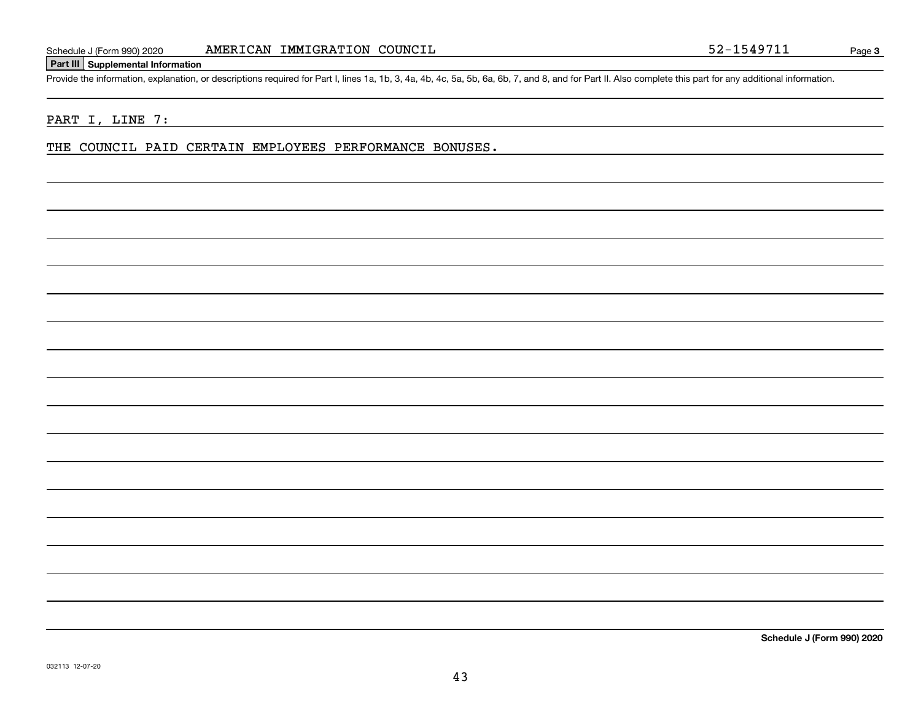#### **Part III Supplemental Information**

Schedule J (Form 990) 2020 **AMERICAN IMMIGRATION COUNCIL** 52-1549711<br>**Part III** Supplemental Information<br>Provide the information, explanation, or descriptions required for Part I, lines 1a, 1b, 3, 4a, 4b, 4c, 5a, 5b, 6a, 6

#### PART I, LINE 7:

THE COUNCIL PAID CERTAIN EMPLOYEES PERFORMANCE BONUSES.

**Schedule J (Form 990) 2020**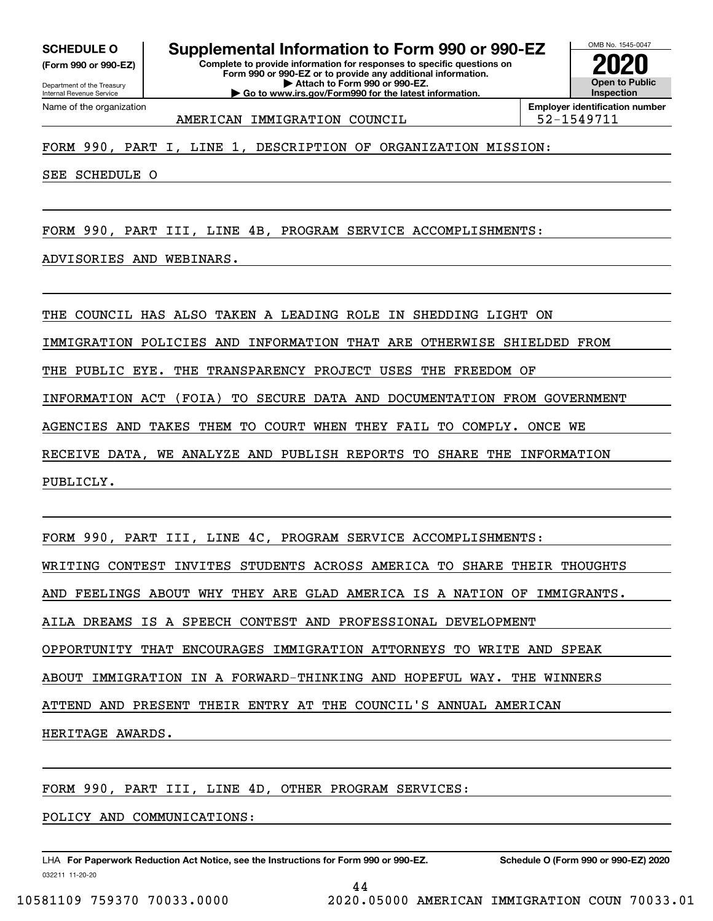**(Form 990 or 990-EZ)**

Department of the Treasury Internal Revenue Service Name of the organization

**Complete to provide information for responses to specific questions on Form 990 or 990-EZ or to provide any additional information. SCHEDULE O Supplemental Information to Form 990 or 990-EZ**

**| Attach to Form 990 or 990-EZ. | Go to www.irs.gov/Form990 for the latest information.**



AMERICAN IMMIGRATION COUNCIL | 52-1549711

FORM 990, PART I, LINE 1, DESCRIPTION OF ORGANIZATION MISSION:

SEE SCHEDULE O

FORM 990, PART III, LINE 4B, PROGRAM SERVICE ACCOMPLISHMENTS:

ADVISORIES AND WEBINARS.

THE COUNCIL HAS ALSO TAKEN A LEADING ROLE IN SHEDDING LIGHT ON

IMMIGRATION POLICIES AND INFORMATION THAT ARE OTHERWISE SHIELDED FROM

THE PUBLIC EYE. THE TRANSPARENCY PROJECT USES THE FREEDOM OF

INFORMATION ACT (FOIA) TO SECURE DATA AND DOCUMENTATION FROM GOVERNMENT

AGENCIES AND TAKES THEM TO COURT WHEN THEY FAIL TO COMPLY. ONCE WE

RECEIVE DATA, WE ANALYZE AND PUBLISH REPORTS TO SHARE THE INFORMATION

PUBLICLY.

FORM 990, PART III, LINE 4C, PROGRAM SERVICE ACCOMPLISHMENTS:

WRITING CONTEST INVITES STUDENTS ACROSS AMERICA TO SHARE THEIR THOUGHTS

AND FEELINGS ABOUT WHY THEY ARE GLAD AMERICA IS A NATION OF IMMIGRANTS.

AILA DREAMS IS A SPEECH CONTEST AND PROFESSIONAL DEVELOPMENT

OPPORTUNITY THAT ENCOURAGES IMMIGRATION ATTORNEYS TO WRITE AND SPEAK

ABOUT IMMIGRATION IN A FORWARD-THINKING AND HOPEFUL WAY. THE WINNERS

44

ATTEND AND PRESENT THEIR ENTRY AT THE COUNCIL'S ANNUAL AMERICAN

HERITAGE AWARDS.

FORM 990, PART III, LINE 4D, OTHER PROGRAM SERVICES:

POLICY AND COMMUNICATIONS:

032211 11-20-20 LHA For Paperwork Reduction Act Notice, see the Instructions for Form 990 or 990-EZ. Schedule O (Form 990 or 990-EZ) 2020

10581109 759370 70033.0000 2020.05000 AMERICAN IMMIGRATION COUN 70033.01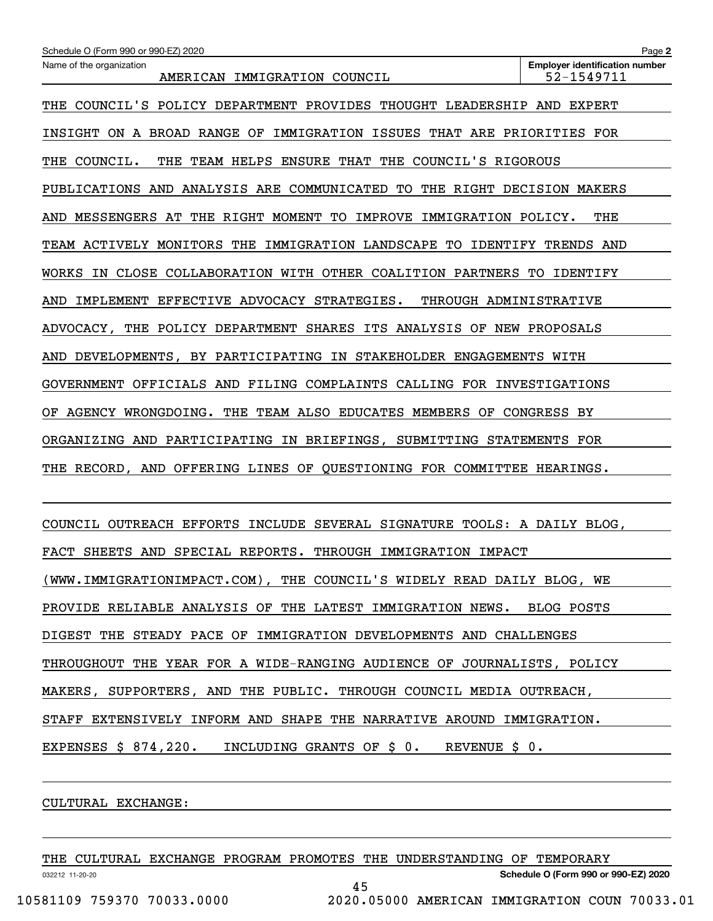| Schedule O (Form 990 or 990-EZ) 2020                                      | Page 2                                              |
|---------------------------------------------------------------------------|-----------------------------------------------------|
| Name of the organization<br>AMERICAN IMMIGRATION COUNCIL                  | <b>Employer identification number</b><br>52-1549711 |
| THE COUNCIL'S POLICY DEPARTMENT PROVIDES THOUGHT LEADERSHIP AND EXPERT    |                                                     |
| INSIGHT ON A BROAD RANGE OF IMMIGRATION ISSUES THAT ARE PRIORITIES FOR    |                                                     |
| THE TEAM HELPS ENSURE THAT THE COUNCIL'S RIGOROUS<br>THE COUNCIL.         |                                                     |
| PUBLICATIONS AND ANALYSIS ARE COMMUNICATED TO THE RIGHT DECISION MAKERS   |                                                     |
| AND MESSENGERS AT THE RIGHT MOMENT TO IMPROVE IMMIGRATION POLICY.         | THE                                                 |
| TEAM ACTIVELY MONITORS THE IMMIGRATION LANDSCAPE TO IDENTIFY TRENDS AND   |                                                     |
| WORKS IN CLOSE COLLABORATION WITH OTHER COALITION PARTNERS TO IDENTIFY    |                                                     |
| IMPLEMENT EFFECTIVE ADVOCACY STRATEGIES.<br>THROUGH ADMINISTRATIVE<br>AND |                                                     |
| ADVOCACY, THE POLICY DEPARTMENT SHARES ITS ANALYSIS OF NEW PROPOSALS      |                                                     |
| AND DEVELOPMENTS, BY PARTICIPATING IN STAKEHOLDER ENGAGEMENTS WITH        |                                                     |
| GOVERNMENT OFFICIALS AND FILING COMPLAINTS CALLING FOR INVESTIGATIONS     |                                                     |
| OF AGENCY WRONGDOING. THE TEAM ALSO EDUCATES MEMBERS OF CONGRESS BY       |                                                     |
| ORGANIZING AND PARTICIPATING IN BRIEFINGS, SUBMITTING STATEMENTS FOR      |                                                     |
| AND OFFERING LINES OF QUESTIONING FOR COMMITTEE HEARINGS.<br>THE RECORD,  |                                                     |
|                                                                           |                                                     |
| COUNCIL OUTREACH EFFORTS INCLUDE SEVERAL SIGNATURE TOOLS: A DAILY BLOG,   |                                                     |
| FACT SHEETS AND SPECIAL REPORTS. THROUGH IMMIGRATION IMPACT               |                                                     |
| (WWW.IMMIGRATIONIMPACT.COM), THE COUNCIL'S WIDELY READ DAILY BLOG, WE     |                                                     |
| PROVIDE RELIABLE ANALYSIS OF THE LATEST IMMIGRATION NEWS.                 | <b>BLOG POSTS</b>                                   |

DIGEST THE STEADY PACE OF IMMIGRATION DEVELOPMENTS AND CHALLENGES

THROUGHOUT THE YEAR FOR A WIDE-RANGING AUDIENCE OF JOURNALISTS, POLICY

MAKERS, SUPPORTERS, AND THE PUBLIC. THROUGH COUNCIL MEDIA OUTREACH,

STAFF EXTENSIVELY INFORM AND SHAPE THE NARRATIVE AROUND IMMIGRATION.

EXPENSES \$ 874,220. INCLUDING GRANTS OF \$ 0. REVENUE \$ 0.

CULTURAL EXCHANGE:

THE CULTURAL EXCHANGE PROGRAM PROMOTES THE UNDERSTANDING OF TEMPORARY

45

032212 11-20-20

**Schedule O (Form 990 or 990-EZ) 2020**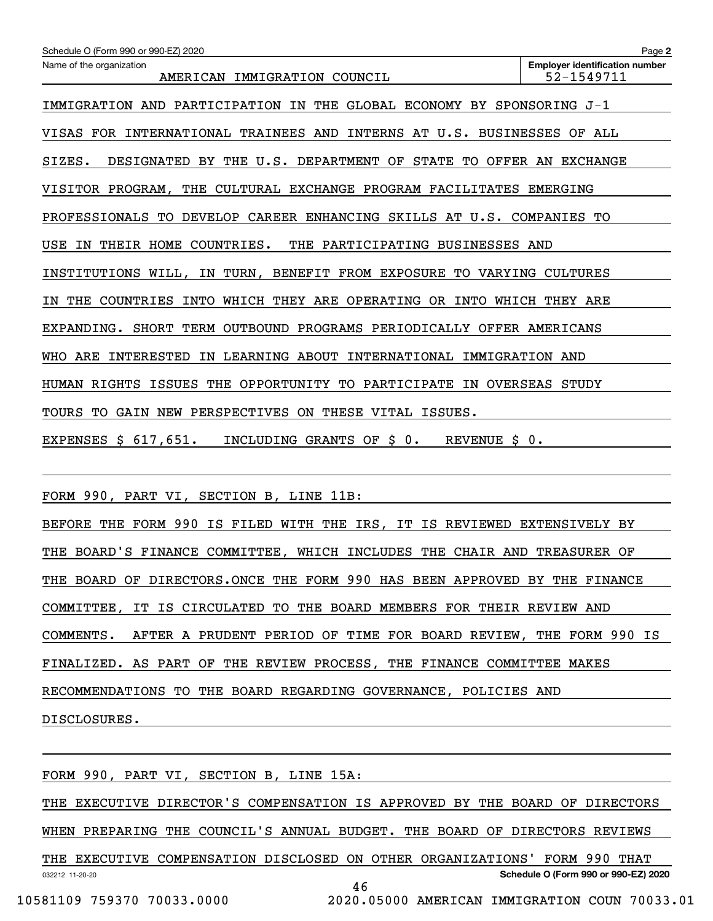| Schedule O (Form 990 or 990-EZ) 2020                                         | Page 2                                              |
|------------------------------------------------------------------------------|-----------------------------------------------------|
| Name of the organization<br>AMERICAN IMMIGRATION COUNCIL                     | <b>Employer identification number</b><br>52-1549711 |
| IMMIGRATION AND PARTICIPATION IN THE GLOBAL ECONOMY BY SPONSORING J-1        |                                                     |
| VISAS FOR INTERNATIONAL TRAINEES AND INTERNS AT U.S. BUSINESSES OF ALL       |                                                     |
| SIZES.<br>DESIGNATED BY THE U.S. DEPARTMENT OF STATE TO OFFER AN EXCHANGE    |                                                     |
| VISITOR PROGRAM, THE CULTURAL EXCHANGE PROGRAM FACILITATES EMERGING          |                                                     |
| PROFESSIONALS TO DEVELOP CAREER ENHANCING SKILLS AT U.S. COMPANIES TO        |                                                     |
| IN THEIR HOME COUNTRIES.<br>THE PARTICIPATING BUSINESSES AND<br>USE          |                                                     |
| INSTITUTIONS WILL, IN TURN, BENEFIT FROM EXPOSURE TO VARYING CULTURES        |                                                     |
| THE COUNTRIES<br>INTO WHICH THEY ARE OPERATING OR INTO WHICH THEY ARE<br>IN. |                                                     |
| EXPANDING. SHORT TERM OUTBOUND PROGRAMS PERIODICALLY OFFER AMERICANS         |                                                     |
| WHO ARE INTERESTED IN LEARNING ABOUT INTERNATIONAL IMMIGRATION AND           |                                                     |
| HUMAN RIGHTS ISSUES THE OPPORTUNITY TO PARTICIPATE IN OVERSEAS STUDY         |                                                     |
| TOURS TO GAIN NEW PERSPECTIVES ON THESE VITAL ISSUES.                        |                                                     |
| INCLUDING GRANTS OF \$ 0.<br>REVENUE \$ 0.<br>EXPENSES \$ 617,651.           |                                                     |
|                                                                              |                                                     |
| FORM 990, PART VI, SECTION B, LINE 11B:                                      |                                                     |
| popono muo popu 000 ta pitop winu muo tpa<br>THE TA DOUTDURD DURCHIOUS UP DU |                                                     |

BEFORE THE FORM 990 IS FILED WITH THE IRS, IT IS REVIEWED EXTENSIVELY BY THE BOARD'S FINANCE COMMITTEE, WHICH INCLUDES THE CHAIR AND TREASURER OF THE BOARD OF DIRECTORS.ONCE THE FORM 990 HAS BEEN APPROVED BY THE FINANCE COMMITTEE, IT IS CIRCULATED TO THE BOARD MEMBERS FOR THEIR REVIEW AND COMMENTS. AFTER A PRUDENT PERIOD OF TIME FOR BOARD REVIEW, THE FORM 990 IS FINALIZED. AS PART OF THE REVIEW PROCESS, THE FINANCE COMMITTEE MAKES RECOMMENDATIONS TO THE BOARD REGARDING GOVERNANCE, POLICIES AND DISCLOSURES.

032212 11-20-20 **Schedule O (Form 990 or 990-EZ) 2020** FORM 990, PART VI, SECTION B, LINE 15A: THE EXECUTIVE DIRECTOR'S COMPENSATION IS APPROVED BY THE BOARD OF DIRECTORS WHEN PREPARING THE COUNCIL'S ANNUAL BUDGET. THE BOARD OF DIRECTORS REVIEWS THE EXECUTIVE COMPENSATION DISCLOSED ON OTHER ORGANIZATIONS' FORM 990 THAT 46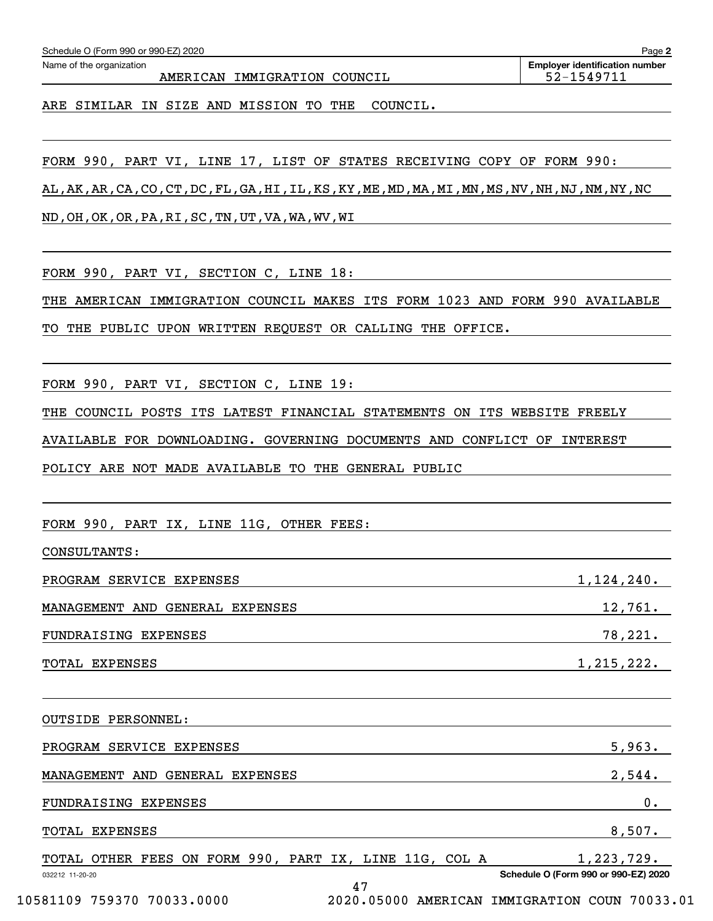| FORM 990, PART VI, SECTION C, LINE 19:<br>THE COUNCIL POSTS ITS LATEST FINANCIAL STATEMENTS ON ITS WEBSITE FREELY<br>AVAILABLE FOR DOWNLOADING. GOVERNING DOCUMENTS AND CONFLICT OF INTEREST<br>POLICY ARE NOT MADE AVAILABLE TO THE GENERAL PUBLIC<br>FORM 990, PART IX, LINE 11G, OTHER FEES:<br>CONSULTANTS: The consultant of the consultant of the consultant of the consultant of the consultant of the consultant of the consultant of the consultant of the consultant of the consultant of the consultant of the consult<br>1,124,240.<br>12,761.<br>MANAGEMENT AND GENERAL EXPENSES <b>Analyzing Contract Contract Contract Contract Contract Contract Contract Contract Contract Contract Contract Contract Contract Contract Contract Contract Contract Contract Contract Contract</b><br>78,221.<br>FUNDRAISING EXPENSES<br>1,215,222.<br>TOTAL EXPENSES<br><u> 1989 - Johann Barbara, martin amerikan basar dan berasal dalam basar dalam basar dalam basar dalam basar dala</u><br>5,963.<br>PROGRAM SERVICE EXPENSES <b>EXECUTES</b><br>2,544.<br>MANAGEMENT AND GENERAL EXPENSES<br>0.<br>FUNDRAISING EXPENSES<br>8,507.<br>TOTAL EXPENSES<br>TOTAL OTHER FEES ON FORM 990, PART IX, LINE 11G, COL A<br>1,223,729.<br>Schedule O (Form 990 or 990-EZ) 2020<br>032212 11-20-20<br>47<br>2020.05000 AMERICAN IMMIGRATION COUN 70033.01 | TO THE PUBLIC UPON WRITTEN REQUEST OR CALLING THE OFFICE. |  |
|-------------------------------------------------------------------------------------------------------------------------------------------------------------------------------------------------------------------------------------------------------------------------------------------------------------------------------------------------------------------------------------------------------------------------------------------------------------------------------------------------------------------------------------------------------------------------------------------------------------------------------------------------------------------------------------------------------------------------------------------------------------------------------------------------------------------------------------------------------------------------------------------------------------------------------------------------------------------------------------------------------------------------------------------------------------------------------------------------------------------------------------------------------------------------------------------------------------------------------------------------------------------------------------------------------------------------------------------------------|-----------------------------------------------------------|--|
|                                                                                                                                                                                                                                                                                                                                                                                                                                                                                                                                                                                                                                                                                                                                                                                                                                                                                                                                                                                                                                                                                                                                                                                                                                                                                                                                                       |                                                           |  |
|                                                                                                                                                                                                                                                                                                                                                                                                                                                                                                                                                                                                                                                                                                                                                                                                                                                                                                                                                                                                                                                                                                                                                                                                                                                                                                                                                       |                                                           |  |
|                                                                                                                                                                                                                                                                                                                                                                                                                                                                                                                                                                                                                                                                                                                                                                                                                                                                                                                                                                                                                                                                                                                                                                                                                                                                                                                                                       |                                                           |  |
|                                                                                                                                                                                                                                                                                                                                                                                                                                                                                                                                                                                                                                                                                                                                                                                                                                                                                                                                                                                                                                                                                                                                                                                                                                                                                                                                                       |                                                           |  |
|                                                                                                                                                                                                                                                                                                                                                                                                                                                                                                                                                                                                                                                                                                                                                                                                                                                                                                                                                                                                                                                                                                                                                                                                                                                                                                                                                       |                                                           |  |
|                                                                                                                                                                                                                                                                                                                                                                                                                                                                                                                                                                                                                                                                                                                                                                                                                                                                                                                                                                                                                                                                                                                                                                                                                                                                                                                                                       |                                                           |  |
| 10581109 759370 70033.0000                                                                                                                                                                                                                                                                                                                                                                                                                                                                                                                                                                                                                                                                                                                                                                                                                                                                                                                                                                                                                                                                                                                                                                                                                                                                                                                            |                                                           |  |
|                                                                                                                                                                                                                                                                                                                                                                                                                                                                                                                                                                                                                                                                                                                                                                                                                                                                                                                                                                                                                                                                                                                                                                                                                                                                                                                                                       |                                                           |  |
|                                                                                                                                                                                                                                                                                                                                                                                                                                                                                                                                                                                                                                                                                                                                                                                                                                                                                                                                                                                                                                                                                                                                                                                                                                                                                                                                                       |                                                           |  |
|                                                                                                                                                                                                                                                                                                                                                                                                                                                                                                                                                                                                                                                                                                                                                                                                                                                                                                                                                                                                                                                                                                                                                                                                                                                                                                                                                       |                                                           |  |
|                                                                                                                                                                                                                                                                                                                                                                                                                                                                                                                                                                                                                                                                                                                                                                                                                                                                                                                                                                                                                                                                                                                                                                                                                                                                                                                                                       |                                                           |  |
|                                                                                                                                                                                                                                                                                                                                                                                                                                                                                                                                                                                                                                                                                                                                                                                                                                                                                                                                                                                                                                                                                                                                                                                                                                                                                                                                                       |                                                           |  |
|                                                                                                                                                                                                                                                                                                                                                                                                                                                                                                                                                                                                                                                                                                                                                                                                                                                                                                                                                                                                                                                                                                                                                                                                                                                                                                                                                       |                                                           |  |
|                                                                                                                                                                                                                                                                                                                                                                                                                                                                                                                                                                                                                                                                                                                                                                                                                                                                                                                                                                                                                                                                                                                                                                                                                                                                                                                                                       |                                                           |  |
|                                                                                                                                                                                                                                                                                                                                                                                                                                                                                                                                                                                                                                                                                                                                                                                                                                                                                                                                                                                                                                                                                                                                                                                                                                                                                                                                                       |                                                           |  |
|                                                                                                                                                                                                                                                                                                                                                                                                                                                                                                                                                                                                                                                                                                                                                                                                                                                                                                                                                                                                                                                                                                                                                                                                                                                                                                                                                       |                                                           |  |
|                                                                                                                                                                                                                                                                                                                                                                                                                                                                                                                                                                                                                                                                                                                                                                                                                                                                                                                                                                                                                                                                                                                                                                                                                                                                                                                                                       |                                                           |  |
|                                                                                                                                                                                                                                                                                                                                                                                                                                                                                                                                                                                                                                                                                                                                                                                                                                                                                                                                                                                                                                                                                                                                                                                                                                                                                                                                                       |                                                           |  |

ND,OH,OK,OR,PA,RI,SC,TN,UT,VA,WA,WV,WI

FORM 990, PART VI, SECTION C, LINE 18:

THE AMERICAN IMMIGRATION COUNCIL MAKES ITS FORM 1023 AND FORM 990 AVAILABLE

FORM 990, PART VI, LINE 17, LIST OF STATES RECEIVING COPY OF FORM 990:

AL,AK,AR,CA,CO,CT,DC,FL,GA,HI,IL,KS,KY,ME,MD,MA,MI,MN,MS,NV,NH,NJ,NM,NY,NC

AMERICAN IMMIGRATION COUNCIL | 52-1549711

ARE SIMILAR IN SIZE AND MISSION TO THE COUNCIL.

**2**